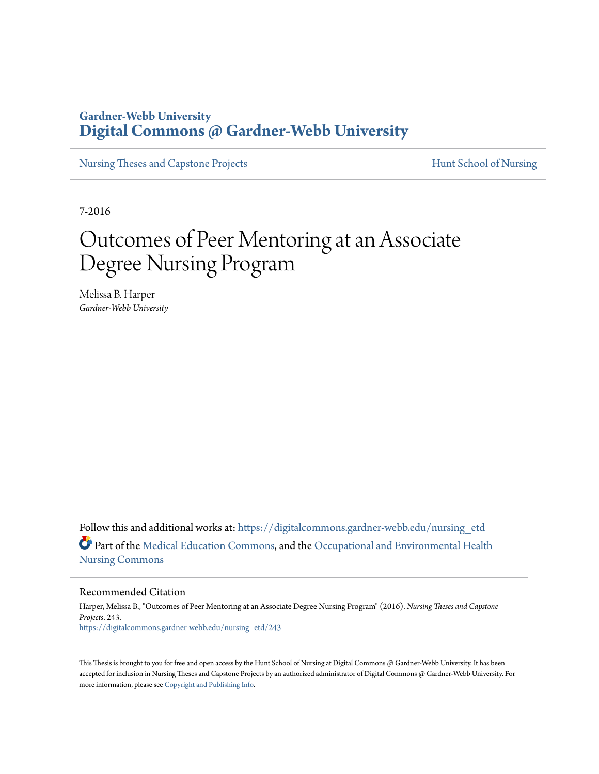# **Gardner-Webb University [Digital Commons @ Gardner-Webb University](https://digitalcommons.gardner-webb.edu?utm_source=digitalcommons.gardner-webb.edu%2Fnursing_etd%2F243&utm_medium=PDF&utm_campaign=PDFCoverPages)**

[Nursing Theses and Capstone Projects](https://digitalcommons.gardner-webb.edu/nursing_etd?utm_source=digitalcommons.gardner-webb.edu%2Fnursing_etd%2F243&utm_medium=PDF&utm_campaign=PDFCoverPages) **[Hunt School of Nursing](https://digitalcommons.gardner-webb.edu/nursing?utm_source=digitalcommons.gardner-webb.edu%2Fnursing_etd%2F243&utm_medium=PDF&utm_campaign=PDFCoverPages)** 

7-2016

# Outcomes of Peer Mentoring at an Associate Degree Nursing Program

Melissa B. Harper *Gardner-Webb University*

Follow this and additional works at: [https://digitalcommons.gardner-webb.edu/nursing\\_etd](https://digitalcommons.gardner-webb.edu/nursing_etd?utm_source=digitalcommons.gardner-webb.edu%2Fnursing_etd%2F243&utm_medium=PDF&utm_campaign=PDFCoverPages) Part of the [Medical Education Commons,](http://network.bepress.com/hgg/discipline/1125?utm_source=digitalcommons.gardner-webb.edu%2Fnursing_etd%2F243&utm_medium=PDF&utm_campaign=PDFCoverPages) and the [Occupational and Environmental Health](http://network.bepress.com/hgg/discipline/728?utm_source=digitalcommons.gardner-webb.edu%2Fnursing_etd%2F243&utm_medium=PDF&utm_campaign=PDFCoverPages) [Nursing Commons](http://network.bepress.com/hgg/discipline/728?utm_source=digitalcommons.gardner-webb.edu%2Fnursing_etd%2F243&utm_medium=PDF&utm_campaign=PDFCoverPages)

Recommended Citation

Harper, Melissa B., "Outcomes of Peer Mentoring at an Associate Degree Nursing Program" (2016). *Nursing Theses and Capstone Projects*. 243. [https://digitalcommons.gardner-webb.edu/nursing\\_etd/243](https://digitalcommons.gardner-webb.edu/nursing_etd/243?utm_source=digitalcommons.gardner-webb.edu%2Fnursing_etd%2F243&utm_medium=PDF&utm_campaign=PDFCoverPages)

This Thesis is brought to you for free and open access by the Hunt School of Nursing at Digital Commons @ Gardner-Webb University. It has been accepted for inclusion in Nursing Theses and Capstone Projects by an authorized administrator of Digital Commons @ Gardner-Webb University. For more information, please see [Copyright and Publishing Info](https://digitalcommons.gardner-webb.edu/copyright_publishing.html).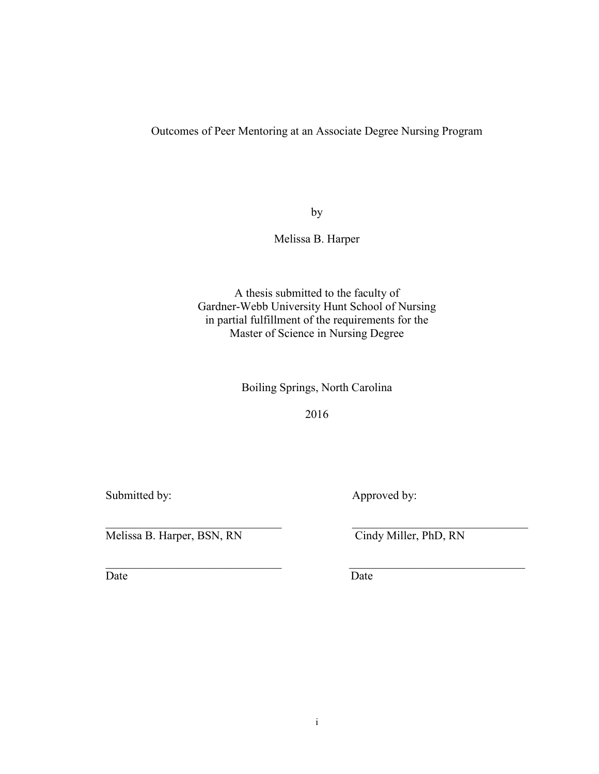Outcomes of Peer Mentoring at an Associate Degree Nursing Program

by

Melissa B. Harper

A thesis submitted to the faculty of Gardner-Webb University Hunt School of Nursing in partial fulfillment of the requirements for the Master of Science in Nursing Degree

Boiling Springs, North Carolina

2016

 $\mathcal{L}_\text{max}$  , and the contribution of the contribution of the contribution of the contribution of the contribution of the contribution of the contribution of the contribution of the contribution of the contribution of t

 $\mathcal{L}_\text{max}$  , and the contribution of the contribution of the contribution of the contribution of the contribution of the contribution of the contribution of the contribution of the contribution of the contribution of t

Submitted by: Approved by:

Melissa B. Harper, BSN, RN Cindy Miller, PhD, RN

Date Date Date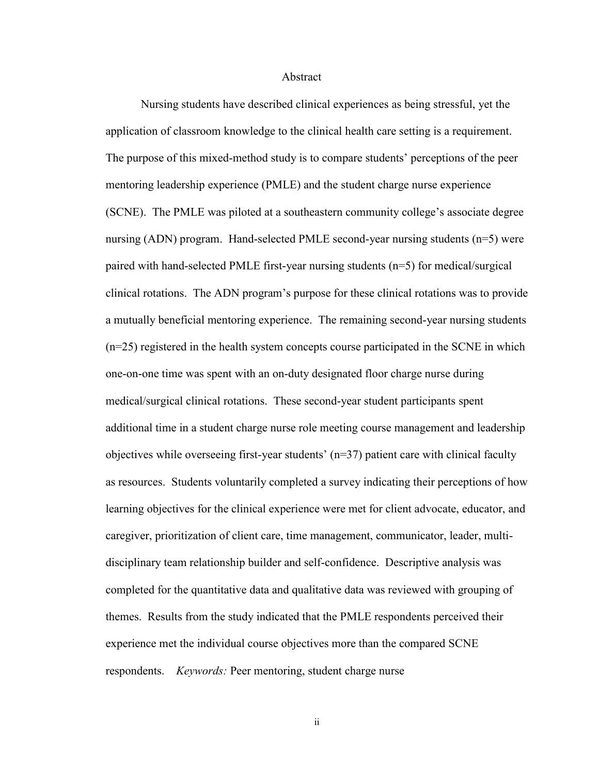#### Abstract

Nursing students have described clinical experiences as being stressful, yet the application of classroom knowledge to the clinical health care setting is a requirement. The purpose of this mixed-method study is to compare students' perceptions of the peer mentoring leadership experience (PMLE) and the student charge nurse experience (SCNE). The PMLE was piloted at a southeastern community college's associate degree nursing (ADN) program. Hand-selected PMLE second-year nursing students (n=5) were paired with hand-selected PMLE first-year nursing students (n=5) for medical/surgical clinical rotations. The ADN program's purpose for these clinical rotations was to provide a mutually beneficial mentoring experience. The remaining second-year nursing students (n=25) registered in the health system concepts course participated in the SCNE in which one-on-one time was spent with an on-duty designated floor charge nurse during medical/surgical clinical rotations. These second-year student participants spent additional time in a student charge nurse role meeting course management and leadership objectives while overseeing first-year students' (n=37) patient care with clinical faculty as resources. Students voluntarily completed a survey indicating their perceptions of how learning objectives for the clinical experience were met for client advocate, educator, and caregiver, prioritization of client care, time management, communicator, leader, multidisciplinary team relationship builder and self-confidence. Descriptive analysis was completed for the quantitative data and qualitative data was reviewed with grouping of themes. Results from the study indicated that the PMLE respondents perceived their experience met the individual course objectives more than the compared SCNE respondents. *Keywords:* Peer mentoring, student charge nurse

ii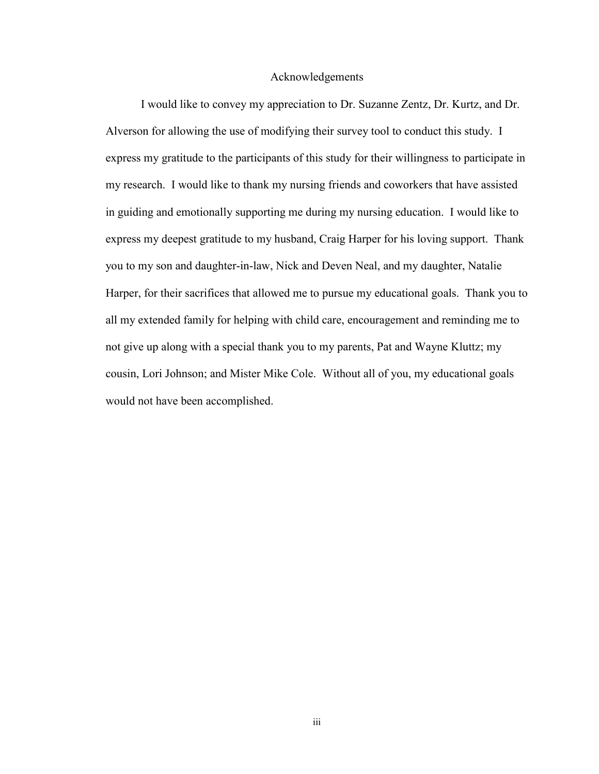#### Acknowledgements

I would like to convey my appreciation to Dr. Suzanne Zentz, Dr. Kurtz, and Dr. Alverson for allowing the use of modifying their survey tool to conduct this study. I express my gratitude to the participants of this study for their willingness to participate in my research. I would like to thank my nursing friends and coworkers that have assisted in guiding and emotionally supporting me during my nursing education. I would like to express my deepest gratitude to my husband, Craig Harper for his loving support. Thank you to my son and daughter-in-law, Nick and Deven Neal, and my daughter, Natalie Harper, for their sacrifices that allowed me to pursue my educational goals. Thank you to all my extended family for helping with child care, encouragement and reminding me to not give up along with a special thank you to my parents, Pat and Wayne Kluttz; my cousin, Lori Johnson; and Mister Mike Cole. Without all of you, my educational goals would not have been accomplished.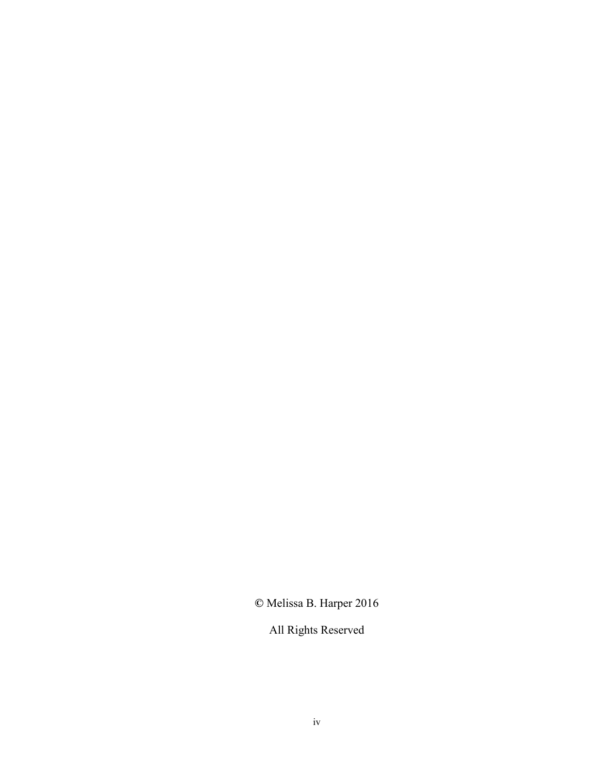**©** Melissa B. Harper 2016

All Rights Reserved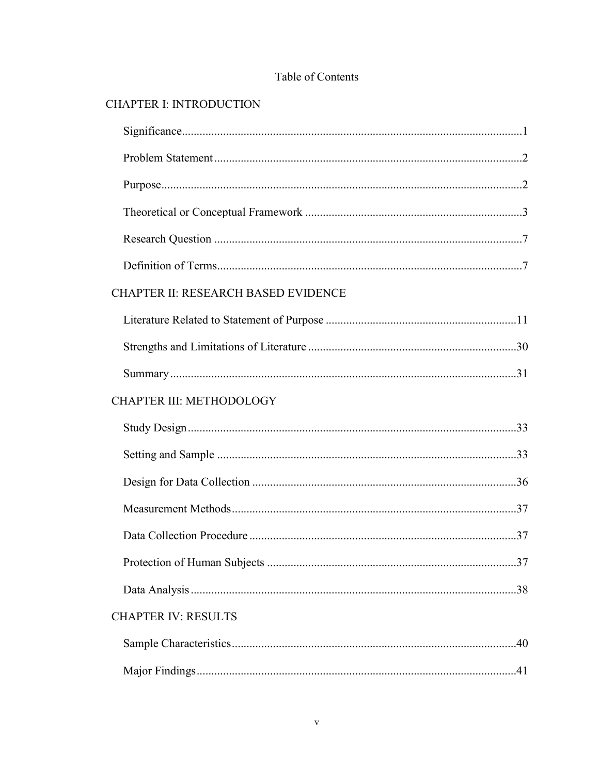## Table of Contents

# **CHAPTER I: INTRODUCTION**

| <b>CHAPTER II: RESEARCH BASED EVIDENCE</b> |  |
|--------------------------------------------|--|
|                                            |  |
|                                            |  |
|                                            |  |
| CHAPTER III: METHODOLOGY                   |  |
|                                            |  |
|                                            |  |
|                                            |  |
|                                            |  |
|                                            |  |
|                                            |  |
|                                            |  |
| <b>CHAPTER IV: RESULTS</b>                 |  |
|                                            |  |
|                                            |  |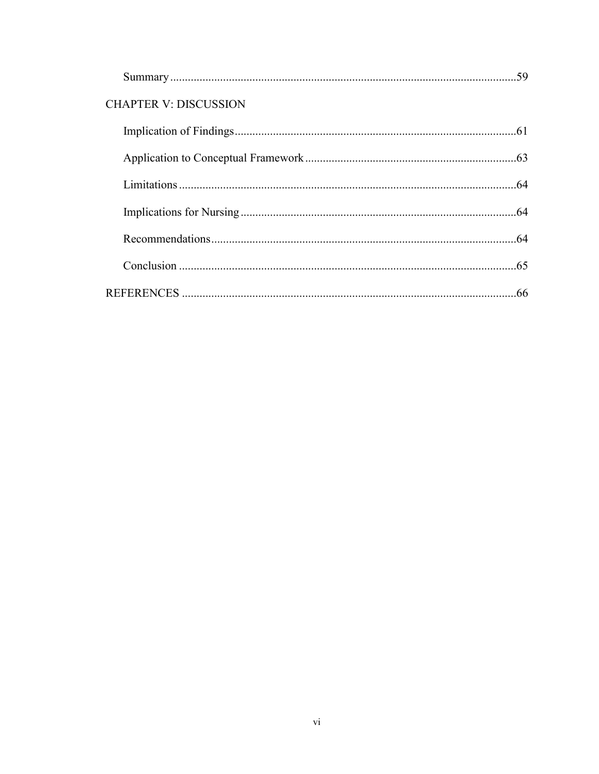|                              | .59 |
|------------------------------|-----|
| <b>CHAPTER V: DISCUSSION</b> |     |
|                              |     |
|                              |     |
|                              |     |
|                              |     |
|                              |     |
|                              |     |
|                              | .66 |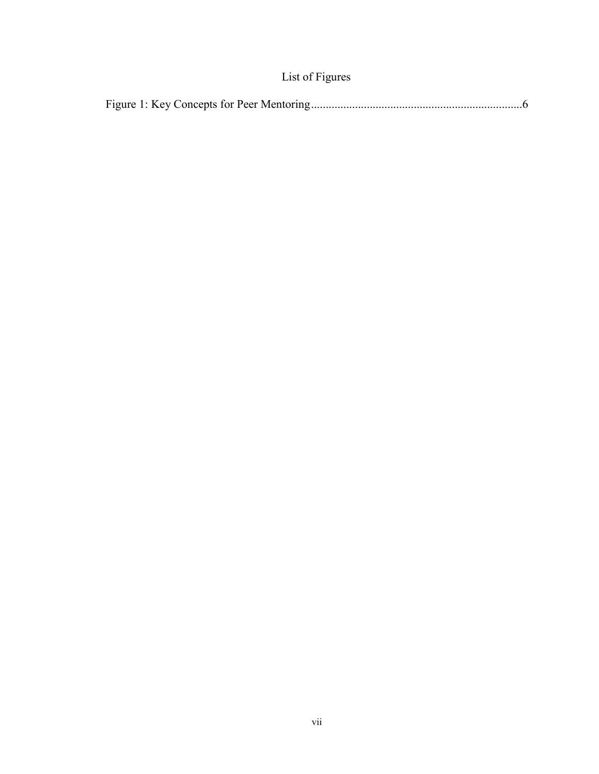# List of Figures

|--|--|--|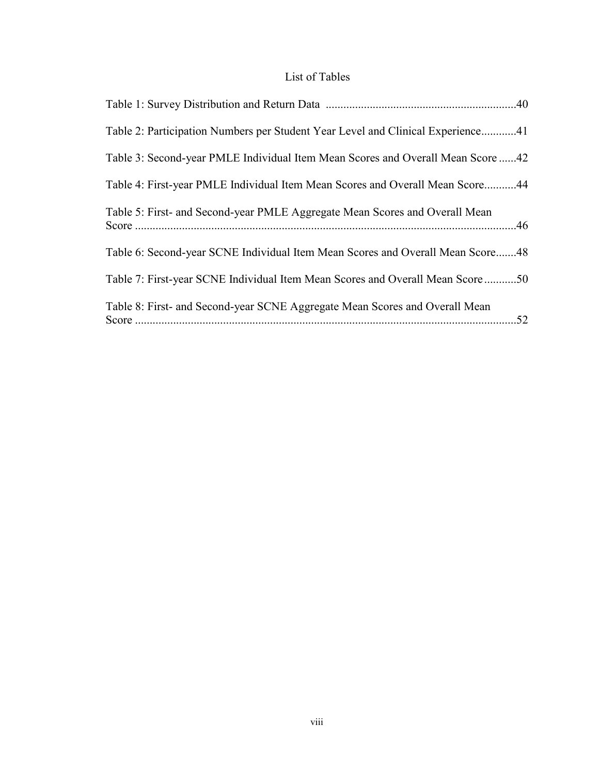### List of Tables

| Table 2: Participation Numbers per Student Year Level and Clinical Experience41 |
|---------------------------------------------------------------------------------|
| Table 3: Second-year PMLE Individual Item Mean Scores and Overall Mean Score 42 |
| Table 4: First-year PMLE Individual Item Mean Scores and Overall Mean Score44   |
| Table 5: First- and Second-year PMLE Aggregate Mean Scores and Overall Mean     |
| Table 6: Second-year SCNE Individual Item Mean Scores and Overall Mean Score48  |
| Table 7: First-year SCNE Individual Item Mean Scores and Overall Mean Score 50  |
| Table 8: First- and Second-year SCNE Aggregate Mean Scores and Overall Mean     |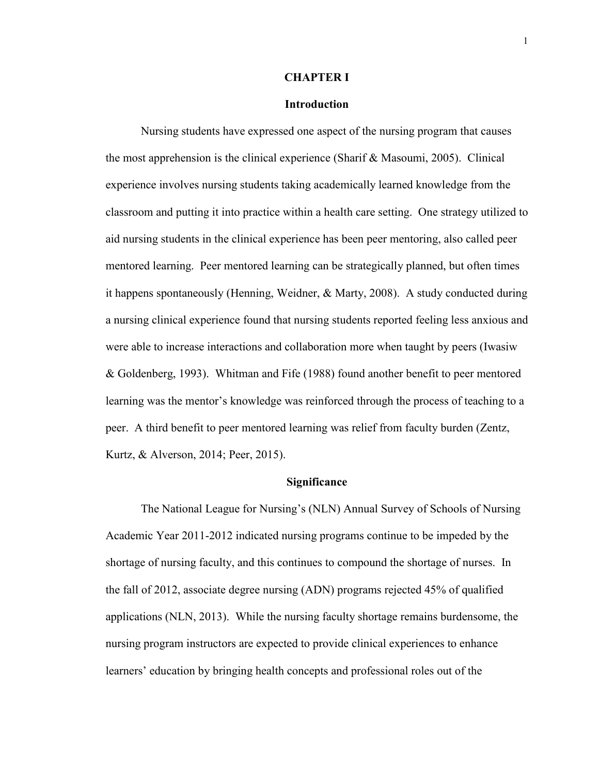#### **CHAPTER I**

#### **Introduction**

Nursing students have expressed one aspect of the nursing program that causes the most apprehension is the clinical experience (Sharif & Masoumi, 2005). Clinical experience involves nursing students taking academically learned knowledge from the classroom and putting it into practice within a health care setting. One strategy utilized to aid nursing students in the clinical experience has been peer mentoring, also called peer mentored learning. Peer mentored learning can be strategically planned, but often times it happens spontaneously (Henning, Weidner, & Marty, 2008). A study conducted during a nursing clinical experience found that nursing students reported feeling less anxious and were able to increase interactions and collaboration more when taught by peers (Iwasiw & Goldenberg, 1993). Whitman and Fife (1988) found another benefit to peer mentored learning was the mentor's knowledge was reinforced through the process of teaching to a peer. A third benefit to peer mentored learning was relief from faculty burden (Zentz, Kurtz, & Alverson, 2014; Peer, 2015).

#### **Significance**

The National League for Nursing's (NLN) Annual Survey of Schools of Nursing Academic Year 2011-2012 indicated nursing programs continue to be impeded by the shortage of nursing faculty, and this continues to compound the shortage of nurses. In the fall of 2012, associate degree nursing (ADN) programs rejected 45% of qualified applications (NLN, 2013). While the nursing faculty shortage remains burdensome, the nursing program instructors are expected to provide clinical experiences to enhance learners' education by bringing health concepts and professional roles out of the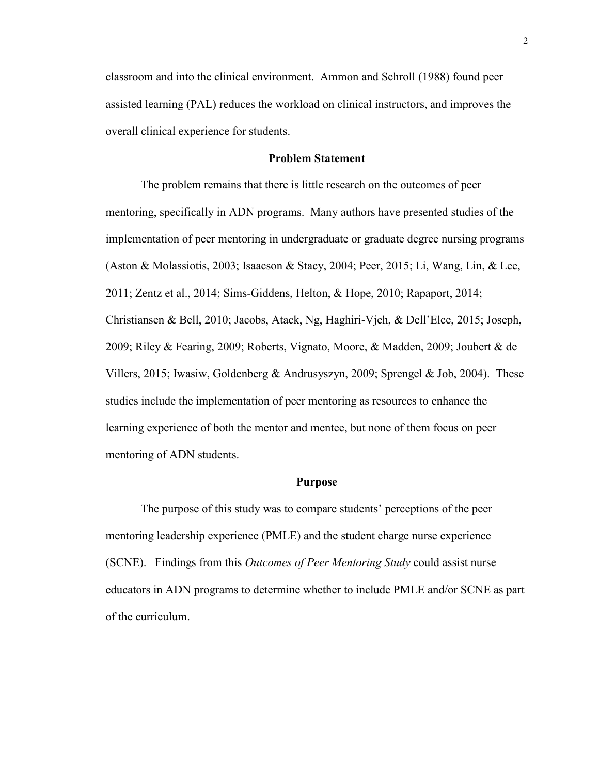classroom and into the clinical environment. Ammon and Schroll (1988) found peer assisted learning (PAL) reduces the workload on clinical instructors, and improves the overall clinical experience for students.

#### **Problem Statement**

The problem remains that there is little research on the outcomes of peer mentoring, specifically in ADN programs. Many authors have presented studies of the implementation of peer mentoring in undergraduate or graduate degree nursing programs (Aston & Molassiotis, 2003; Isaacson & Stacy, 2004; Peer, 2015; Li, Wang, Lin, & Lee, 2011; Zentz et al., 2014; Sims-Giddens, Helton, & Hope, 2010; Rapaport, 2014; Christiansen & Bell, 2010; Jacobs, Atack, Ng, Haghiri-Vjeh, & Dell'Elce, 2015; Joseph, 2009; Riley & Fearing, 2009; Roberts, Vignato, Moore, & Madden, 2009; Joubert & de Villers, 2015; Iwasiw, Goldenberg & Andrusyszyn, 2009; Sprengel & Job, 2004). These studies include the implementation of peer mentoring as resources to enhance the learning experience of both the mentor and mentee, but none of them focus on peer mentoring of ADN students.

#### **Purpose**

The purpose of this study was to compare students' perceptions of the peer mentoring leadership experience (PMLE) and the student charge nurse experience (SCNE). Findings from this *Outcomes of Peer Mentoring Study* could assist nurse educators in ADN programs to determine whether to include PMLE and/or SCNE as part of the curriculum.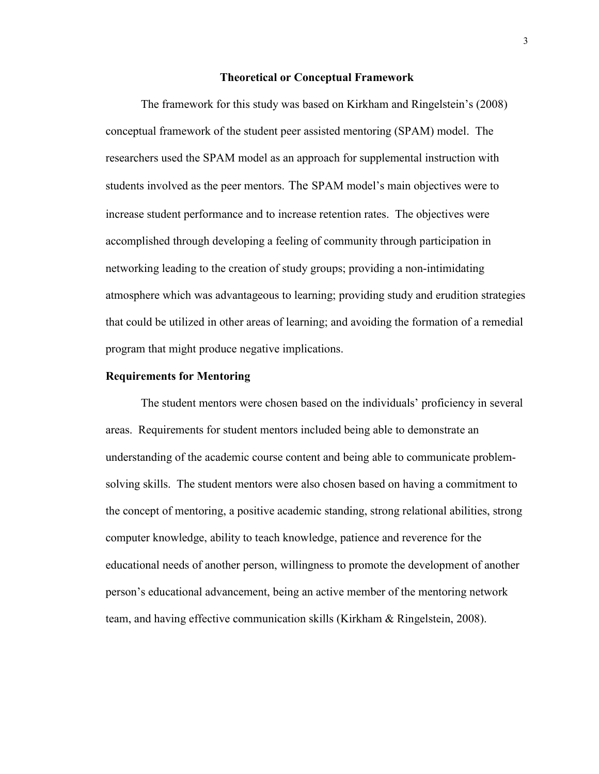#### **Theoretical or Conceptual Framework**

The framework for this study was based on Kirkham and Ringelstein's (2008) conceptual framework of the student peer assisted mentoring (SPAM) model. The researchers used the SPAM model as an approach for supplemental instruction with students involved as the peer mentors. The SPAM model's main objectives were to increase student performance and to increase retention rates. The objectives were accomplished through developing a feeling of community through participation in networking leading to the creation of study groups; providing a non-intimidating atmosphere which was advantageous to learning; providing study and erudition strategies that could be utilized in other areas of learning; and avoiding the formation of a remedial program that might produce negative implications.

#### **Requirements for Mentoring**

The student mentors were chosen based on the individuals' proficiency in several areas. Requirements for student mentors included being able to demonstrate an understanding of the academic course content and being able to communicate problemsolving skills. The student mentors were also chosen based on having a commitment to the concept of mentoring, a positive academic standing, strong relational abilities, strong computer knowledge, ability to teach knowledge, patience and reverence for the educational needs of another person, willingness to promote the development of another person's educational advancement, being an active member of the mentoring network team, and having effective communication skills (Kirkham & Ringelstein, 2008).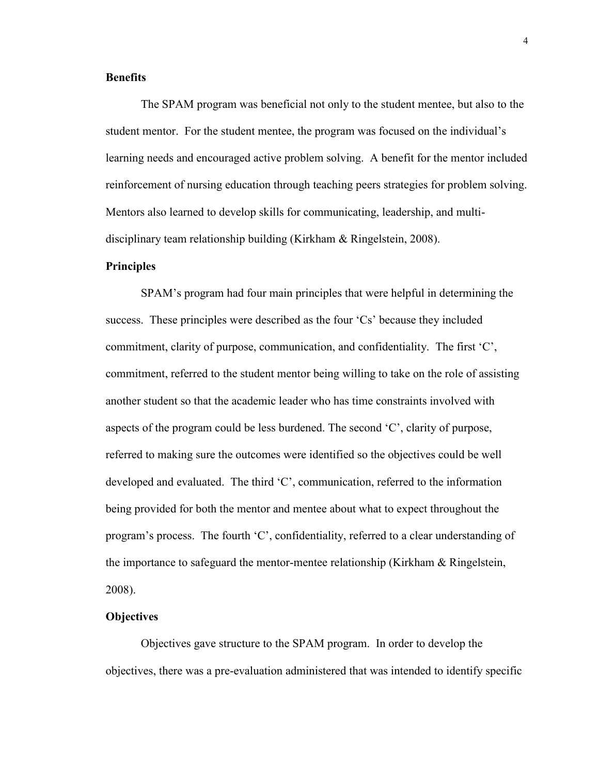#### **Benefits**

The SPAM program was beneficial not only to the student mentee, but also to the student mentor. For the student mentee, the program was focused on the individual's learning needs and encouraged active problem solving. A benefit for the mentor included reinforcement of nursing education through teaching peers strategies for problem solving. Mentors also learned to develop skills for communicating, leadership, and multidisciplinary team relationship building (Kirkham & Ringelstein, 2008).

#### **Principles**

SPAM's program had four main principles that were helpful in determining the success. These principles were described as the four 'Cs' because they included commitment, clarity of purpose, communication, and confidentiality. The first 'C', commitment, referred to the student mentor being willing to take on the role of assisting another student so that the academic leader who has time constraints involved with aspects of the program could be less burdened. The second 'C', clarity of purpose, referred to making sure the outcomes were identified so the objectives could be well developed and evaluated. The third 'C', communication, referred to the information being provided for both the mentor and mentee about what to expect throughout the program's process. The fourth 'C', confidentiality, referred to a clear understanding of the importance to safeguard the mentor-mentee relationship (Kirkham & Ringelstein, 2008).

#### **Objectives**

Objectives gave structure to the SPAM program. In order to develop the objectives, there was a pre-evaluation administered that was intended to identify specific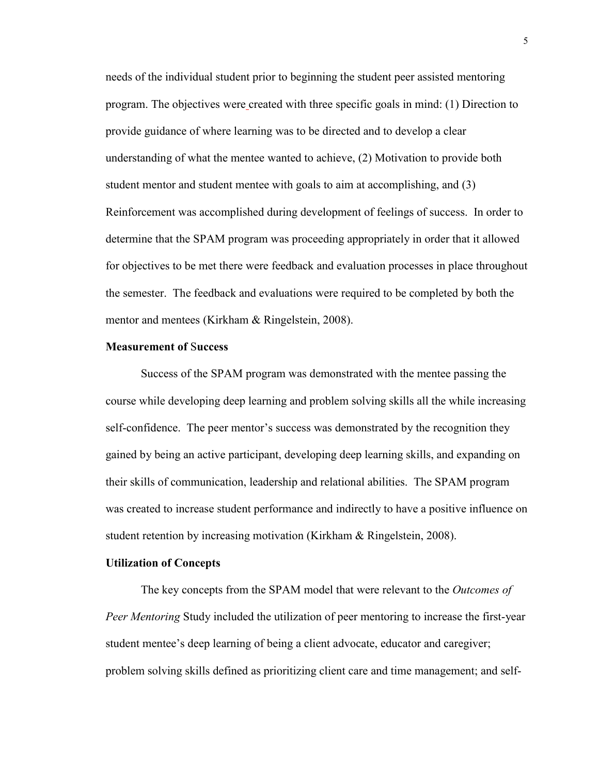needs of the individual student prior to beginning the student peer assisted mentoring program. The objectives were created with three specific goals in mind: (1) Direction to provide guidance of where learning was to be directed and to develop a clear understanding of what the mentee wanted to achieve, (2) Motivation to provide both student mentor and student mentee with goals to aim at accomplishing, and (3) Reinforcement was accomplished during development of feelings of success. In order to determine that the SPAM program was proceeding appropriately in order that it allowed for objectives to be met there were feedback and evaluation processes in place throughout the semester. The feedback and evaluations were required to be completed by both the mentor and mentees (Kirkham & Ringelstein, 2008).

#### **Measurement of** S**uccess**

Success of the SPAM program was demonstrated with the mentee passing the course while developing deep learning and problem solving skills all the while increasing self-confidence. The peer mentor's success was demonstrated by the recognition they gained by being an active participant, developing deep learning skills, and expanding on their skills of communication, leadership and relational abilities. The SPAM program was created to increase student performance and indirectly to have a positive influence on student retention by increasing motivation (Kirkham & Ringelstein, 2008).

#### **Utilization of Concepts**

The key concepts from the SPAM model that were relevant to the *Outcomes of Peer Mentoring* Study included the utilization of peer mentoring to increase the first-year student mentee's deep learning of being a client advocate, educator and caregiver; problem solving skills defined as prioritizing client care and time management; and self-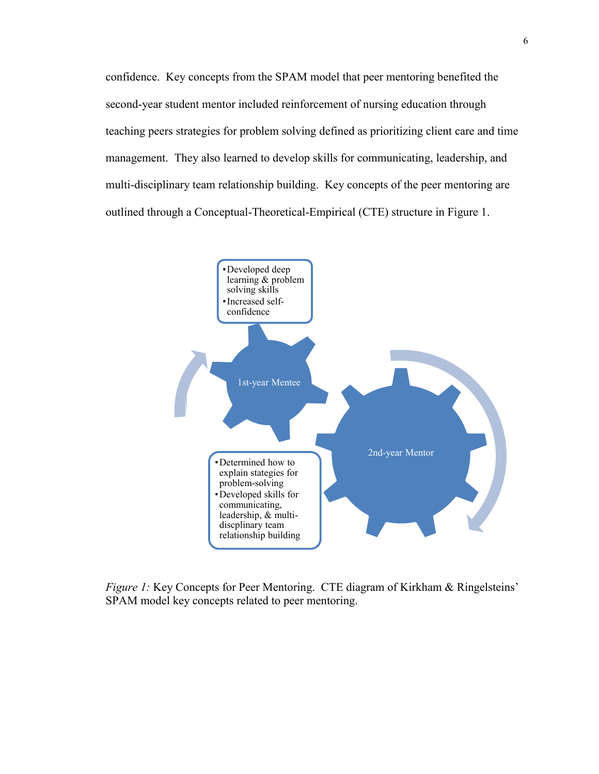confidence. Key concepts from the SPAM model that peer mentoring benefited the second-year student mentor included reinforcement of nursing education through teaching peers strategies for problem solving defined as prioritizing client care and time management. They also learned to develop skills for communicating, leadership, and multi-disciplinary team relationship building. Key concepts of the peer mentoring are outlined through a Conceptual-Theoretical-Empirical (CTE) structure in Figure 1.



*Figure 1:* Key Concepts for Peer Mentoring. CTE diagram of Kirkham & Ringelsteins' SPAM model key concepts related to peer mentoring.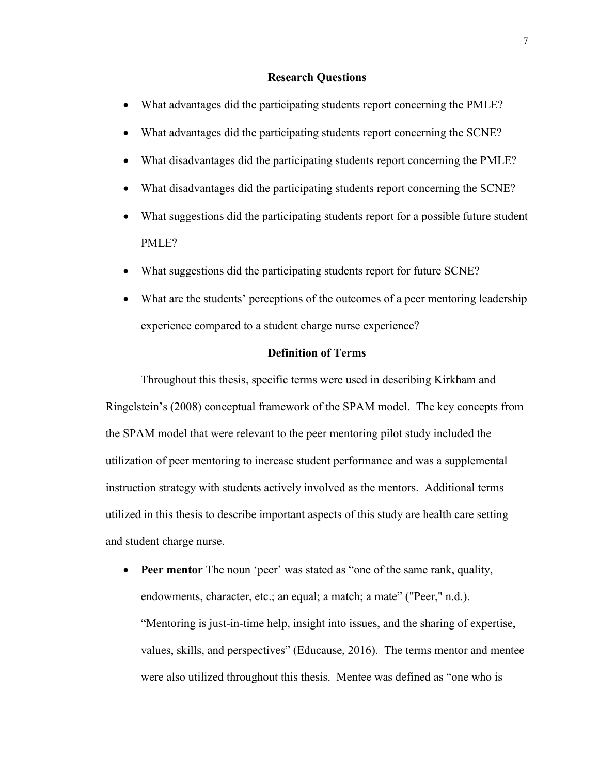#### **Research Questions**

- What advantages did the participating students report concerning the PMLE?
- What advantages did the participating students report concerning the SCNE?
- What disadvantages did the participating students report concerning the PMLE?
- What disadvantages did the participating students report concerning the SCNE?
- What suggestions did the participating students report for a possible future student PMLE?
- What suggestions did the participating students report for future SCNE?
- What are the students' perceptions of the outcomes of a peer mentoring leadership experience compared to a student charge nurse experience?

#### **Definition of Terms**

Throughout this thesis, specific terms were used in describing Kirkham and Ringelstein's (2008) conceptual framework of the SPAM model. The key concepts from the SPAM model that were relevant to the peer mentoring pilot study included the utilization of peer mentoring to increase student performance and was a supplemental instruction strategy with students actively involved as the mentors. Additional terms utilized in this thesis to describe important aspects of this study are health care setting and student charge nurse.

 **Peer mentor** The noun 'peer' was stated as "one of the same rank, quality, endowments, character, etc.; an equal; a match; a mate" ("Peer," n.d.). "Mentoring is just-in-time help, insight into issues, and the sharing of expertise, values, skills, and perspectives" (Educause, 2016). The terms mentor and mentee were also utilized throughout this thesis. Mentee was defined as "one who is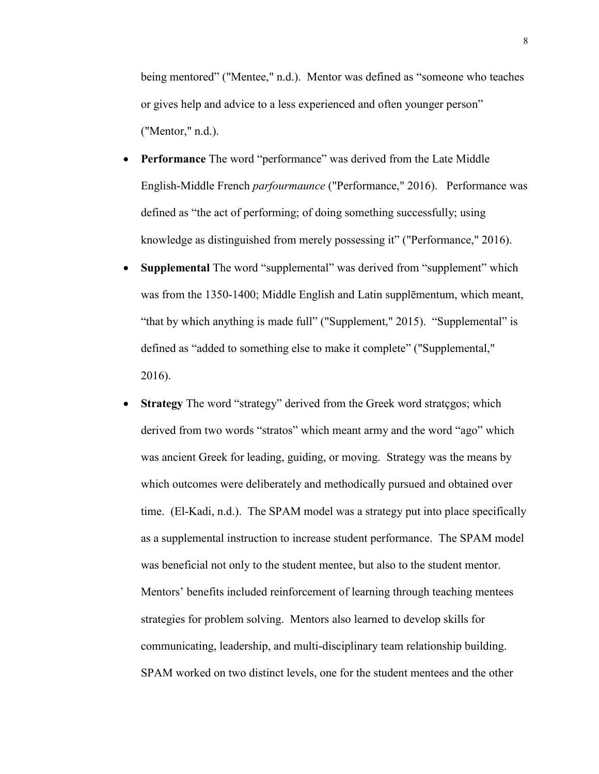being mentored" ("Mentee," n.d.). Mentor was defined as "someone who teaches or gives help and advice to a less experienced and often younger person" ("Mentor," n.d.).

- **Performance** The word "performance" was derived from the Late Middle English-Middle French *parfourmaunce* ("Performance," 2016). Performance was defined as "the act of performing; of doing something successfully; using knowledge as distinguished from merely possessing it" ("Performance," 2016).
- **Supplemental** The word "supplemental" was derived from "supplement" which was from the 1350-1400; Middle English and Latin supplēmentum, which meant, "that by which anything is made full" ("Supplement," 2015). "Supplemental" is defined as "added to something else to make it complete" ("Supplemental," 2016).
- **Strategy** The word "strategy" derived from the Greek word strategos; which derived from two words "stratos" which meant army and the word "ago" which was ancient Greek for leading, guiding, or moving. Strategy was the means by which outcomes were deliberately and methodically pursued and obtained over time. (El-Kadi, n.d.).The SPAM model was a strategy put into place specifically as a supplemental instruction to increase student performance. The SPAM model was beneficial not only to the student mentee, but also to the student mentor. Mentors' benefits included reinforcement of learning through teaching mentees strategies for problem solving. Mentors also learned to develop skills for communicating, leadership, and multi-disciplinary team relationship building. SPAM worked on two distinct levels, one for the student mentees and the other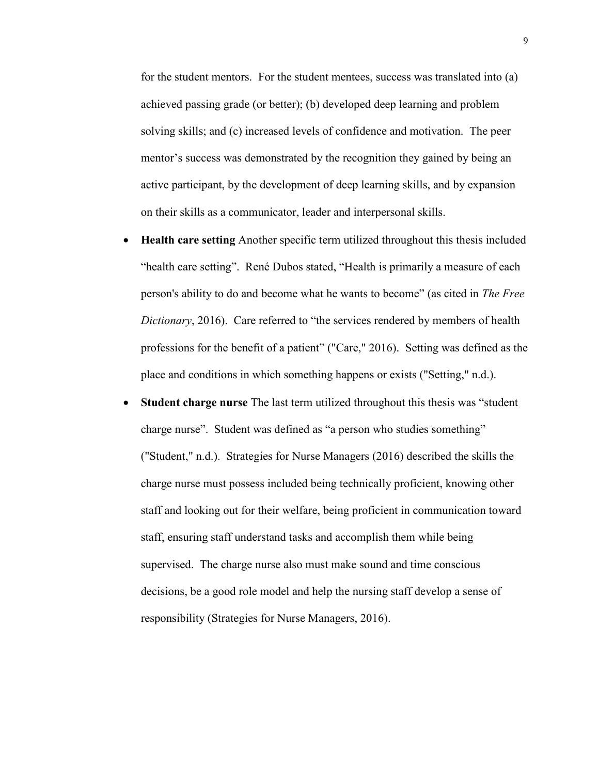for the student mentors. For the student mentees, success was translated into (a) achieved passing grade (or better); (b) developed deep learning and problem solving skills; and (c) increased levels of confidence and motivation. The peer mentor's success was demonstrated by the recognition they gained by being an active participant, by the development of deep learning skills, and by expansion on their skills as a communicator, leader and interpersonal skills.

- **Health care setting** Another specific term utilized throughout this thesis included "health care setting". René Dubos stated, "Health is primarily a measure of each person's ability to do and become what he wants to become" (as cited in *The Free Dictionary*, 2016). Care referred to "the services rendered by members of health professions for the benefit of a patient" ("Care," 2016). Setting was defined as the place and conditions in which something happens or exists ("Setting," n.d.).
- **Student charge nurse** The last term utilized throughout this thesis was "student charge nurse". Student was defined as "a person who studies something" ("Student," n.d.). Strategies for Nurse Managers (2016) described the skills the charge nurse must possess included being technically proficient, knowing other staff and looking out for their welfare, being proficient in communication toward staff, ensuring staff understand tasks and accomplish them while being supervised. The charge nurse also must make sound and time conscious decisions, be a good role model and help the nursing staff develop a sense of responsibility (Strategies for Nurse Managers, 2016).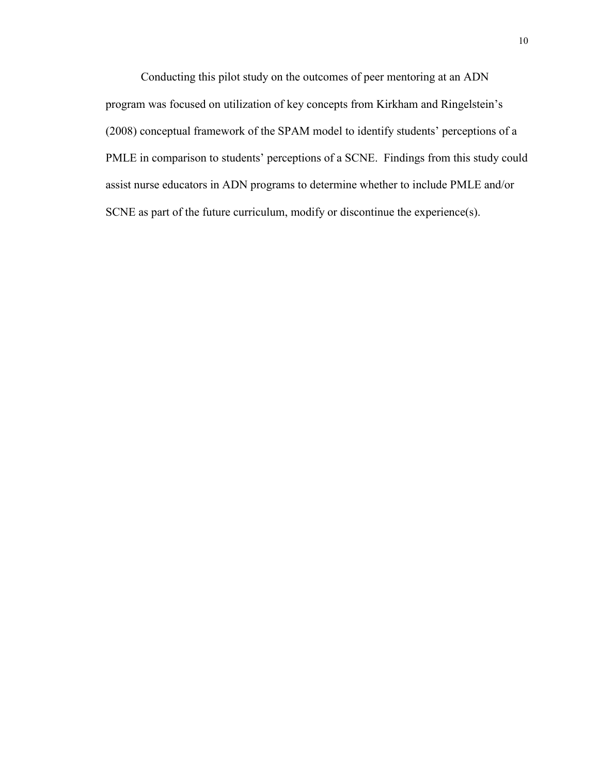Conducting this pilot study on the outcomes of peer mentoring at an ADN program was focused on utilization of key concepts from Kirkham and Ringelstein's (2008) conceptual framework of the SPAM model to identify students' perceptions of a PMLE in comparison to students' perceptions of a SCNE. Findings from this study could assist nurse educators in ADN programs to determine whether to include PMLE and/or SCNE as part of the future curriculum, modify or discontinue the experience(s).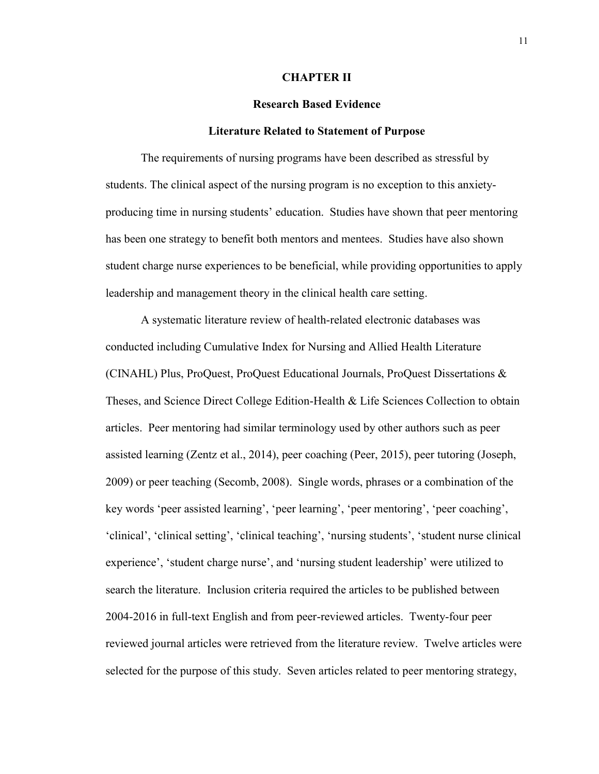#### **CHAPTER II**

#### **Research Based Evidence**

#### **Literature Related to Statement of Purpose**

The requirements of nursing programs have been described as stressful by students. The clinical aspect of the nursing program is no exception to this anxietyproducing time in nursing students' education. Studies have shown that peer mentoring has been one strategy to benefit both mentors and mentees. Studies have also shown student charge nurse experiences to be beneficial, while providing opportunities to apply leadership and management theory in the clinical health care setting.

A systematic literature review of health-related electronic databases was conducted including Cumulative Index for Nursing and Allied Health Literature (CINAHL) Plus, ProQuest, ProQuest Educational Journals, ProQuest Dissertations & Theses, and Science Direct College Edition-Health & Life Sciences Collection to obtain articles. Peer mentoring had similar terminology used by other authors such as peer assisted learning (Zentz et al., 2014), peer coaching (Peer, 2015), peer tutoring (Joseph, 2009) or peer teaching (Secomb, 2008). Single words, phrases or a combination of the key words 'peer assisted learning', 'peer learning', 'peer mentoring', 'peer coaching', 'clinical', 'clinical setting', 'clinical teaching', 'nursing students', 'student nurse clinical experience', 'student charge nurse', and 'nursing student leadership' were utilized to search the literature. Inclusion criteria required the articles to be published between 2004-2016 in full-text English and from peer-reviewed articles. Twenty-four peer reviewed journal articles were retrieved from the literature review. Twelve articles were selected for the purpose of this study. Seven articles related to peer mentoring strategy,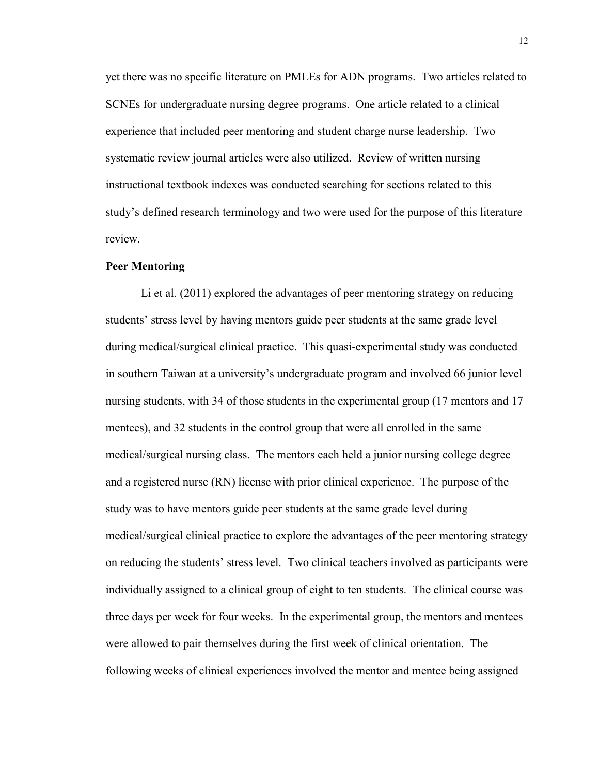yet there was no specific literature on PMLEs for ADN programs. Two articles related to SCNEs for undergraduate nursing degree programs. One article related to a clinical experience that included peer mentoring and student charge nurse leadership. Two systematic review journal articles were also utilized. Review of written nursing instructional textbook indexes was conducted searching for sections related to this study's defined research terminology and two were used for the purpose of this literature review.

#### **Peer Mentoring**

Li et al. (2011) explored the advantages of peer mentoring strategy on reducing students' stress level by having mentors guide peer students at the same grade level during medical/surgical clinical practice. This quasi-experimental study was conducted in southern Taiwan at a university's undergraduate program and involved 66 junior level nursing students, with 34 of those students in the experimental group (17 mentors and 17 mentees), and 32 students in the control group that were all enrolled in the same medical/surgical nursing class. The mentors each held a junior nursing college degree and a registered nurse (RN) license with prior clinical experience. The purpose of the study was to have mentors guide peer students at the same grade level during medical/surgical clinical practice to explore the advantages of the peer mentoring strategy on reducing the students' stress level. Two clinical teachers involved as participants were individually assigned to a clinical group of eight to ten students. The clinical course was three days per week for four weeks. In the experimental group, the mentors and mentees were allowed to pair themselves during the first week of clinical orientation. The following weeks of clinical experiences involved the mentor and mentee being assigned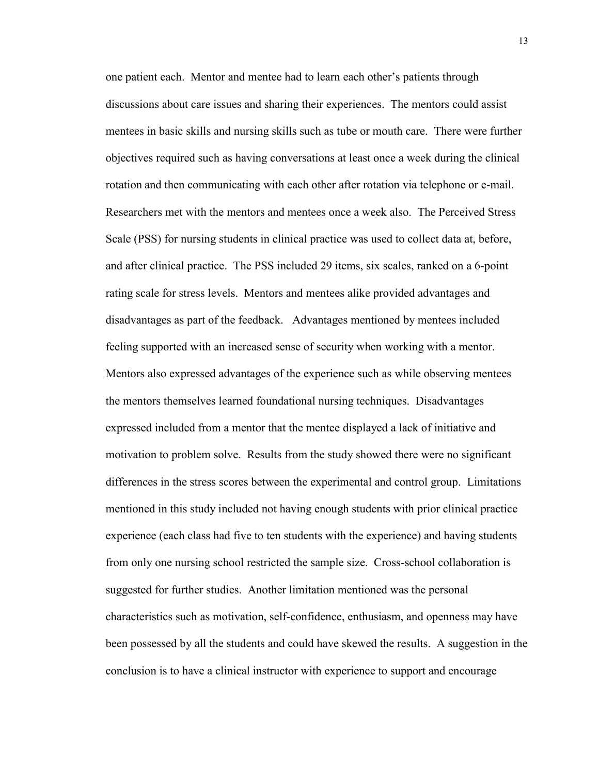one patient each. Mentor and mentee had to learn each other's patients through discussions about care issues and sharing their experiences. The mentors could assist mentees in basic skills and nursing skills such as tube or mouth care. There were further objectives required such as having conversations at least once a week during the clinical rotation and then communicating with each other after rotation via telephone or e-mail. Researchers met with the mentors and mentees once a week also. The Perceived Stress Scale (PSS) for nursing students in clinical practice was used to collect data at, before, and after clinical practice. The PSS included 29 items, six scales, ranked on a 6-point rating scale for stress levels. Mentors and mentees alike provided advantages and disadvantages as part of the feedback. Advantages mentioned by mentees included feeling supported with an increased sense of security when working with a mentor. Mentors also expressed advantages of the experience such as while observing mentees the mentors themselves learned foundational nursing techniques. Disadvantages expressed included from a mentor that the mentee displayed a lack of initiative and motivation to problem solve. Results from the study showed there were no significant differences in the stress scores between the experimental and control group. Limitations mentioned in this study included not having enough students with prior clinical practice experience (each class had five to ten students with the experience) and having students from only one nursing school restricted the sample size. Cross-school collaboration is suggested for further studies. Another limitation mentioned was the personal characteristics such as motivation, self-confidence, enthusiasm, and openness may have been possessed by all the students and could have skewed the results. A suggestion in the conclusion is to have a clinical instructor with experience to support and encourage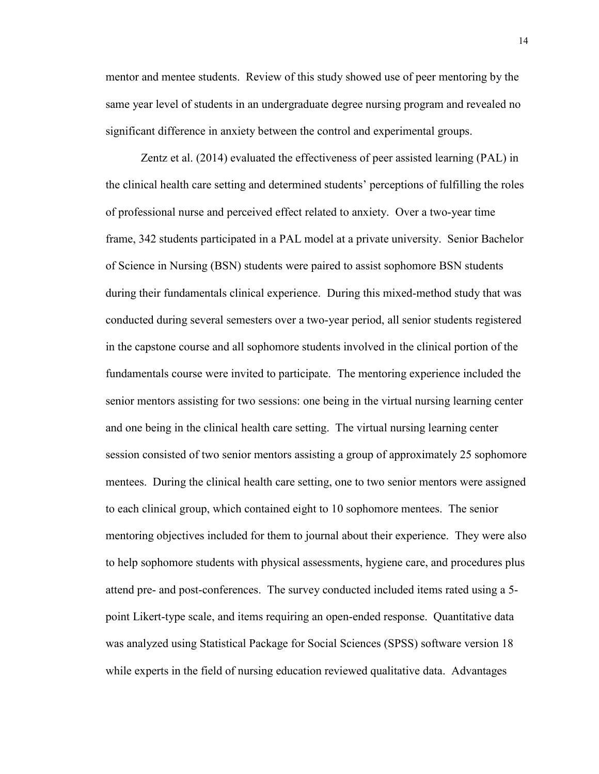mentor and mentee students. Review of this study showed use of peer mentoring by the same year level of students in an undergraduate degree nursing program and revealed no significant difference in anxiety between the control and experimental groups.

Zentz et al. (2014) evaluated the effectiveness of peer assisted learning (PAL) in the clinical health care setting and determined students' perceptions of fulfilling the roles of professional nurse and perceived effect related to anxiety. Over a two-year time frame, 342 students participated in a PAL model at a private university. Senior Bachelor of Science in Nursing (BSN) students were paired to assist sophomore BSN students during their fundamentals clinical experience. During this mixed-method study that was conducted during several semesters over a two-year period, all senior students registered in the capstone course and all sophomore students involved in the clinical portion of the fundamentals course were invited to participate. The mentoring experience included the senior mentors assisting for two sessions: one being in the virtual nursing learning center and one being in the clinical health care setting. The virtual nursing learning center session consisted of two senior mentors assisting a group of approximately 25 sophomore mentees. During the clinical health care setting, one to two senior mentors were assigned to each clinical group, which contained eight to 10 sophomore mentees. The senior mentoring objectives included for them to journal about their experience. They were also to help sophomore students with physical assessments, hygiene care, and procedures plus attend pre- and post-conferences. The survey conducted included items rated using a 5 point Likert-type scale, and items requiring an open-ended response. Quantitative data was analyzed using Statistical Package for Social Sciences (SPSS) software version 18 while experts in the field of nursing education reviewed qualitative data. Advantages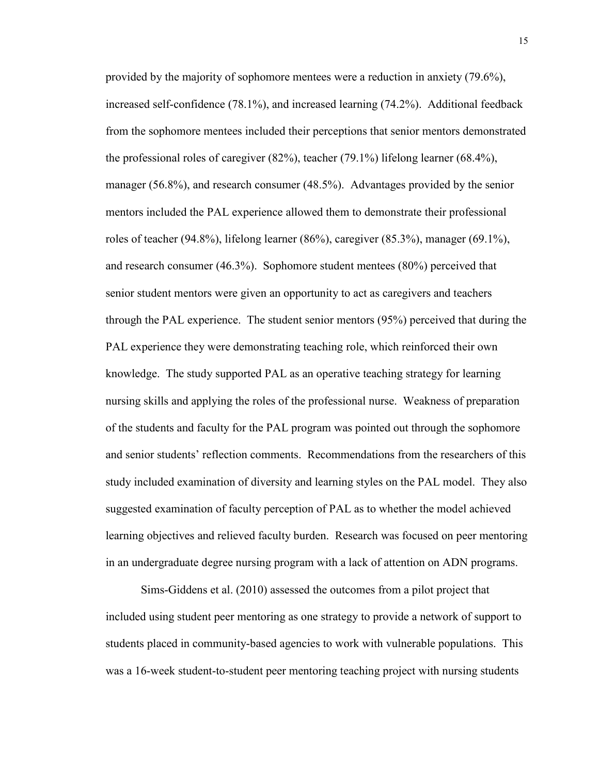provided by the majority of sophomore mentees were a reduction in anxiety (79.6%), increased self-confidence (78.1%), and increased learning (74.2%). Additional feedback from the sophomore mentees included their perceptions that senior mentors demonstrated the professional roles of caregiver (82%), teacher (79.1%) lifelong learner (68.4%), manager (56.8%), and research consumer (48.5%). Advantages provided by the senior mentors included the PAL experience allowed them to demonstrate their professional roles of teacher (94.8%), lifelong learner (86%), caregiver (85.3%), manager (69.1%), and research consumer (46.3%). Sophomore student mentees (80%) perceived that senior student mentors were given an opportunity to act as caregivers and teachers through the PAL experience. The student senior mentors (95%) perceived that during the PAL experience they were demonstrating teaching role, which reinforced their own knowledge. The study supported PAL as an operative teaching strategy for learning nursing skills and applying the roles of the professional nurse. Weakness of preparation of the students and faculty for the PAL program was pointed out through the sophomore and senior students' reflection comments. Recommendations from the researchers of this study included examination of diversity and learning styles on the PAL model. They also suggested examination of faculty perception of PAL as to whether the model achieved learning objectives and relieved faculty burden. Research was focused on peer mentoring in an undergraduate degree nursing program with a lack of attention on ADN programs.

Sims-Giddens et al. (2010) assessed the outcomes from a pilot project that included using student peer mentoring as one strategy to provide a network of support to students placed in community-based agencies to work with vulnerable populations.This was a 16-week student-to-student peer mentoring teaching project with nursing students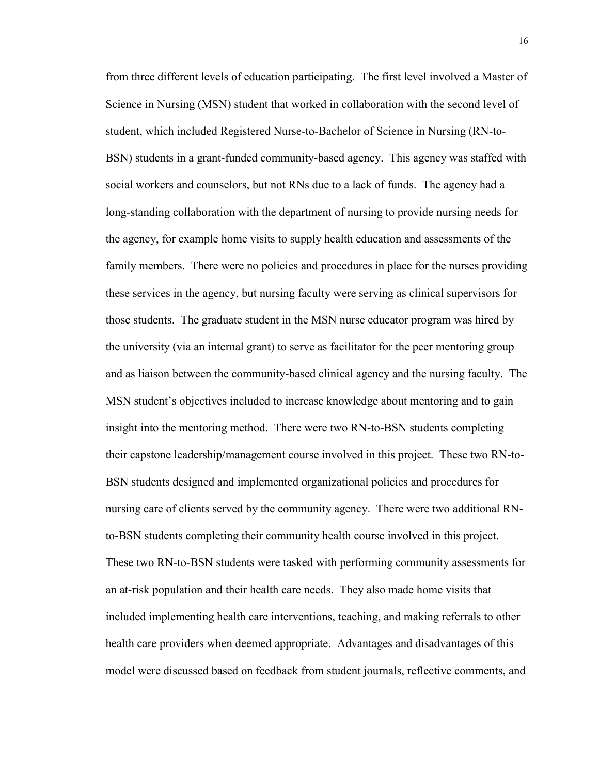from three different levels of education participating. The first level involved a Master of Science in Nursing (MSN) student that worked in collaboration with the second level of student, which included Registered Nurse-to-Bachelor of Science in Nursing (RN-to-BSN) students in a grant-funded community-based agency. This agency was staffed with social workers and counselors, but not RNs due to a lack of funds. The agency had a long-standing collaboration with the department of nursing to provide nursing needs for the agency, for example home visits to supply health education and assessments of the family members. There were no policies and procedures in place for the nurses providing these services in the agency, but nursing faculty were serving as clinical supervisors for those students. The graduate student in the MSN nurse educator program was hired by the university (via an internal grant) to serve as facilitator for the peer mentoring group and as liaison between the community-based clinical agency and the nursing faculty. The MSN student's objectives included to increase knowledge about mentoring and to gain insight into the mentoring method. There were two RN-to-BSN students completing their capstone leadership/management course involved in this project. These two RN-to-BSN students designed and implemented organizational policies and procedures for nursing care of clients served by the community agency. There were two additional RNto-BSN students completing their community health course involved in this project. These two RN-to-BSN students were tasked with performing community assessments for an at-risk population and their health care needs. They also made home visits that included implementing health care interventions, teaching, and making referrals to other health care providers when deemed appropriate. Advantages and disadvantages of this model were discussed based on feedback from student journals, reflective comments, and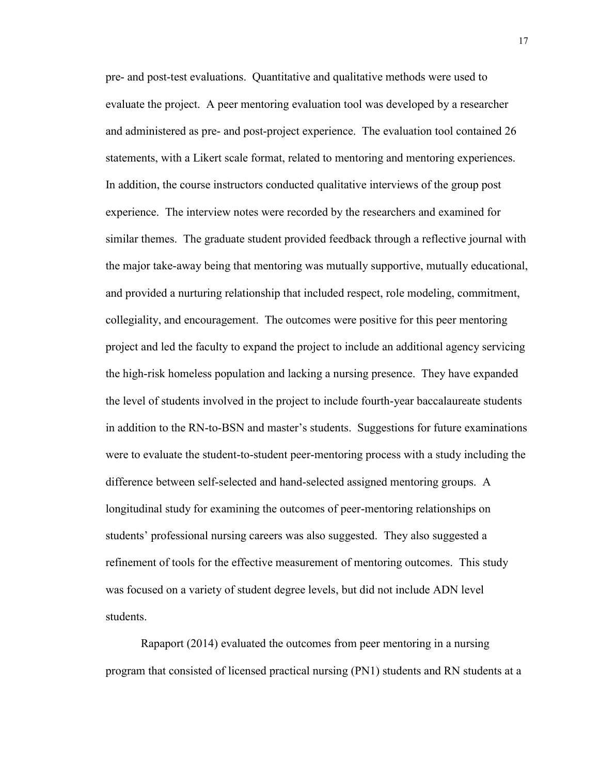pre- and post-test evaluations. Quantitative and qualitative methods were used to evaluate the project. A peer mentoring evaluation tool was developed by a researcher and administered as pre- and post-project experience. The evaluation tool contained 26 statements, with a Likert scale format, related to mentoring and mentoring experiences. In addition, the course instructors conducted qualitative interviews of the group post experience. The interview notes were recorded by the researchers and examined for similar themes. The graduate student provided feedback through a reflective journal with the major take-away being that mentoring was mutually supportive, mutually educational, and provided a nurturing relationship that included respect, role modeling, commitment, collegiality, and encouragement. The outcomes were positive for this peer mentoring project and led the faculty to expand the project to include an additional agency servicing the high-risk homeless population and lacking a nursing presence. They have expanded the level of students involved in the project to include fourth-year baccalaureate students in addition to the RN-to-BSN and master's students. Suggestions for future examinations were to evaluate the student-to-student peer-mentoring process with a study including the difference between self-selected and hand-selected assigned mentoring groups. A longitudinal study for examining the outcomes of peer-mentoring relationships on students' professional nursing careers was also suggested. They also suggested a refinement of tools for the effective measurement of mentoring outcomes. This study was focused on a variety of student degree levels, but did not include ADN level students.

Rapaport (2014) evaluated the outcomes from peer mentoring in a nursing program that consisted of licensed practical nursing (PN1) students and RN students at a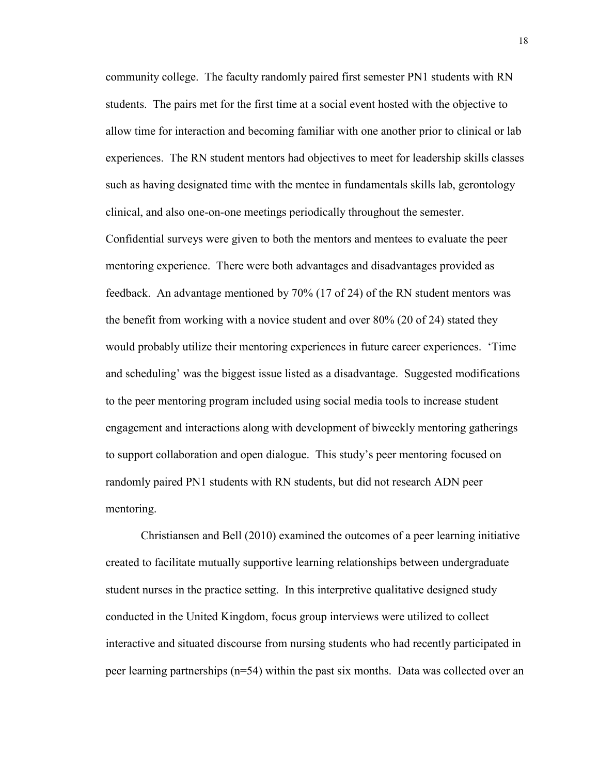community college. The faculty randomly paired first semester PN1 students with RN students. The pairs met for the first time at a social event hosted with the objective to allow time for interaction and becoming familiar with one another prior to clinical or lab experiences. The RN student mentors had objectives to meet for leadership skills classes such as having designated time with the mentee in fundamentals skills lab, gerontology clinical, and also one-on-one meetings periodically throughout the semester.

Confidential surveys were given to both the mentors and mentees to evaluate the peer mentoring experience. There were both advantages and disadvantages provided as feedback. An advantage mentioned by 70% (17 of 24) of the RN student mentors was the benefit from working with a novice student and over 80% (20 of 24) stated they would probably utilize their mentoring experiences in future career experiences. 'Time and scheduling' was the biggest issue listed as a disadvantage. Suggested modifications to the peer mentoring program included using social media tools to increase student engagement and interactions along with development of biweekly mentoring gatherings to support collaboration and open dialogue. This study's peer mentoring focused on randomly paired PN1 students with RN students, but did not research ADN peer mentoring.

Christiansen and Bell (2010) examined the outcomes of a peer learning initiative created to facilitate mutually supportive learning relationships between undergraduate student nurses in the practice setting. In this interpretive qualitative designed study conducted in the United Kingdom, focus group interviews were utilized to collect interactive and situated discourse from nursing students who had recently participated in peer learning partnerships (n=54) within the past six months. Data was collected over an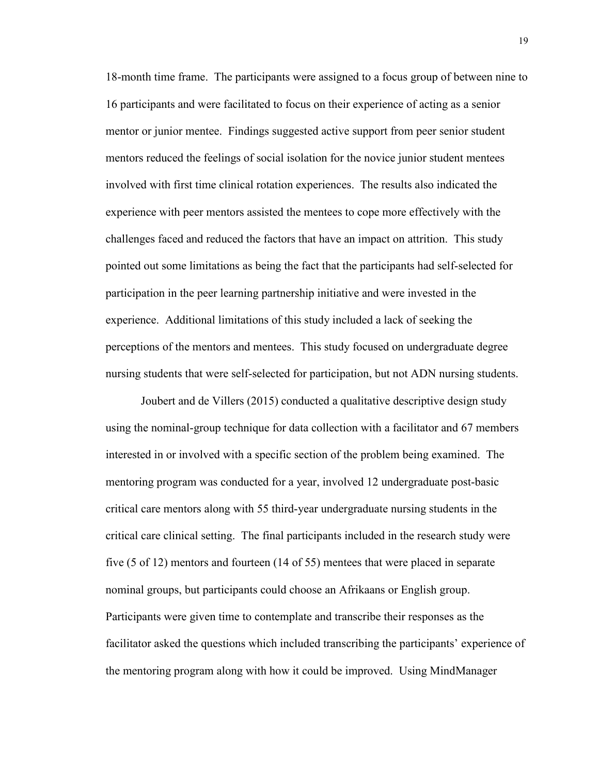18-month time frame. The participants were assigned to a focus group of between nine to 16 participants and were facilitated to focus on their experience of acting as a senior mentor or junior mentee. Findings suggested active support from peer senior student mentors reduced the feelings of social isolation for the novice junior student mentees involved with first time clinical rotation experiences. The results also indicated the experience with peer mentors assisted the mentees to cope more effectively with the challenges faced and reduced the factors that have an impact on attrition. This study pointed out some limitations as being the fact that the participants had self-selected for participation in the peer learning partnership initiative and were invested in the experience. Additional limitations of this study included a lack of seeking the perceptions of the mentors and mentees. This study focused on undergraduate degree nursing students that were self-selected for participation, but not ADN nursing students.

Joubert and de Villers (2015) conducted a qualitative descriptive design study using the nominal-group technique for data collection with a facilitator and 67 members interested in or involved with a specific section of the problem being examined. The mentoring program was conducted for a year, involved 12 undergraduate post-basic critical care mentors along with 55 third-year undergraduate nursing students in the critical care clinical setting. The final participants included in the research study were five (5 of 12) mentors and fourteen (14 of 55) mentees that were placed in separate nominal groups, but participants could choose an Afrikaans or English group. Participants were given time to contemplate and transcribe their responses as the facilitator asked the questions which included transcribing the participants' experience of the mentoring program along with how it could be improved. Using MindManager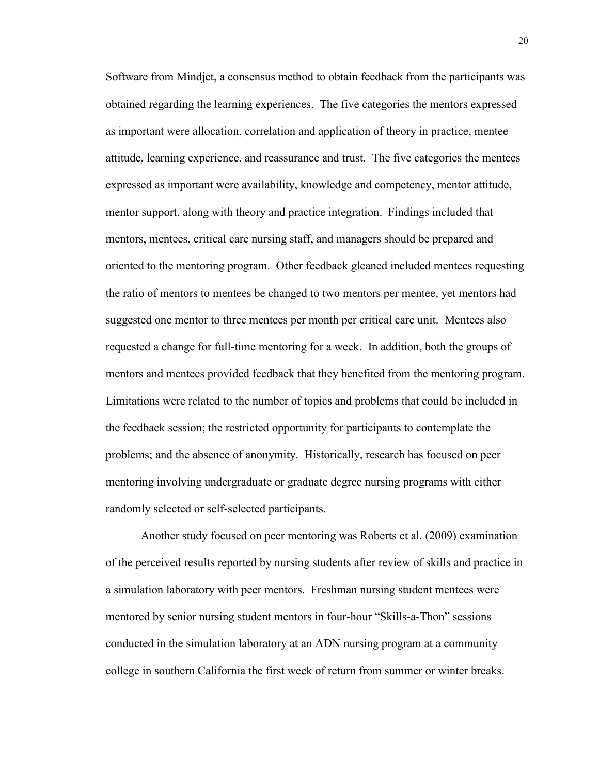Software from Mindjet, a consensus method to obtain feedback from the participants was obtained regarding the learning experiences. The five categories the mentors expressed as important were allocation, correlation and application of theory in practice, mentee attitude, learning experience, and reassurance and trust. The five categories the mentees expressed as important were availability, knowledge and competency, mentor attitude, mentor support, along with theory and practice integration. Findings included that mentors, mentees, critical care nursing staff, and managers should be prepared and oriented to the mentoring program. Other feedback gleaned included mentees requesting the ratio of mentors to mentees be changed to two mentors per mentee, yet mentors had suggested one mentor to three mentees per month per critical care unit. Mentees also requested a change for full-time mentoring for a week. In addition, both the groups of mentors and mentees provided feedback that they benefited from the mentoring program. Limitations were related to the number of topics and problems that could be included in the feedback session; the restricted opportunity for participants to contemplate the problems; and the absence of anonymity. Historically, research has focused on peer mentoring involving undergraduate or graduate degree nursing programs with either randomly selected or self-selected participants.

Another study focused on peer mentoring was Roberts et al. (2009) examination of the perceived results reported by nursing students after review of skills and practice in a simulation laboratory with peer mentors. Freshman nursing student mentees were mentored by senior nursing student mentors in four-hour "Skills-a-Thon" sessions conducted in the simulation laboratory at an ADN nursing program at a community college in southern California the first week of return from summer or winter breaks.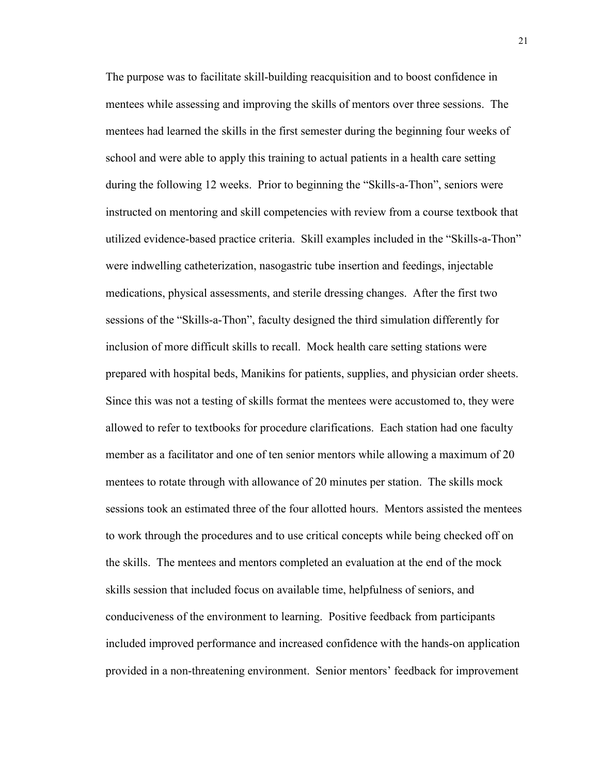The purpose was to facilitate skill-building reacquisition and to boost confidence in mentees while assessing and improving the skills of mentors over three sessions. The mentees had learned the skills in the first semester during the beginning four weeks of school and were able to apply this training to actual patients in a health care setting during the following 12 weeks. Prior to beginning the "Skills-a-Thon", seniors were instructed on mentoring and skill competencies with review from a course textbook that utilized evidence-based practice criteria. Skill examples included in the "Skills-a-Thon" were indwelling catheterization, nasogastric tube insertion and feedings, injectable medications, physical assessments, and sterile dressing changes. After the first two sessions of the "Skills-a-Thon", faculty designed the third simulation differently for inclusion of more difficult skills to recall. Mock health care setting stations were prepared with hospital beds, Manikins for patients, supplies, and physician order sheets. Since this was not a testing of skills format the mentees were accustomed to, they were allowed to refer to textbooks for procedure clarifications. Each station had one faculty member as a facilitator and one of ten senior mentors while allowing a maximum of 20 mentees to rotate through with allowance of 20 minutes per station. The skills mock sessions took an estimated three of the four allotted hours. Mentors assisted the mentees to work through the procedures and to use critical concepts while being checked off on the skills. The mentees and mentors completed an evaluation at the end of the mock skills session that included focus on available time, helpfulness of seniors, and conduciveness of the environment to learning. Positive feedback from participants included improved performance and increased confidence with the hands-on application provided in a non-threatening environment. Senior mentors' feedback for improvement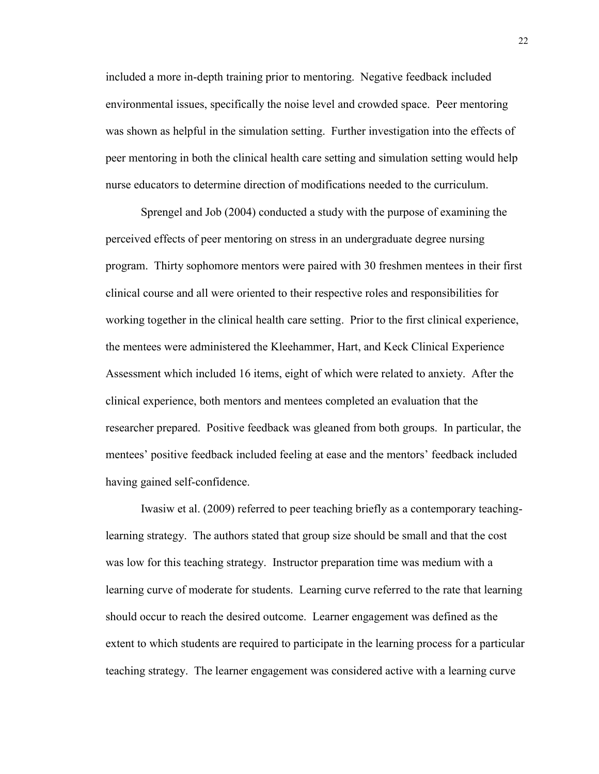included a more in-depth training prior to mentoring. Negative feedback included environmental issues, specifically the noise level and crowded space. Peer mentoring was shown as helpful in the simulation setting. Further investigation into the effects of peer mentoring in both the clinical health care setting and simulation setting would help nurse educators to determine direction of modifications needed to the curriculum.

Sprengel and Job (2004) conducted a study with the purpose of examining the perceived effects of peer mentoring on stress in an undergraduate degree nursing program. Thirty sophomore mentors were paired with 30 freshmen mentees in their first clinical course and all were oriented to their respective roles and responsibilities for working together in the clinical health care setting. Prior to the first clinical experience, the mentees were administered the Kleehammer, Hart, and Keck Clinical Experience Assessment which included 16 items, eight of which were related to anxiety. After the clinical experience, both mentors and mentees completed an evaluation that the researcher prepared. Positive feedback was gleaned from both groups. In particular, the mentees' positive feedback included feeling at ease and the mentors' feedback included having gained self-confidence.

Iwasiw et al. (2009) referred to peer teaching briefly as a contemporary teachinglearning strategy. The authors stated that group size should be small and that the cost was low for this teaching strategy. Instructor preparation time was medium with a learning curve of moderate for students. Learning curve referred to the rate that learning should occur to reach the desired outcome. Learner engagement was defined as the extent to which students are required to participate in the learning process for a particular teaching strategy. The learner engagement was considered active with a learning curve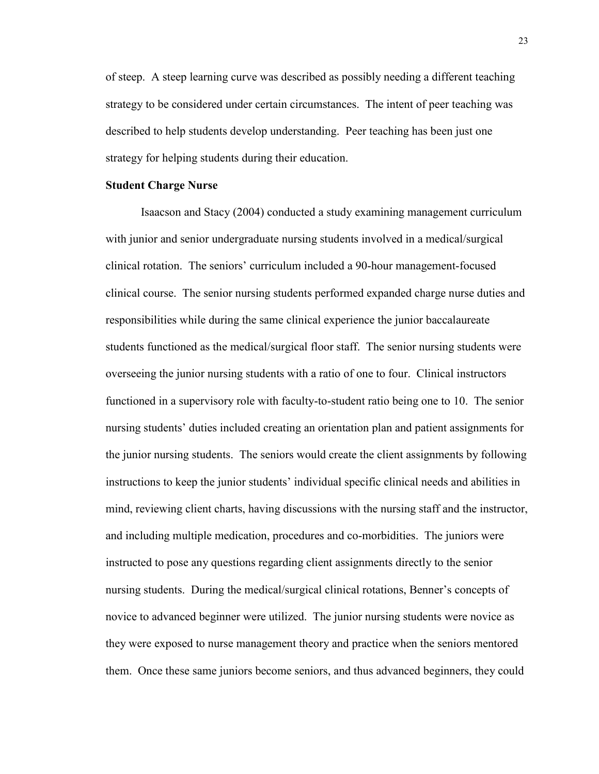of steep. A steep learning curve was described as possibly needing a different teaching strategy to be considered under certain circumstances. The intent of peer teaching was described to help students develop understanding. Peer teaching has been just one strategy for helping students during their education.

#### **Student Charge Nurse**

Isaacson and Stacy (2004) conducted a study examining management curriculum with junior and senior undergraduate nursing students involved in a medical/surgical clinical rotation. The seniors' curriculum included a 90-hour management-focused clinical course. The senior nursing students performed expanded charge nurse duties and responsibilities while during the same clinical experience the junior baccalaureate students functioned as the medical/surgical floor staff. The senior nursing students were overseeing the junior nursing students with a ratio of one to four. Clinical instructors functioned in a supervisory role with faculty-to-student ratio being one to 10. The senior nursing students' duties included creating an orientation plan and patient assignments for the junior nursing students. The seniors would create the client assignments by following instructions to keep the junior students' individual specific clinical needs and abilities in mind, reviewing client charts, having discussions with the nursing staff and the instructor, and including multiple medication, procedures and co-morbidities. The juniors were instructed to pose any questions regarding client assignments directly to the senior nursing students. During the medical/surgical clinical rotations, Benner's concepts of novice to advanced beginner were utilized. The junior nursing students were novice as they were exposed to nurse management theory and practice when the seniors mentored them. Once these same juniors become seniors, and thus advanced beginners, they could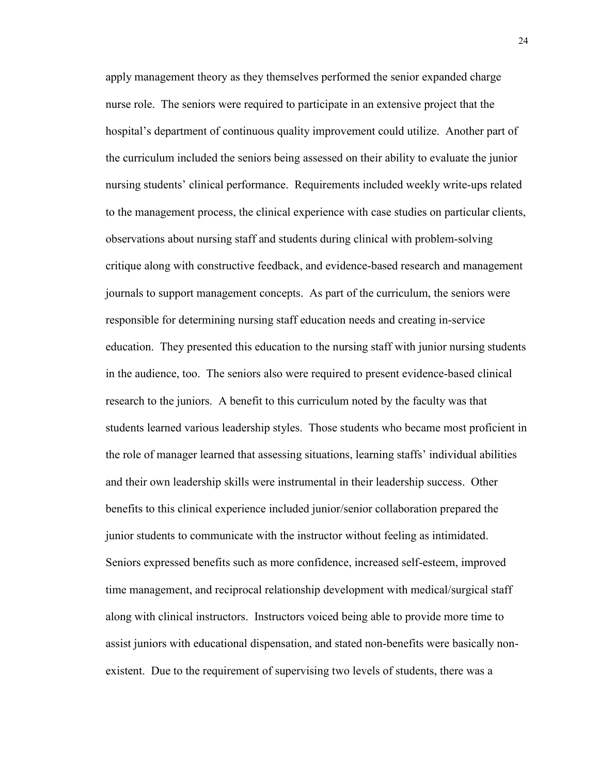apply management theory as they themselves performed the senior expanded charge nurse role. The seniors were required to participate in an extensive project that the hospital's department of continuous quality improvement could utilize. Another part of the curriculum included the seniors being assessed on their ability to evaluate the junior nursing students' clinical performance. Requirements included weekly write-ups related to the management process, the clinical experience with case studies on particular clients, observations about nursing staff and students during clinical with problem-solving critique along with constructive feedback, and evidence-based research and management journals to support management concepts. As part of the curriculum, the seniors were responsible for determining nursing staff education needs and creating in-service education. They presented this education to the nursing staff with junior nursing students in the audience, too. The seniors also were required to present evidence-based clinical research to the juniors. A benefit to this curriculum noted by the faculty was that students learned various leadership styles. Those students who became most proficient in the role of manager learned that assessing situations, learning staffs' individual abilities and their own leadership skills were instrumental in their leadership success. Other benefits to this clinical experience included junior/senior collaboration prepared the junior students to communicate with the instructor without feeling as intimidated. Seniors expressed benefits such as more confidence, increased self-esteem, improved time management, and reciprocal relationship development with medical/surgical staff along with clinical instructors. Instructors voiced being able to provide more time to assist juniors with educational dispensation, and stated non-benefits were basically nonexistent. Due to the requirement of supervising two levels of students, there was a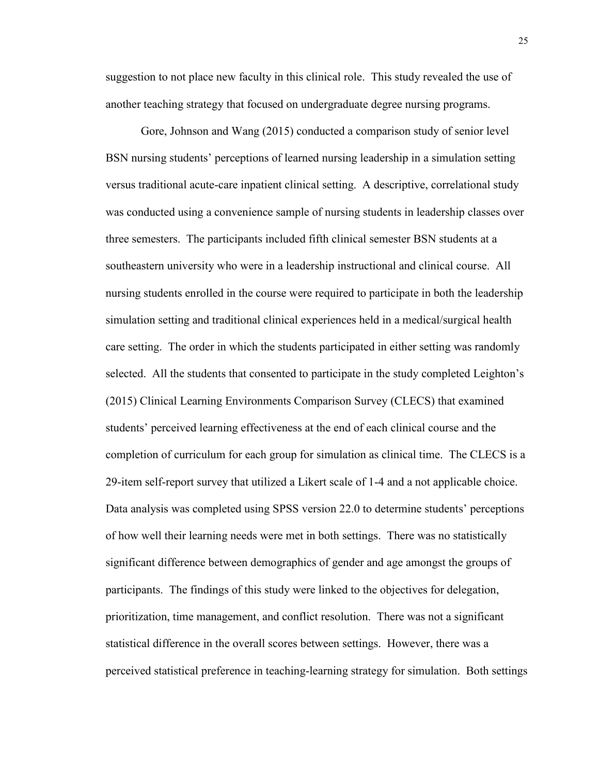suggestion to not place new faculty in this clinical role. This study revealed the use of another teaching strategy that focused on undergraduate degree nursing programs.

Gore, Johnson and Wang (2015) conducted a comparison study of senior level BSN nursing students' perceptions of learned nursing leadership in a simulation setting versus traditional acute-care inpatient clinical setting. A descriptive, correlational study was conducted using a convenience sample of nursing students in leadership classes over three semesters. The participants included fifth clinical semester BSN students at a southeastern university who were in a leadership instructional and clinical course. All nursing students enrolled in the course were required to participate in both the leadership simulation setting and traditional clinical experiences held in a medical/surgical health care setting. The order in which the students participated in either setting was randomly selected. All the students that consented to participate in the study completed Leighton's (2015) Clinical Learning Environments Comparison Survey (CLECS) that examined students' perceived learning effectiveness at the end of each clinical course and the completion of curriculum for each group for simulation as clinical time. The CLECS is a 29-item self-report survey that utilized a Likert scale of 1-4 and a not applicable choice. Data analysis was completed using SPSS version 22.0 to determine students' perceptions of how well their learning needs were met in both settings. There was no statistically significant difference between demographics of gender and age amongst the groups of participants. The findings of this study were linked to the objectives for delegation, prioritization, time management, and conflict resolution. There was not a significant statistical difference in the overall scores between settings. However, there was a perceived statistical preference in teaching-learning strategy for simulation. Both settings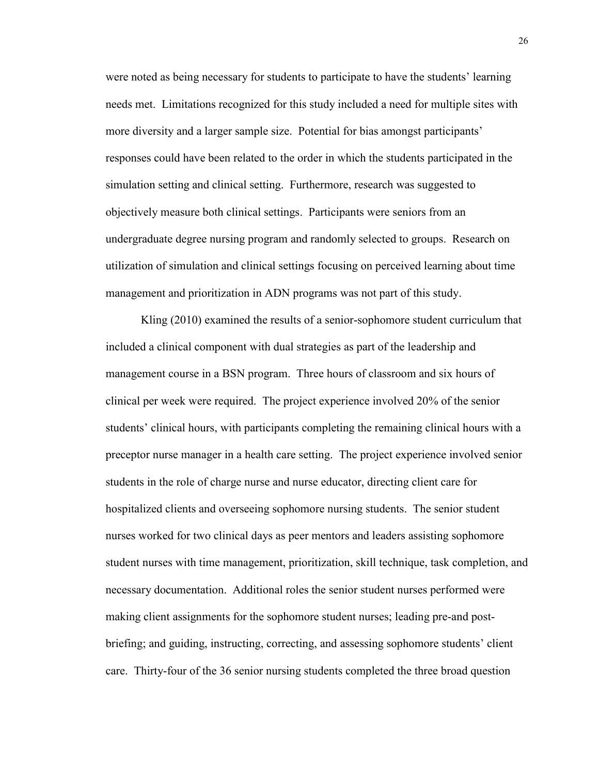were noted as being necessary for students to participate to have the students' learning needs met. Limitations recognized for this study included a need for multiple sites with more diversity and a larger sample size. Potential for bias amongst participants' responses could have been related to the order in which the students participated in the simulation setting and clinical setting. Furthermore, research was suggested to objectively measure both clinical settings. Participants were seniors from an undergraduate degree nursing program and randomly selected to groups. Research on utilization of simulation and clinical settings focusing on perceived learning about time management and prioritization in ADN programs was not part of this study.

Kling (2010) examined the results of a senior-sophomore student curriculum that included a clinical component with dual strategies as part of the leadership and management course in a BSN program. Three hours of classroom and six hours of clinical per week were required. The project experience involved 20% of the senior students' clinical hours, with participants completing the remaining clinical hours with a preceptor nurse manager in a health care setting. The project experience involved senior students in the role of charge nurse and nurse educator, directing client care for hospitalized clients and overseeing sophomore nursing students. The senior student nurses worked for two clinical days as peer mentors and leaders assisting sophomore student nurses with time management, prioritization, skill technique, task completion, and necessary documentation. Additional roles the senior student nurses performed were making client assignments for the sophomore student nurses; leading pre-and postbriefing; and guiding, instructing, correcting, and assessing sophomore students' client care. Thirty-four of the 36 senior nursing students completed the three broad question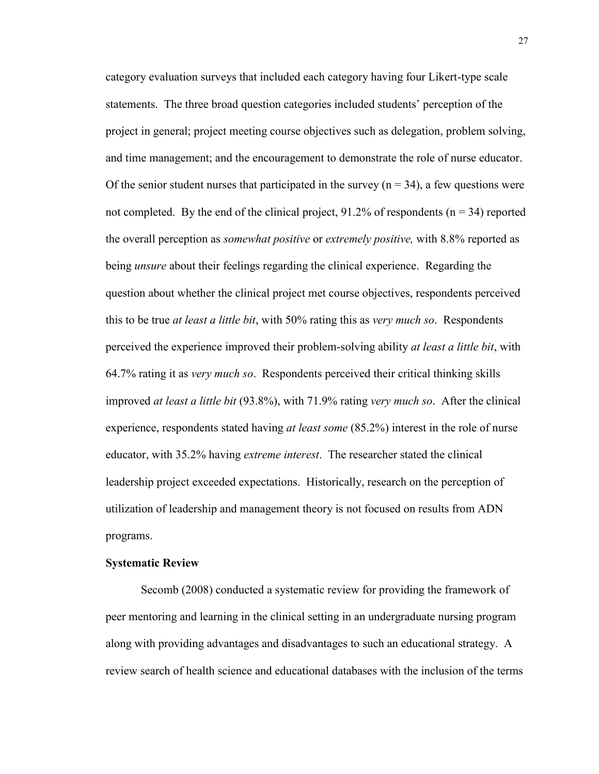category evaluation surveys that included each category having four Likert-type scale statements. The three broad question categories included students' perception of the project in general; project meeting course objectives such as delegation, problem solving, and time management; and the encouragement to demonstrate the role of nurse educator. Of the senior student nurses that participated in the survey  $(n = 34)$ , a few questions were not completed. By the end of the clinical project, 91.2% of respondents ( $n = 34$ ) reported the overall perception as *somewhat positive* or *extremely positive,* with 8.8% reported as being *unsure* about their feelings regarding the clinical experience. Regarding the question about whether the clinical project met course objectives, respondents perceived this to be true *at least a little bit*, with 50% rating this as *very much so*. Respondents perceived the experience improved their problem-solving ability *at least a little bit*, with 64.7% rating it as *very much so*. Respondents perceived their critical thinking skills improved *at least a little bit* (93.8%), with 71.9% rating *very much so*. After the clinical experience, respondents stated having *at least some* (85.2%) interest in the role of nurse educator, with 35.2% having *extreme interest*. The researcher stated the clinical leadership project exceeded expectations. Historically, research on the perception of utilization of leadership and management theory is not focused on results from ADN programs.

#### **Systematic Review**

Secomb (2008) conducted a systematic review for providing the framework of peer mentoring and learning in the clinical setting in an undergraduate nursing program along with providing advantages and disadvantages to such an educational strategy. A review search of health science and educational databases with the inclusion of the terms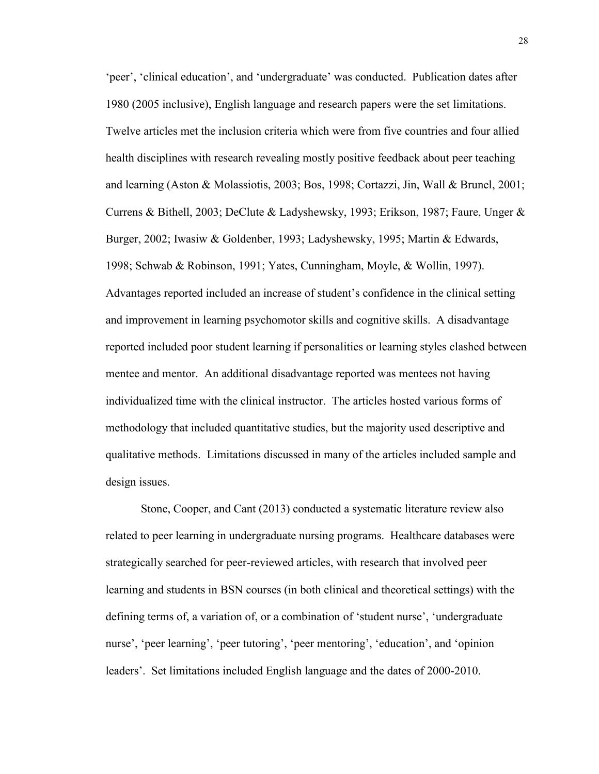'peer', 'clinical education', and 'undergraduate' was conducted. Publication dates after 1980 (2005 inclusive), English language and research papers were the set limitations. Twelve articles met the inclusion criteria which were from five countries and four allied health disciplines with research revealing mostly positive feedback about peer teaching and learning (Aston & Molassiotis, 2003; Bos, 1998; Cortazzi, Jin, Wall & Brunel, 2001; Currens & Bithell, 2003; DeClute & Ladyshewsky, 1993; Erikson, 1987; Faure, Unger & Burger, 2002; Iwasiw & Goldenber, 1993; Ladyshewsky, 1995; Martin & Edwards, 1998; Schwab & Robinson, 1991; Yates, Cunningham, Moyle, & Wollin, 1997). Advantages reported included an increase of student's confidence in the clinical setting and improvement in learning psychomotor skills and cognitive skills. A disadvantage reported included poor student learning if personalities or learning styles clashed between mentee and mentor. An additional disadvantage reported was mentees not having individualized time with the clinical instructor. The articles hosted various forms of methodology that included quantitative studies, but the majority used descriptive and qualitative methods. Limitations discussed in many of the articles included sample and design issues.

Stone, Cooper, and Cant (2013) conducted a systematic literature review also related to peer learning in undergraduate nursing programs. Healthcare databases were strategically searched for peer-reviewed articles, with research that involved peer learning and students in BSN courses (in both clinical and theoretical settings) with the defining terms of, a variation of, or a combination of 'student nurse', 'undergraduate nurse', 'peer learning', 'peer tutoring', 'peer mentoring', 'education', and 'opinion leaders'. Set limitations included English language and the dates of 2000-2010.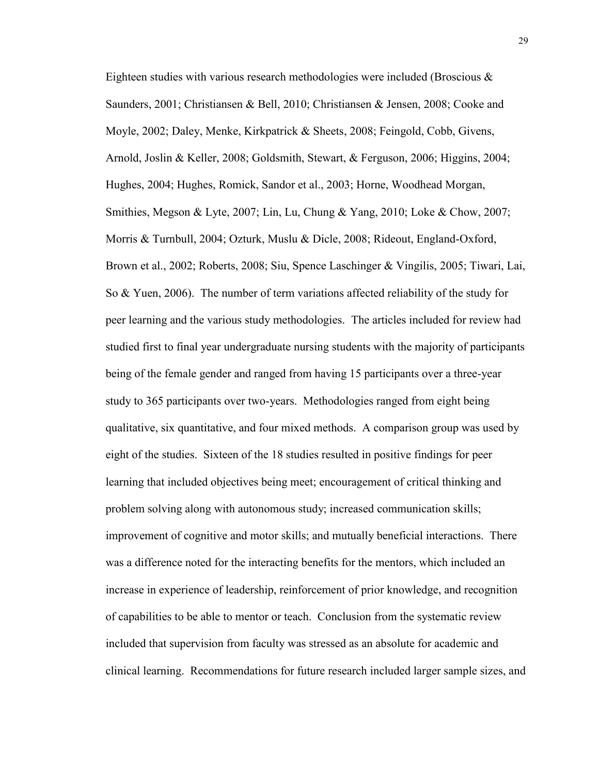Eighteen studies with various research methodologies were included (Broscious & Saunders, 2001; Christiansen & Bell, 2010; Christiansen & Jensen, 2008; Cooke and Moyle, 2002; Daley, Menke, Kirkpatrick & Sheets, 2008; Feingold, Cobb, Givens, Arnold, Joslin & Keller, 2008; Goldsmith, Stewart, & Ferguson, 2006; Higgins, 2004; Hughes, 2004; Hughes, Romick, Sandor et al., 2003; Horne, Woodhead Morgan, Smithies, Megson & Lyte, 2007; Lin, Lu, Chung & Yang, 2010; Loke & Chow, 2007; Morris & Turnbull, 2004; Ozturk, Muslu & Dicle, 2008; Rideout, England-Oxford, Brown et al., 2002; Roberts, 2008; Siu, Spence Laschinger & Vingilis, 2005; Tiwari, Lai, So & Yuen, 2006). The number of term variations affected reliability of the study for peer learning and the various study methodologies. The articles included for review had studied first to final year undergraduate nursing students with the majority of participants being of the female gender and ranged from having 15 participants over a three-year study to 365 participants over two-years. Methodologies ranged from eight being qualitative, six quantitative, and four mixed methods. A comparison group was used by eight of the studies. Sixteen of the 18 studies resulted in positive findings for peer learning that included objectives being meet; encouragement of critical thinking and problem solving along with autonomous study; increased communication skills; improvement of cognitive and motor skills; and mutually beneficial interactions. There was a difference noted for the interacting benefits for the mentors, which included an increase in experience of leadership, reinforcement of prior knowledge, and recognition of capabilities to be able to mentor or teach. Conclusion from the systematic review included that supervision from faculty was stressed as an absolute for academic and clinical learning. Recommendations for future research included larger sample sizes, and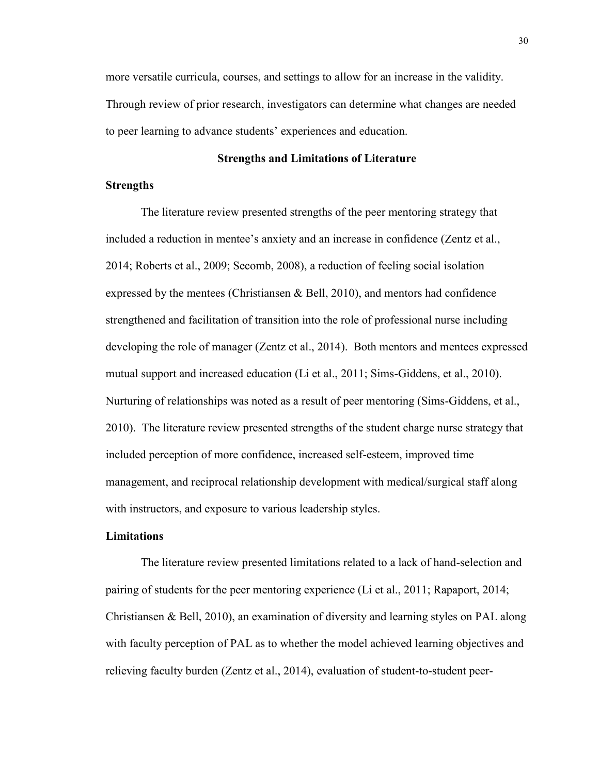more versatile curricula, courses, and settings to allow for an increase in the validity. Through review of prior research, investigators can determine what changes are needed to peer learning to advance students' experiences and education.

# **Strengths and Limitations of Literature**

# **Strengths**

The literature review presented strengths of the peer mentoring strategy that included a reduction in mentee's anxiety and an increase in confidence (Zentz et al., 2014; Roberts et al., 2009; Secomb, 2008), a reduction of feeling social isolation expressed by the mentees (Christiansen & Bell, 2010), and mentors had confidence strengthened and facilitation of transition into the role of professional nurse including developing the role of manager (Zentz et al., 2014). Both mentors and mentees expressed mutual support and increased education (Li et al., 2011; Sims-Giddens, et al., 2010). Nurturing of relationships was noted as a result of peer mentoring (Sims-Giddens, et al., 2010). The literature review presented strengths of the student charge nurse strategy that included perception of more confidence, increased self-esteem, improved time management, and reciprocal relationship development with medical/surgical staff along with instructors, and exposure to various leadership styles.

# **Limitations**

The literature review presented limitations related to a lack of hand-selection and pairing of students for the peer mentoring experience (Li et al., 2011; Rapaport, 2014; Christiansen & Bell, 2010), an examination of diversity and learning styles on PAL along with faculty perception of PAL as to whether the model achieved learning objectives and relieving faculty burden (Zentz et al., 2014), evaluation of student-to-student peer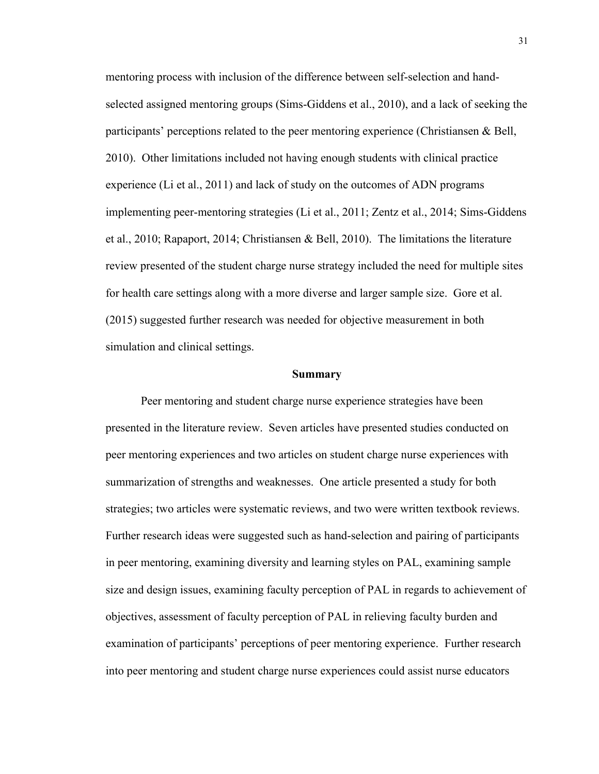mentoring process with inclusion of the difference between self-selection and handselected assigned mentoring groups (Sims-Giddens et al., 2010), and a lack of seeking the participants' perceptions related to the peer mentoring experience (Christiansen & Bell, 2010). Other limitations included not having enough students with clinical practice experience (Li et al., 2011) and lack of study on the outcomes of ADN programs implementing peer-mentoring strategies (Li et al., 2011; Zentz et al., 2014; Sims-Giddens et al., 2010; Rapaport, 2014; Christiansen & Bell, 2010). The limitations the literature review presented of the student charge nurse strategy included the need for multiple sites for health care settings along with a more diverse and larger sample size. Gore et al. (2015) suggested further research was needed for objective measurement in both simulation and clinical settings.

#### **Summary**

Peer mentoring and student charge nurse experience strategies have been presented in the literature review. Seven articles have presented studies conducted on peer mentoring experiences and two articles on student charge nurse experiences with summarization of strengths and weaknesses. One article presented a study for both strategies; two articles were systematic reviews, and two were written textbook reviews. Further research ideas were suggested such as hand-selection and pairing of participants in peer mentoring, examining diversity and learning styles on PAL, examining sample size and design issues, examining faculty perception of PAL in regards to achievement of objectives, assessment of faculty perception of PAL in relieving faculty burden and examination of participants' perceptions of peer mentoring experience. Further research into peer mentoring and student charge nurse experiences could assist nurse educators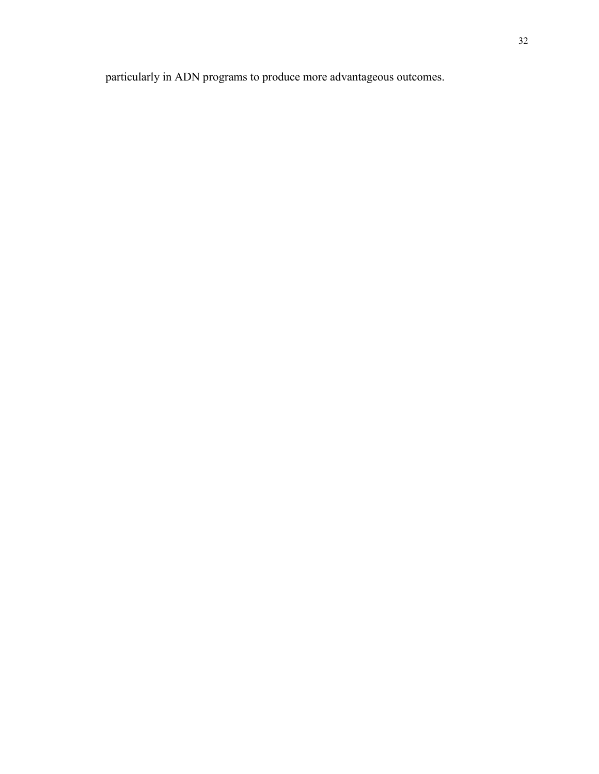particularly in ADN programs to produce more advantageous outcomes.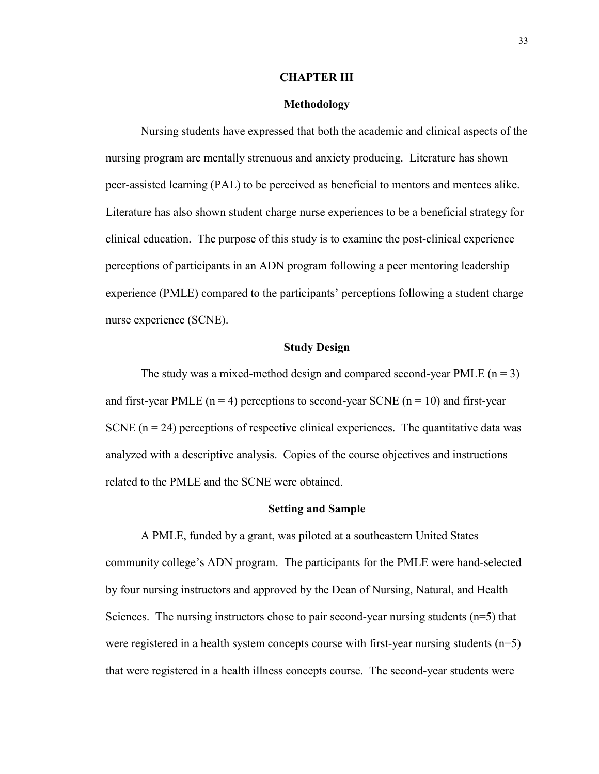## **CHAPTER III**

# **Methodology**

Nursing students have expressed that both the academic and clinical aspects of the nursing program are mentally strenuous and anxiety producing. Literature has shown peer-assisted learning (PAL) to be perceived as beneficial to mentors and mentees alike. Literature has also shown student charge nurse experiences to be a beneficial strategy for clinical education. The purpose of this study is to examine the post-clinical experience perceptions of participants in an ADN program following a peer mentoring leadership experience (PMLE) compared to the participants' perceptions following a student charge nurse experience (SCNE).

## **Study Design**

The study was a mixed-method design and compared second-year PMLE  $(n = 3)$ and first-year PMLE ( $n = 4$ ) perceptions to second-year SCNE ( $n = 10$ ) and first-year SCNE  $(n = 24)$  perceptions of respective clinical experiences. The quantitative data was analyzed with a descriptive analysis. Copies of the course objectives and instructions related to the PMLE and the SCNE were obtained.

#### **Setting and Sample**

A PMLE, funded by a grant, was piloted at a southeastern United States community college's ADN program. The participants for the PMLE were hand-selected by four nursing instructors and approved by the Dean of Nursing, Natural, and Health Sciences. The nursing instructors chose to pair second-year nursing students (n=5) that were registered in a health system concepts course with first-year nursing students (n=5) that were registered in a health illness concepts course. The second-year students were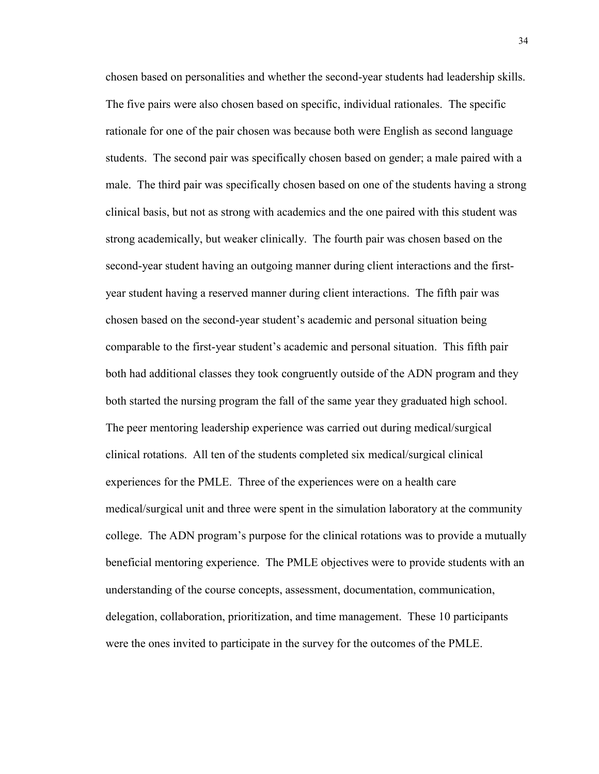chosen based on personalities and whether the second-year students had leadership skills. The five pairs were also chosen based on specific, individual rationales. The specific rationale for one of the pair chosen was because both were English as second language students. The second pair was specifically chosen based on gender; a male paired with a male. The third pair was specifically chosen based on one of the students having a strong clinical basis, but not as strong with academics and the one paired with this student was strong academically, but weaker clinically. The fourth pair was chosen based on the second-year student having an outgoing manner during client interactions and the firstyear student having a reserved manner during client interactions. The fifth pair was chosen based on the second-year student's academic and personal situation being comparable to the first-year student's academic and personal situation. This fifth pair both had additional classes they took congruently outside of the ADN program and they both started the nursing program the fall of the same year they graduated high school. The peer mentoring leadership experience was carried out during medical/surgical clinical rotations. All ten of the students completed six medical/surgical clinical experiences for the PMLE. Three of the experiences were on a health care medical/surgical unit and three were spent in the simulation laboratory at the community college. The ADN program's purpose for the clinical rotations was to provide a mutually beneficial mentoring experience. The PMLE objectives were to provide students with an understanding of the course concepts, assessment, documentation, communication, delegation, collaboration, prioritization, and time management. These 10 participants were the ones invited to participate in the survey for the outcomes of the PMLE.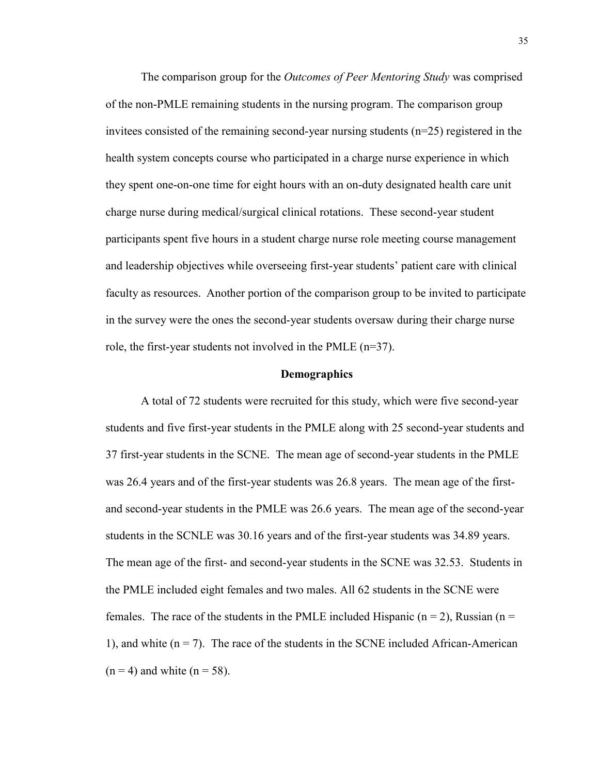The comparison group for the *Outcomes of Peer Mentoring Study* was comprised of the non-PMLE remaining students in the nursing program. The comparison group invitees consisted of the remaining second-year nursing students  $(n=25)$  registered in the health system concepts course who participated in a charge nurse experience in which they spent one-on-one time for eight hours with an on-duty designated health care unit charge nurse during medical/surgical clinical rotations. These second-year student participants spent five hours in a student charge nurse role meeting course management and leadership objectives while overseeing first-year students' patient care with clinical faculty as resources. Another portion of the comparison group to be invited to participate in the survey were the ones the second-year students oversaw during their charge nurse role, the first-year students not involved in the PMLE (n=37).

#### **Demographics**

A total of 72 students were recruited for this study, which were five second-year students and five first-year students in the PMLE along with 25 second-year students and 37 first-year students in the SCNE. The mean age of second-year students in the PMLE was 26.4 years and of the first-year students was 26.8 years. The mean age of the firstand second-year students in the PMLE was 26.6 years. The mean age of the second-year students in the SCNLE was 30.16 years and of the first-year students was 34.89 years. The mean age of the first- and second-year students in the SCNE was 32.53. Students in the PMLE included eight females and two males. All 62 students in the SCNE were females. The race of the students in the PMLE included Hispanic ( $n = 2$ ), Russian ( $n = 1$ ) 1), and white  $(n = 7)$ . The race of the students in the SCNE included African-American  $(n = 4)$  and white  $(n = 58)$ .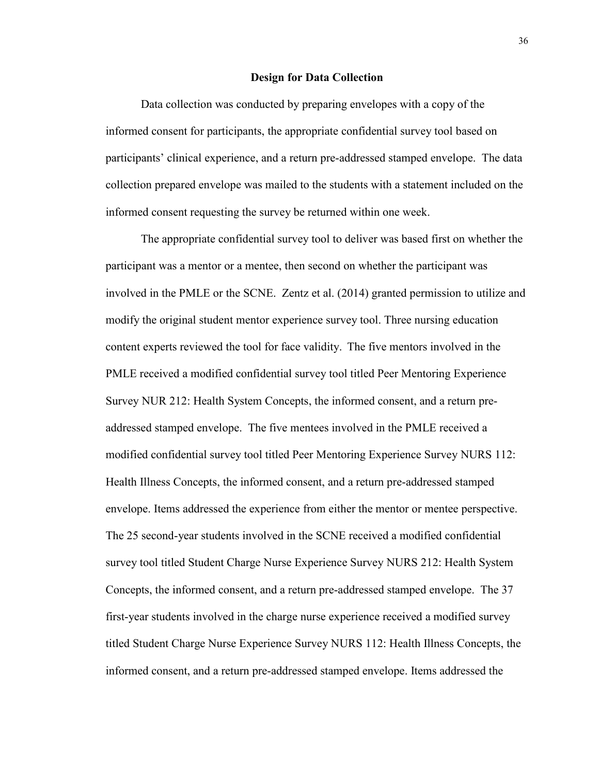## **Design for Data Collection**

Data collection was conducted by preparing envelopes with a copy of the informed consent for participants, the appropriate confidential survey tool based on participants' clinical experience, and a return pre-addressed stamped envelope. The data collection prepared envelope was mailed to the students with a statement included on the informed consent requesting the survey be returned within one week.

The appropriate confidential survey tool to deliver was based first on whether the participant was a mentor or a mentee, then second on whether the participant was involved in the PMLE or the SCNE. Zentz et al. (2014) granted permission to utilize and modify the original student mentor experience survey tool. Three nursing education content experts reviewed the tool for face validity. The five mentors involved in the PMLE received a modified confidential survey tool titled Peer Mentoring Experience Survey NUR 212: Health System Concepts, the informed consent, and a return preaddressed stamped envelope. The five mentees involved in the PMLE received a modified confidential survey tool titled Peer Mentoring Experience Survey NURS 112: Health Illness Concepts, the informed consent, and a return pre-addressed stamped envelope. Items addressed the experience from either the mentor or mentee perspective. The 25 second-year students involved in the SCNE received a modified confidential survey tool titled Student Charge Nurse Experience Survey NURS 212: Health System Concepts, the informed consent, and a return pre-addressed stamped envelope. The 37 first-year students involved in the charge nurse experience received a modified survey titled Student Charge Nurse Experience Survey NURS 112: Health Illness Concepts, the informed consent, and a return pre-addressed stamped envelope. Items addressed the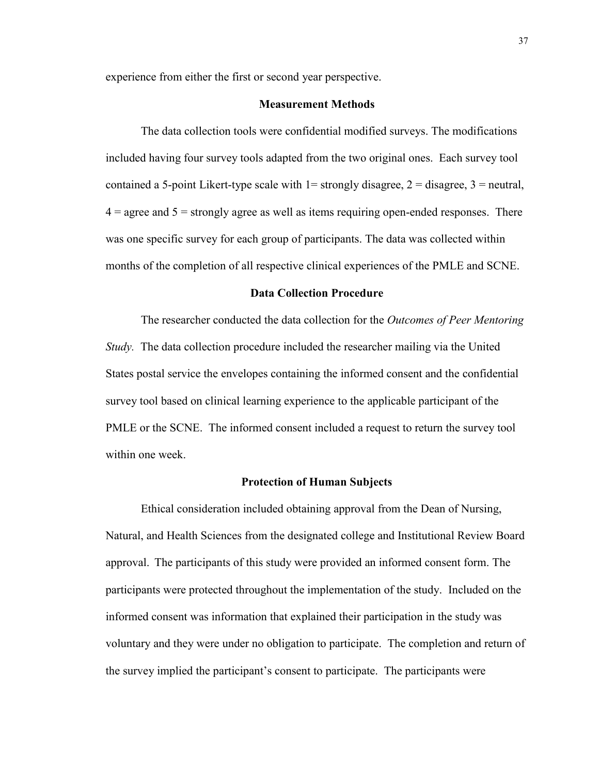experience from either the first or second year perspective.

## **Measurement Methods**

The data collection tools were confidential modified surveys. The modifications included having four survey tools adapted from the two original ones. Each survey tool contained a 5-point Likert-type scale with  $1=$  strongly disagree,  $2=$  disagree,  $3=$  neutral,  $4 =$  agree and  $5 =$  strongly agree as well as items requiring open-ended responses. There was one specific survey for each group of participants. The data was collected within months of the completion of all respective clinical experiences of the PMLE and SCNE.

## **Data Collection Procedure**

The researcher conducted the data collection for the *Outcomes of Peer Mentoring Study.* The data collection procedure included the researcher mailing via the United States postal service the envelopes containing the informed consent and the confidential survey tool based on clinical learning experience to the applicable participant of the PMLE or the SCNE. The informed consent included a request to return the survey tool within one week.

## **Protection of Human Subjects**

Ethical consideration included obtaining approval from the Dean of Nursing, Natural, and Health Sciences from the designated college and Institutional Review Board approval. The participants of this study were provided an informed consent form. The participants were protected throughout the implementation of the study. Included on the informed consent was information that explained their participation in the study was voluntary and they were under no obligation to participate. The completion and return of the survey implied the participant's consent to participate. The participants were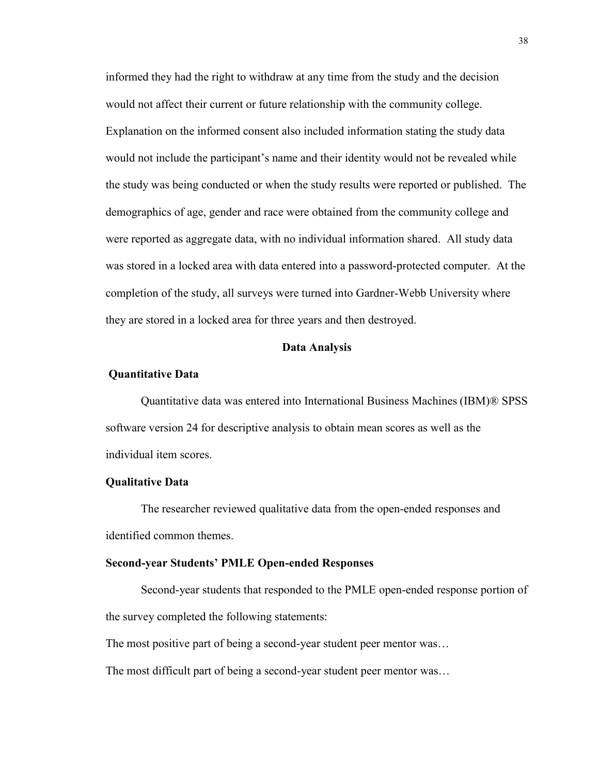informed they had the right to withdraw at any time from the study and the decision would not affect their current or future relationship with the community college. Explanation on the informed consent also included information stating the study data would not include the participant's name and their identity would not be revealed while the study was being conducted or when the study results were reported or published. The demographics of age, gender and race were obtained from the community college and were reported as aggregate data, with no individual information shared. All study data was stored in a locked area with data entered into a password-protected computer. At the completion of the study, all surveys were turned into Gardner-Webb University where they are stored in a locked area for three years and then destroyed.

#### **Data Analysis**

### **Quantitative Data**

Quantitative data was entered into International Business Machines (IBM)® SPSS software version 24 for descriptive analysis to obtain mean scores as well as the individual item scores.

#### **Qualitative Data**

The researcher reviewed qualitative data from the open-ended responses and identified common themes.

#### **Second-year Students' PMLE Open-ended Responses**

Second-year students that responded to the PMLE open-ended response portion of the survey completed the following statements:

The most positive part of being a second-year student peer mentor was…

The most difficult part of being a second-year student peer mentor was…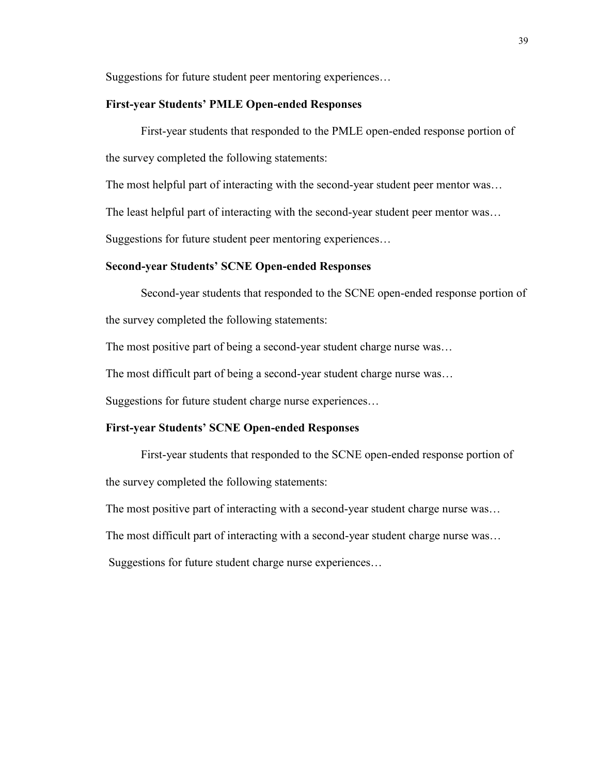Suggestions for future student peer mentoring experiences…

# **First-year Students' PMLE Open-ended Responses**

First-year students that responded to the PMLE open-ended response portion of the survey completed the following statements:

The most helpful part of interacting with the second-year student peer mentor was…

The least helpful part of interacting with the second-year student peer mentor was…

Suggestions for future student peer mentoring experiences…

# **Second-year Students' SCNE Open-ended Responses**

Second-year students that responded to the SCNE open-ended response portion of the survey completed the following statements:

The most positive part of being a second-year student charge nurse was…

The most difficult part of being a second-year student charge nurse was…

Suggestions for future student charge nurse experiences…

### **First-year Students' SCNE Open-ended Responses**

First-year students that responded to the SCNE open-ended response portion of the survey completed the following statements:

The most positive part of interacting with a second-year student charge nurse was…

The most difficult part of interacting with a second-year student charge nurse was…

Suggestions for future student charge nurse experiences…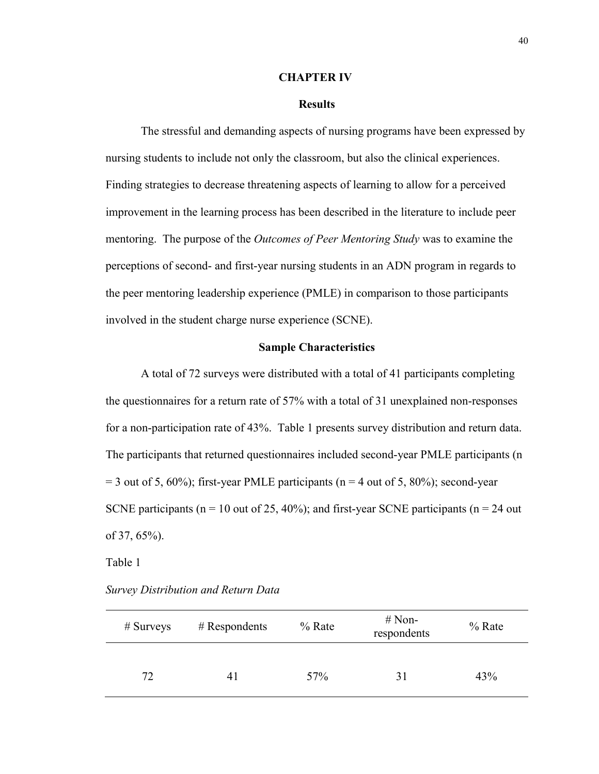## **CHAPTER IV**

## **Results**

The stressful and demanding aspects of nursing programs have been expressed by nursing students to include not only the classroom, but also the clinical experiences. Finding strategies to decrease threatening aspects of learning to allow for a perceived improvement in the learning process has been described in the literature to include peer mentoring. The purpose of the *Outcomes of Peer Mentoring Study* was to examine the perceptions of second- and first-year nursing students in an ADN program in regards to the peer mentoring leadership experience (PMLE) in comparison to those participants involved in the student charge nurse experience (SCNE).

# **Sample Characteristics**

A total of 72 surveys were distributed with a total of 41 participants completing the questionnaires for a return rate of 57% with a total of 31 unexplained non-responses for a non-participation rate of 43%. Table 1 presents survey distribution and return data. The participants that returned questionnaires included second-year PMLE participants (n  $= 3$  out of 5, 60%); first-year PMLE participants (n = 4 out of 5, 80%); second-year SCNE participants ( $n = 10$  out of 25, 40%); and first-year SCNE participants ( $n = 24$  out of 37, 65%).

#### Table 1

*Survey Distribution and Return Data*

| $#$ Surveys | $#$ Respondents | $%$ Rate | $# Non-$<br>respondents | $%$ Rate |
|-------------|-----------------|----------|-------------------------|----------|
| 72          | 4 I             | 57%      | 31                      | 43%      |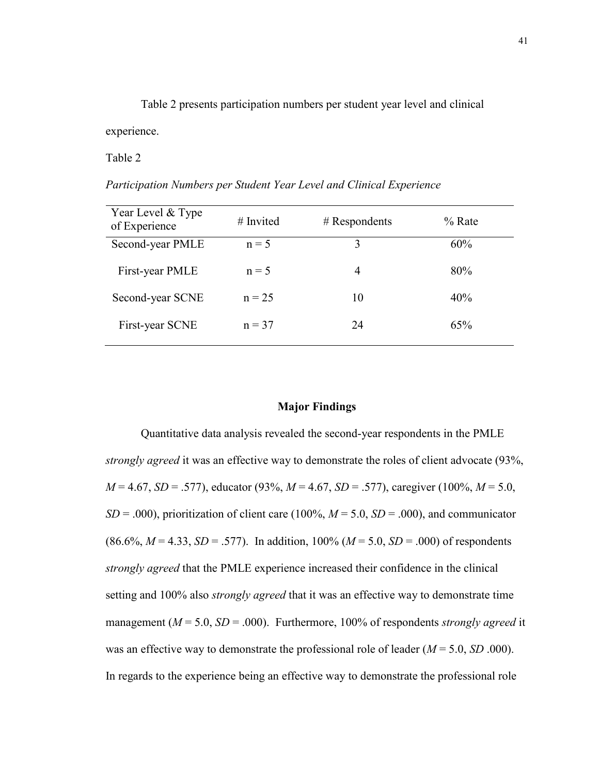Table 2 presents participation numbers per student year level and clinical experience.

Table 2

*Participation Numbers per Student Year Level and Clinical Experience*

| Year Level & Type<br>of Experience | $#$ Invited | $#$ Respondents | $%$ Rate |
|------------------------------------|-------------|-----------------|----------|
| Second-year PMLE                   | $n = 5$     | 3               | 60%      |
| First-year PMLE                    | $n = 5$     | 4               | 80%      |
| Second-year SCNE                   | $n = 25$    | 10              | 40%      |
| First-year SCNE                    | $n = 37$    | 24              | 65%      |

# **Major Findings**

Quantitative data analysis revealed the second-year respondents in the PMLE *strongly agreed* it was an effective way to demonstrate the roles of client advocate (93%, *M* = 4.67, *SD* = .577), educator (93%, *M* = 4.67, *SD* = .577), caregiver (100%, *M* = 5.0,  $SD = .000$ , prioritization of client care (100%,  $M = 5.0$ ,  $SD = .000$ ), and communicator  $(86.6\%, M = 4.33, SD = .577)$ . In addition, 100% ( $M = 5.0, SD = .000$ ) of respondents *strongly agreed* that the PMLE experience increased their confidence in the clinical setting and 100% also *strongly agreed* that it was an effective way to demonstrate time management (*M* = 5.0, *SD* = .000). Furthermore, 100% of respondents *strongly agreed* it was an effective way to demonstrate the professional role of leader (*M* = 5.0, *SD* .000). In regards to the experience being an effective way to demonstrate the professional role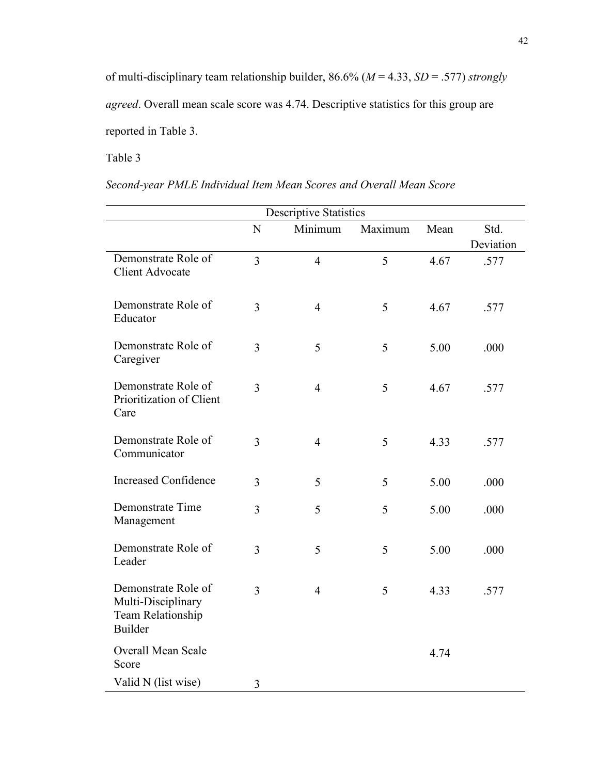of multi-disciplinary team relationship builder, 86.6% (*M* = 4.33, *SD* = .577) *strongly agreed*. Overall mean scale score was 4.74. Descriptive statistics for this group are reported in Table 3.

Table 3

| Second-year PMLE Individual Item Mean Scores and Overall Mean Score |  |  |  |  |  |  |  |  |  |
|---------------------------------------------------------------------|--|--|--|--|--|--|--|--|--|
|---------------------------------------------------------------------|--|--|--|--|--|--|--|--|--|

| <b>Descriptive Statistics</b>                                                           |                |                |         |      |           |  |  |
|-----------------------------------------------------------------------------------------|----------------|----------------|---------|------|-----------|--|--|
|                                                                                         | N              | Minimum        | Maximum | Mean | Std.      |  |  |
|                                                                                         |                |                |         |      | Deviation |  |  |
| Demonstrate Role of<br><b>Client Advocate</b>                                           | $\overline{3}$ | $\overline{4}$ | 5       | 4.67 | .577      |  |  |
| Demonstrate Role of<br>Educator                                                         | 3              | $\overline{4}$ | 5       | 4.67 | .577      |  |  |
| Demonstrate Role of<br>Caregiver                                                        | 3              | 5              | 5       | 5.00 | .000      |  |  |
| Demonstrate Role of<br>Prioritization of Client<br>Care                                 | 3              | $\overline{4}$ | 5       | 4.67 | .577      |  |  |
| Demonstrate Role of<br>Communicator                                                     | 3              | $\overline{4}$ | 5       | 4.33 | .577      |  |  |
| <b>Increased Confidence</b>                                                             | 3              | 5              | 5       | 5.00 | .000      |  |  |
| Demonstrate Time<br>Management                                                          | 3              | 5              | 5       | 5.00 | .000      |  |  |
| Demonstrate Role of<br>Leader                                                           | 3              | 5              | 5       | 5.00 | .000      |  |  |
| Demonstrate Role of<br>Multi-Disciplinary<br><b>Team Relationship</b><br><b>Builder</b> | 3              | $\overline{4}$ | 5       | 4.33 | .577      |  |  |
| <b>Overall Mean Scale</b><br>Score                                                      |                |                |         | 4.74 |           |  |  |
| Valid N (list wise)                                                                     | 3              |                |         |      |           |  |  |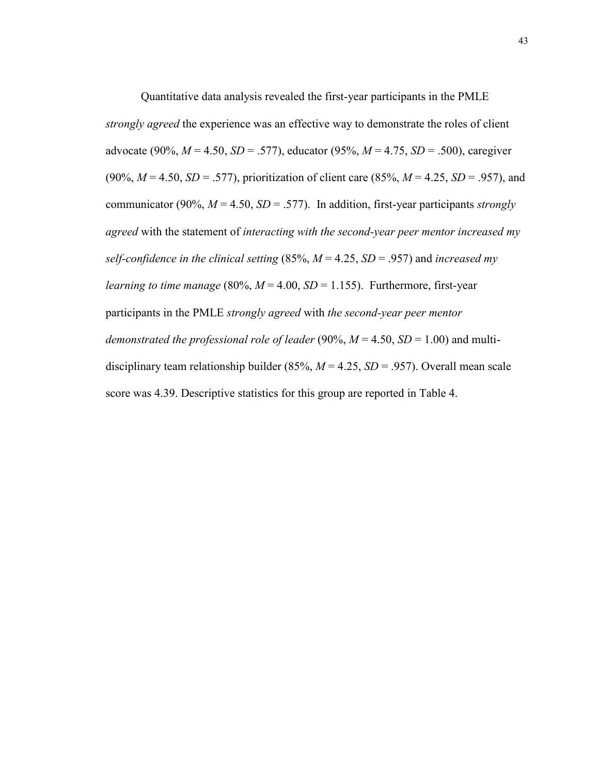Quantitative data analysis revealed the first-year participants in the PMLE *strongly agreed* the experience was an effective way to demonstrate the roles of client advocate (90%, *M* = 4.50, *SD* = .577), educator (95%, *M* = 4.75, *SD* = .500), caregiver (90%, *M* = 4.50, *SD* = .577), prioritization of client care (85%, *M* = 4.25, *SD* = .957), and communicator (90%,  $M = 4.50$ ,  $SD = .577$ ). In addition, first-year participants *strongly agreed* with the statement of *interacting with the second-year peer mentor increased my self-confidence in the clinical setting* (85%, *M* = 4.25, *SD* = .957) and *increased my learning to time manage* (80%,  $M = 4.00$ ,  $SD = 1.155$ ). Furthermore, first-year participants in the PMLE *strongly agreed* with *the second-year peer mentor demonstrated the professional role of leader* (90%,  $M = 4.50$ ,  $SD = 1.00$ ) and multidisciplinary team relationship builder (85%, *M* = 4.25, *SD* = .957). Overall mean scale score was 4.39. Descriptive statistics for this group are reported in Table 4.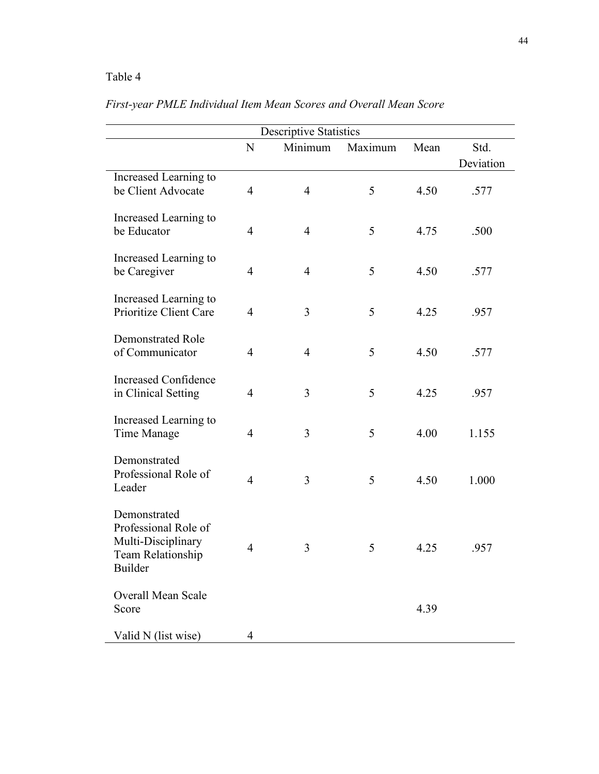# Table 4

| <b>Descriptive Statistics</b>                                                                     |                |                |         |      |                   |  |  |
|---------------------------------------------------------------------------------------------------|----------------|----------------|---------|------|-------------------|--|--|
|                                                                                                   | N              | Minimum        | Maximum | Mean | Std.<br>Deviation |  |  |
| Increased Learning to<br>be Client Advocate                                                       | $\overline{4}$ | $\overline{4}$ | 5       | 4.50 | .577              |  |  |
| Increased Learning to<br>be Educator                                                              | $\overline{4}$ | $\overline{4}$ | 5       | 4.75 | .500              |  |  |
| Increased Learning to<br>be Caregiver                                                             | $\overline{4}$ | $\overline{4}$ | 5       | 4.50 | .577              |  |  |
| Increased Learning to<br>Prioritize Client Care                                                   | $\overline{4}$ | 3              | 5       | 4.25 | .957              |  |  |
| <b>Demonstrated Role</b><br>of Communicator                                                       | $\overline{4}$ | $\overline{4}$ | 5       | 4.50 | .577              |  |  |
| <b>Increased Confidence</b><br>in Clinical Setting                                                | $\overline{4}$ | 3              | 5       | 4.25 | .957              |  |  |
| Increased Learning to<br>Time Manage                                                              | $\overline{4}$ | 3              | 5       | 4.00 | 1.155             |  |  |
| Demonstrated<br>Professional Role of<br>Leader                                                    | $\overline{4}$ | 3              | 5       | 4.50 | 1.000             |  |  |
| Demonstrated<br>Professional Role of<br>Multi-Disciplinary<br>Team Relationship<br><b>Builder</b> | $\overline{4}$ | 3              | 5       | 4.25 | .957              |  |  |
| <b>Overall Mean Scale</b><br>Score                                                                |                |                |         | 4.39 |                   |  |  |
| Valid N (list wise)                                                                               | 4              |                |         |      |                   |  |  |

# *First-year PMLE Individual Item Mean Scores and Overall Mean Score*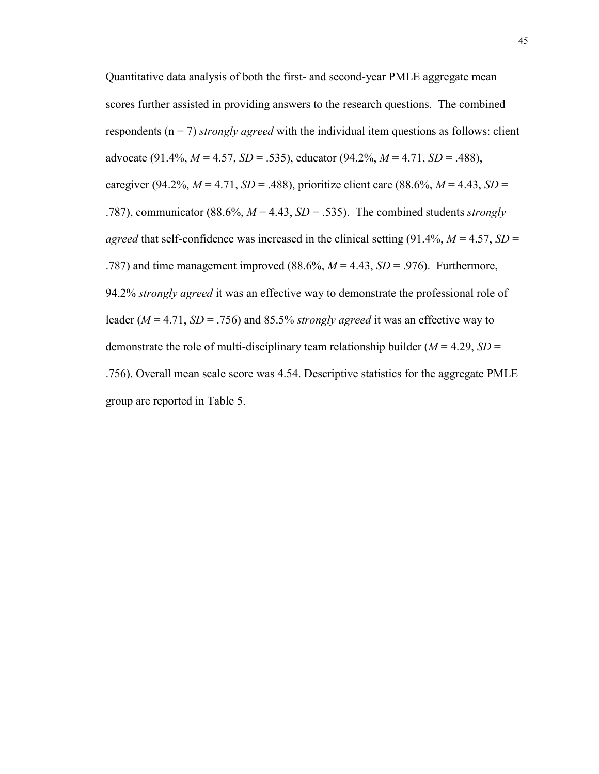Quantitative data analysis of both the first- and second-year PMLE aggregate mean scores further assisted in providing answers to the research questions. The combined respondents (n = 7) *strongly agreed* with the individual item questions as follows: client advocate (91.4%, *M* = 4.57, *SD* = .535), educator (94.2%, *M* = 4.71, *SD* = .488), caregiver (94.2%,  $M = 4.71$ ,  $SD = .488$ ), prioritize client care (88.6%,  $M = 4.43$ ,  $SD =$ .787), communicator (88.6%, *M* = 4.43, *SD* = .535). The combined students *strongly agreed* that self-confidence was increased in the clinical setting  $(91.4\%, M = 4.57, SD =$ .787) and time management improved  $(88.6\%, M = 4.43, SD = .976)$ . Furthermore, 94.2% *strongly agreed* it was an effective way to demonstrate the professional role of leader (*M* = 4.71, *SD* = .756) and 85.5% *strongly agreed* it was an effective way to demonstrate the role of multi-disciplinary team relationship builder  $(M = 4.29, SD =$ .756). Overall mean scale score was 4.54. Descriptive statistics for the aggregate PMLE group are reported in Table 5.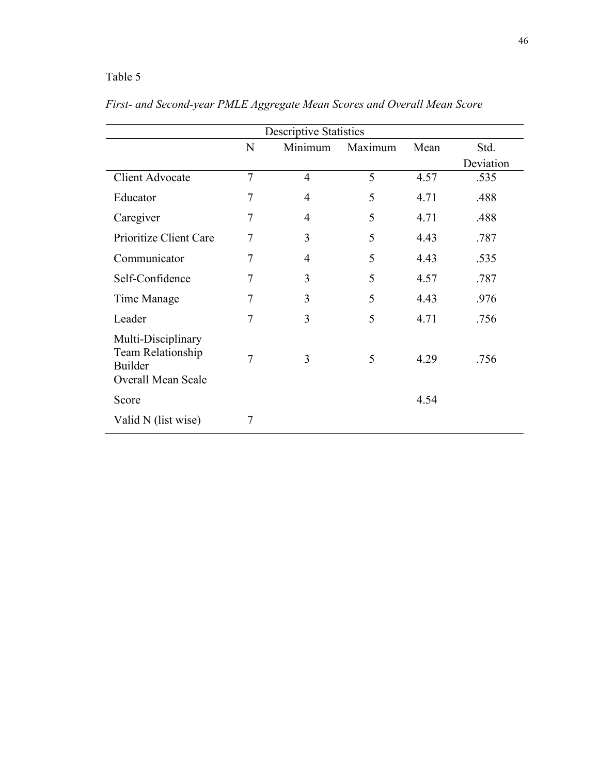# Table 5

| <b>Descriptive Statistics</b>                                                   |   |                |         |      |           |  |
|---------------------------------------------------------------------------------|---|----------------|---------|------|-----------|--|
|                                                                                 | N | Minimum        | Maximum | Mean | Std.      |  |
|                                                                                 |   |                |         |      | Deviation |  |
| <b>Client Advocate</b>                                                          | 7 | $\overline{4}$ | 5       | 4.57 | .535      |  |
| Educator                                                                        | 7 | $\overline{4}$ | 5       | 4.71 | .488      |  |
| Caregiver                                                                       | 7 | 4              | 5       | 4.71 | .488      |  |
| Prioritize Client Care                                                          | 7 | 3              | 5       | 4.43 | .787      |  |
| Communicator                                                                    | 7 | 4              | 5       | 4.43 | .535      |  |
| Self-Confidence                                                                 | 7 | 3              | 5       | 4.57 | .787      |  |
| Time Manage                                                                     | 7 | 3              | 5       | 4.43 | .976      |  |
| Leader                                                                          | 7 | 3              | 5       | 4.71 | .756      |  |
| Multi-Disciplinary<br>Team Relationship<br><b>Builder</b><br>Overall Mean Scale | 7 | 3              | 5       | 4.29 | .756      |  |
| Score                                                                           |   |                |         | 4.54 |           |  |
| Valid N (list wise)                                                             | 7 |                |         |      |           |  |

*First- and Second-year PMLE Aggregate Mean Scores and Overall Mean Score*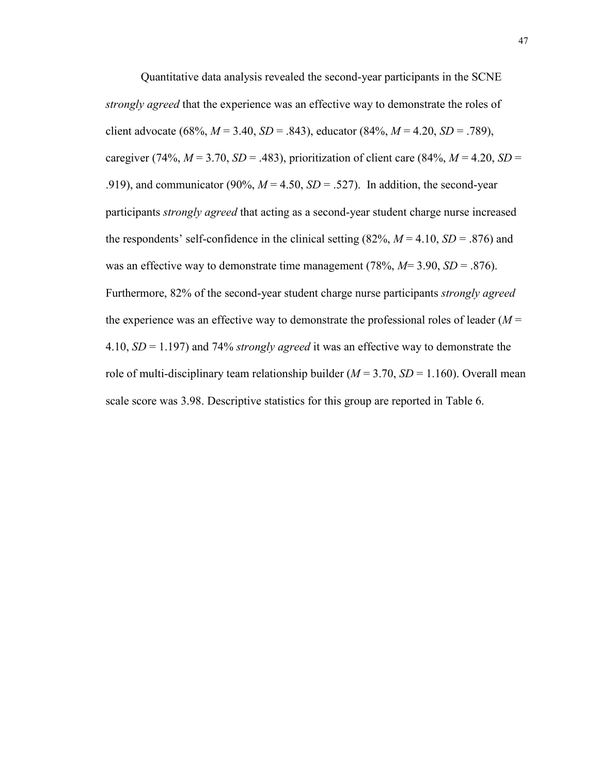Quantitative data analysis revealed the second-year participants in the SCNE *strongly agreed* that the experience was an effective way to demonstrate the roles of client advocate (68%,  $M = 3.40$ ,  $SD = .843$ ), educator (84%,  $M = 4.20$ ,  $SD = .789$ ), caregiver (74%,  $M = 3.70$ ,  $SD = .483$ ), prioritization of client care (84%,  $M = 4.20$ ,  $SD =$ .919), and communicator (90%,  $M = 4.50$ ,  $SD = .527$ ). In addition, the second-year participants *strongly agreed* that acting as a second-year student charge nurse increased the respondents' self-confidence in the clinical setting  $(82\%, M = 4.10, SD = .876)$  and was an effective way to demonstrate time management (78%,  $M=3.90$ ,  $SD=.876$ ). Furthermore, 82% of the second-year student charge nurse participants *strongly agreed* the experience was an effective way to demonstrate the professional roles of leader  $(M =$ 4.10, *SD* = 1.197) and 74% *strongly agreed* it was an effective way to demonstrate the role of multi-disciplinary team relationship builder  $(M = 3.70, SD = 1.160)$ . Overall mean scale score was 3.98. Descriptive statistics for this group are reported in Table 6.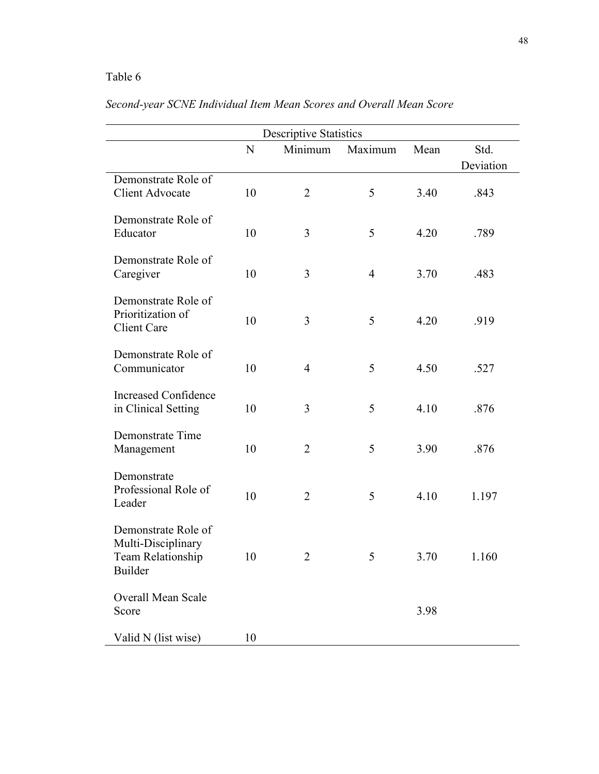# Table 6

|                                                                           | Descriptive Statistics |                |                |      |           |  |  |  |
|---------------------------------------------------------------------------|------------------------|----------------|----------------|------|-----------|--|--|--|
|                                                                           | N                      | Minimum        | Maximum        | Mean | Std.      |  |  |  |
|                                                                           |                        |                |                |      | Deviation |  |  |  |
| Demonstrate Role of<br><b>Client Advocate</b>                             | 10                     | $\overline{2}$ | 5              | 3.40 | .843      |  |  |  |
| Demonstrate Role of<br>Educator                                           | 10                     | 3              | 5              | 4.20 | .789      |  |  |  |
| Demonstrate Role of<br>Caregiver                                          | 10                     | 3              | $\overline{4}$ | 3.70 | .483      |  |  |  |
| Demonstrate Role of<br>Prioritization of<br><b>Client Care</b>            | 10                     | 3              | 5              | 4.20 | .919      |  |  |  |
| Demonstrate Role of<br>Communicator                                       | 10                     | $\overline{4}$ | 5              | 4.50 | .527      |  |  |  |
| <b>Increased Confidence</b><br>in Clinical Setting                        | 10                     | 3              | 5              | 4.10 | .876      |  |  |  |
| Demonstrate Time<br>Management                                            | 10                     | $\overline{2}$ | 5              | 3.90 | .876      |  |  |  |
| Demonstrate<br>Professional Role of<br>Leader                             | 10                     | $\overline{2}$ | 5              | 4.10 | 1.197     |  |  |  |
| Demonstrate Role of<br>Multi-Disciplinary<br>Team Relationship<br>Builder | 10                     | $\overline{2}$ | 5              | 3.70 | 1.160     |  |  |  |
| Overall Mean Scale<br>Score                                               |                        |                |                | 3.98 |           |  |  |  |
| Valid N (list wise)                                                       | 10                     |                |                |      |           |  |  |  |

# *Second-year SCNE Individual Item Mean Scores and Overall Mean Score*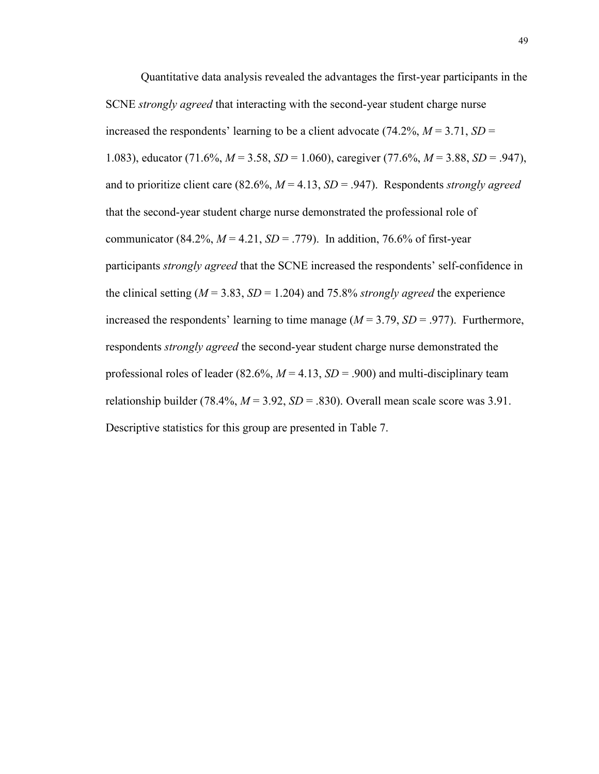Quantitative data analysis revealed the advantages the first-year participants in the SCNE *strongly agreed* that interacting with the second-year student charge nurse increased the respondents' learning to be a client advocate  $(74.2\%, M = 3.71, SD =$ 1.083), educator (71.6%, *M* = 3.58, *SD* = 1.060), caregiver (77.6%, *M* = 3.88, *SD* = .947), and to prioritize client care (82.6%, *M* = 4.13, *SD* = .947). Respondents *strongly agreed* that the second-year student charge nurse demonstrated the professional role of communicator (84.2%,  $M = 4.21$ ,  $SD = .779$ ). In addition, 76.6% of first-year participants *strongly agreed* that the SCNE increased the respondents' self-confidence in the clinical setting  $(M = 3.83, SD = 1.204)$  and 75.8% *strongly agreed* the experience increased the respondents' learning to time manage  $(M = 3.79, SD = .977)$ . Furthermore, respondents *strongly agreed* the second-year student charge nurse demonstrated the professional roles of leader (82.6%,  $M = 4.13$ ,  $SD = .900$ ) and multi-disciplinary team relationship builder (78.4%,  $M = 3.92$ ,  $SD = .830$ ). Overall mean scale score was 3.91. Descriptive statistics for this group are presented in Table 7.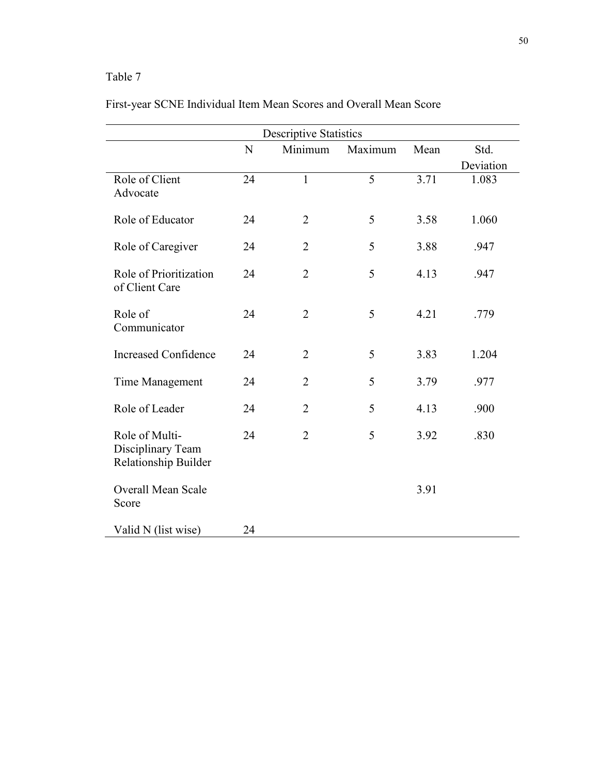# Table 7

| <b>Descriptive Statistics</b>                               |    |                |         |      |           |  |  |
|-------------------------------------------------------------|----|----------------|---------|------|-----------|--|--|
|                                                             | N  | Minimum        | Maximum | Mean | Std.      |  |  |
|                                                             |    |                |         |      | Deviation |  |  |
| Role of Client<br>Advocate                                  | 24 | $\mathbf{1}$   | 5       | 3.71 | 1.083     |  |  |
| Role of Educator                                            | 24 | $\overline{2}$ | 5       | 3.58 | 1.060     |  |  |
| Role of Caregiver                                           | 24 | $\overline{2}$ | 5       | 3.88 | .947      |  |  |
| Role of Prioritization<br>of Client Care                    | 24 | $\overline{2}$ | 5       | 4.13 | .947      |  |  |
| Role of<br>Communicator                                     | 24 | $\overline{2}$ | 5       | 4.21 | .779      |  |  |
| <b>Increased Confidence</b>                                 | 24 | $\overline{2}$ | 5       | 3.83 | 1.204     |  |  |
| Time Management                                             | 24 | $\overline{2}$ | 5       | 3.79 | .977      |  |  |
| Role of Leader                                              | 24 | $\overline{2}$ | 5       | 4.13 | .900      |  |  |
| Role of Multi-<br>Disciplinary Team<br>Relationship Builder | 24 | $\overline{2}$ | 5       | 3.92 | .830      |  |  |
| <b>Overall Mean Scale</b><br>Score                          |    |                |         | 3.91 |           |  |  |
| Valid N (list wise)                                         | 24 |                |         |      |           |  |  |

# First-year SCNE Individual Item Mean Scores and Overall Mean Score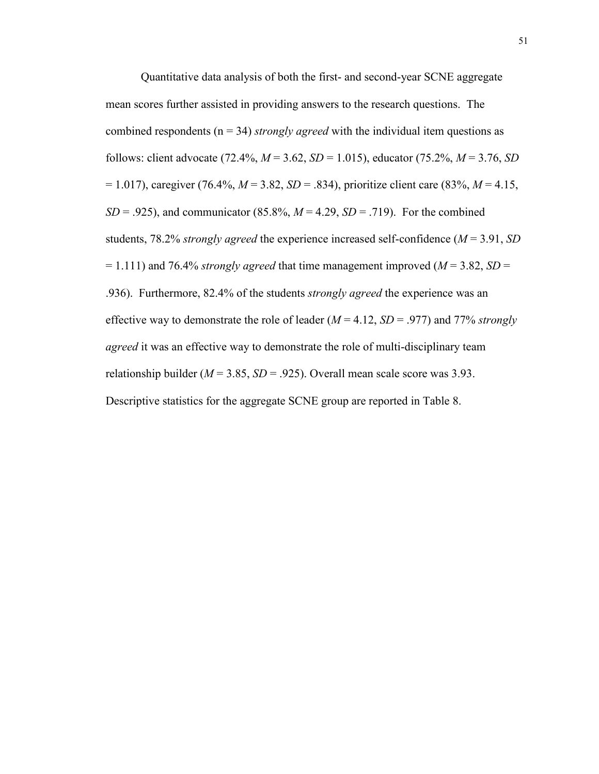Quantitative data analysis of both the first- and second-year SCNE aggregate mean scores further assisted in providing answers to the research questions. The combined respondents (n = 34) *strongly agreed* with the individual item questions as follows: client advocate (72.4%, *M* = 3.62, *SD* = 1.015), educator (75.2%, *M* = 3.76, *SD* = 1.017), caregiver (76.4%, *M* = 3.82, *SD* = .834), prioritize client care (83%, *M* = 4.15, *SD* = .925), and communicator (85.8%,  $M = 4.29$ ,  $SD = .719$ ). For the combined students, 78.2% *strongly agreed* the experience increased self-confidence (*M* = 3.91, *SD*  $= 1.111$ ) and 76.4% *strongly agreed* that time management improved ( $M = 3.82$ ,  $SD = 1.111$ ) .936). Furthermore, 82.4% of the students *strongly agreed* the experience was an effective way to demonstrate the role of leader (*M* = 4.12, *SD* = .977) and 77% *strongly agreed* it was an effective way to demonstrate the role of multi-disciplinary team relationship builder ( $M = 3.85$ ,  $SD = .925$ ). Overall mean scale score was 3.93. Descriptive statistics for the aggregate SCNE group are reported in Table 8.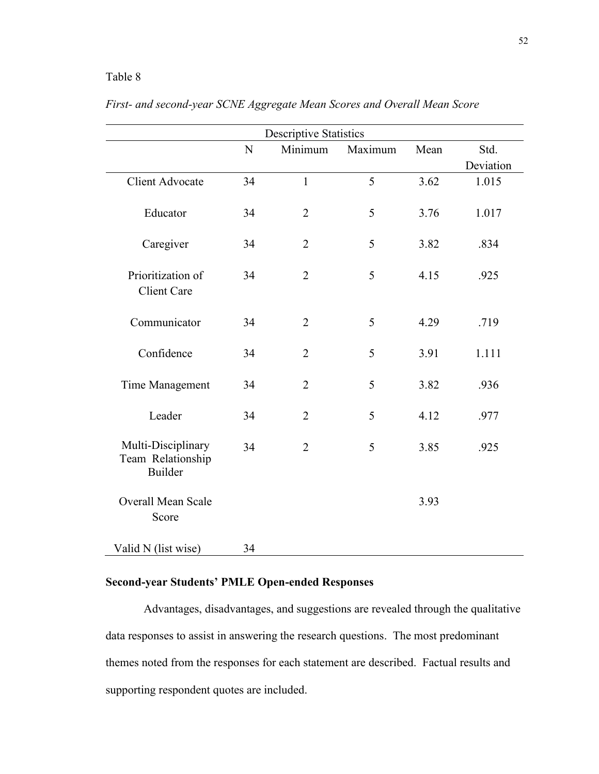# Table 8

| <b>Descriptive Statistics</b>                             |    |                |         |      |           |  |  |  |
|-----------------------------------------------------------|----|----------------|---------|------|-----------|--|--|--|
|                                                           | N  | Minimum        | Maximum | Mean | Std.      |  |  |  |
|                                                           |    |                |         |      | Deviation |  |  |  |
| <b>Client Advocate</b>                                    | 34 | $\mathbf{1}$   | 5       | 3.62 | 1.015     |  |  |  |
| Educator                                                  | 34 | $\overline{2}$ | 5       | 3.76 | 1.017     |  |  |  |
| Caregiver                                                 | 34 | $\overline{2}$ | 5       | 3.82 | .834      |  |  |  |
| Prioritization of<br><b>Client Care</b>                   | 34 | $\overline{2}$ | 5       | 4.15 | .925      |  |  |  |
| Communicator                                              | 34 | $\overline{2}$ | 5       | 4.29 | .719      |  |  |  |
| Confidence                                                | 34 | $\overline{2}$ | 5       | 3.91 | 1.111     |  |  |  |
| Time Management                                           | 34 | $\overline{2}$ | 5       | 3.82 | .936      |  |  |  |
| Leader                                                    | 34 | $\overline{2}$ | 5       | 4.12 | .977      |  |  |  |
| Multi-Disciplinary<br>Team Relationship<br><b>Builder</b> | 34 | $\overline{2}$ | 5       | 3.85 | .925      |  |  |  |
| Overall Mean Scale<br>Score                               |    |                |         | 3.93 |           |  |  |  |
| Valid N (list wise)                                       | 34 |                |         |      |           |  |  |  |

# *First- and second-year SCNE Aggregate Mean Scores and Overall Mean Score*

# **Second-year Students' PMLE Open-ended Responses**

Advantages, disadvantages, and suggestions are revealed through the qualitative data responses to assist in answering the research questions. The most predominant themes noted from the responses for each statement are described. Factual results and supporting respondent quotes are included.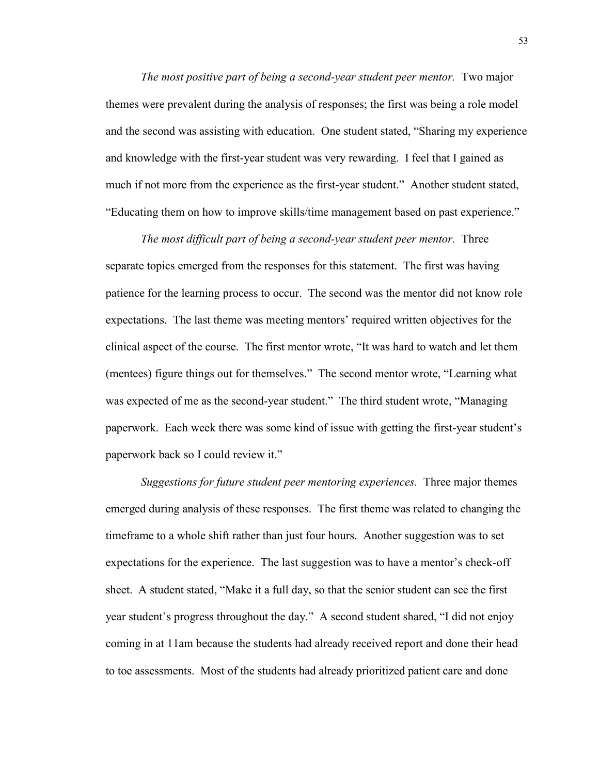*The most positive part of being a second-year student peer mentor.* Two major themes were prevalent during the analysis of responses; the first was being a role model and the second was assisting with education. One student stated, "Sharing my experience and knowledge with the first-year student was very rewarding. I feel that I gained as much if not more from the experience as the first-year student." Another student stated, "Educating them on how to improve skills/time management based on past experience."

*The most difficult part of being a second-year student peer mentor.* Three separate topics emerged from the responses for this statement. The first was having patience for the learning process to occur. The second was the mentor did not know role expectations. The last theme was meeting mentors' required written objectives for the clinical aspect of the course. The first mentor wrote, "It was hard to watch and let them (mentees) figure things out for themselves." The second mentor wrote, "Learning what was expected of me as the second-year student." The third student wrote, "Managing paperwork. Each week there was some kind of issue with getting the first-year student's paperwork back so I could review it."

*Suggestions for future student peer mentoring experiences.* Three major themes emerged during analysis of these responses. The first theme was related to changing the timeframe to a whole shift rather than just four hours. Another suggestion was to set expectations for the experience. The last suggestion was to have a mentor's check-off sheet. A student stated, "Make it a full day, so that the senior student can see the first year student's progress throughout the day." A second student shared, "I did not enjoy coming in at 11am because the students had already received report and done their head to toe assessments. Most of the students had already prioritized patient care and done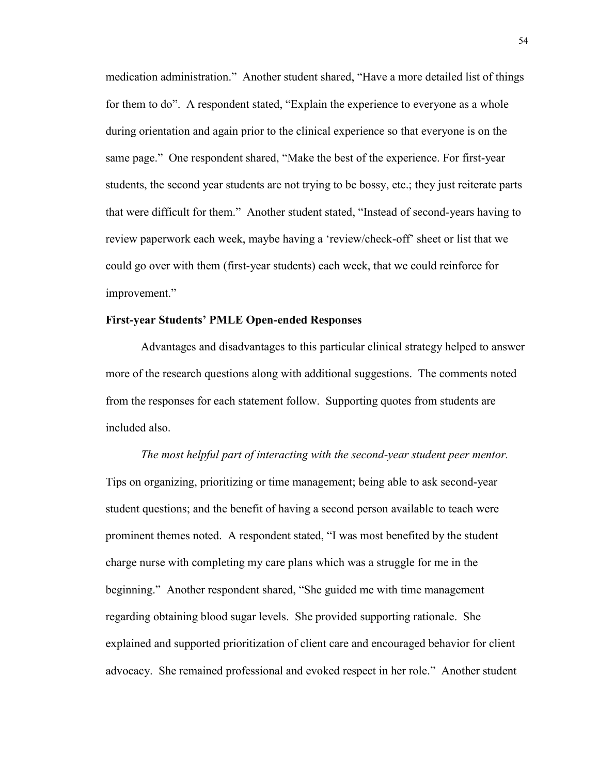medication administration." Another student shared, "Have a more detailed list of things for them to do". A respondent stated, "Explain the experience to everyone as a whole during orientation and again prior to the clinical experience so that everyone is on the same page." One respondent shared, "Make the best of the experience. For first-year students, the second year students are not trying to be bossy, etc.; they just reiterate parts that were difficult for them." Another student stated, "Instead of second-years having to review paperwork each week, maybe having a 'review/check-off' sheet or list that we could go over with them (first-year students) each week, that we could reinforce for improvement."

# **First-year Students' PMLE Open-ended Responses**

Advantages and disadvantages to this particular clinical strategy helped to answer more of the research questions along with additional suggestions. The comments noted from the responses for each statement follow. Supporting quotes from students are included also.

*The most helpful part of interacting with the second-year student peer mentor.*  Tips on organizing, prioritizing or time management; being able to ask second-year student questions; and the benefit of having a second person available to teach were prominent themes noted. A respondent stated, "I was most benefited by the student charge nurse with completing my care plans which was a struggle for me in the beginning." Another respondent shared, "She guided me with time management regarding obtaining blood sugar levels. She provided supporting rationale. She explained and supported prioritization of client care and encouraged behavior for client advocacy. She remained professional and evoked respect in her role." Another student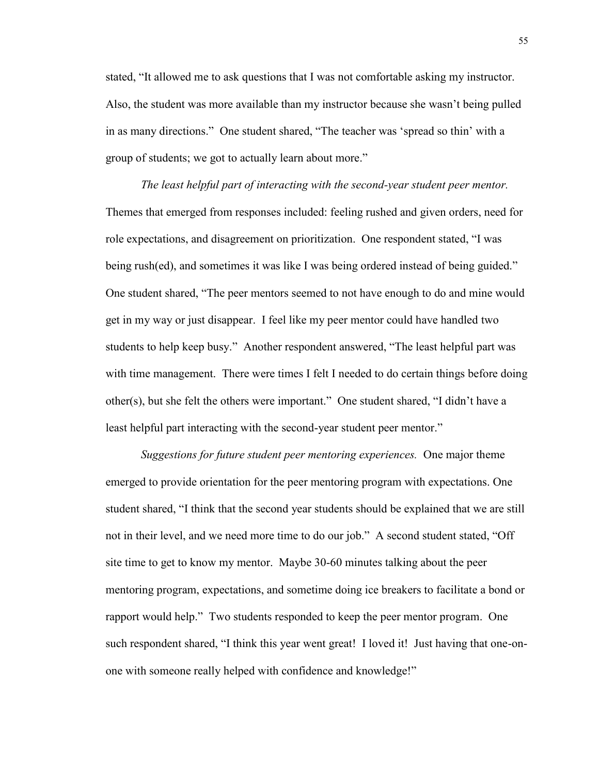stated, "It allowed me to ask questions that I was not comfortable asking my instructor. Also, the student was more available than my instructor because she wasn't being pulled in as many directions." One student shared, "The teacher was 'spread so thin' with a group of students; we got to actually learn about more."

*The least helpful part of interacting with the second-year student peer mentor.*  Themes that emerged from responses included: feeling rushed and given orders, need for role expectations, and disagreement on prioritization. One respondent stated, "I was being rush(ed), and sometimes it was like I was being ordered instead of being guided." One student shared, "The peer mentors seemed to not have enough to do and mine would get in my way or just disappear. I feel like my peer mentor could have handled two students to help keep busy." Another respondent answered, "The least helpful part was with time management. There were times I felt I needed to do certain things before doing other(s), but she felt the others were important." One student shared, "I didn't have a least helpful part interacting with the second-year student peer mentor."

*Suggestions for future student peer mentoring experiences.* One major theme emerged to provide orientation for the peer mentoring program with expectations. One student shared, "I think that the second year students should be explained that we are still not in their level, and we need more time to do our job." A second student stated, "Off site time to get to know my mentor. Maybe 30-60 minutes talking about the peer mentoring program, expectations, and sometime doing ice breakers to facilitate a bond or rapport would help." Two students responded to keep the peer mentor program. One such respondent shared, "I think this year went great! I loved it! Just having that one-onone with someone really helped with confidence and knowledge!"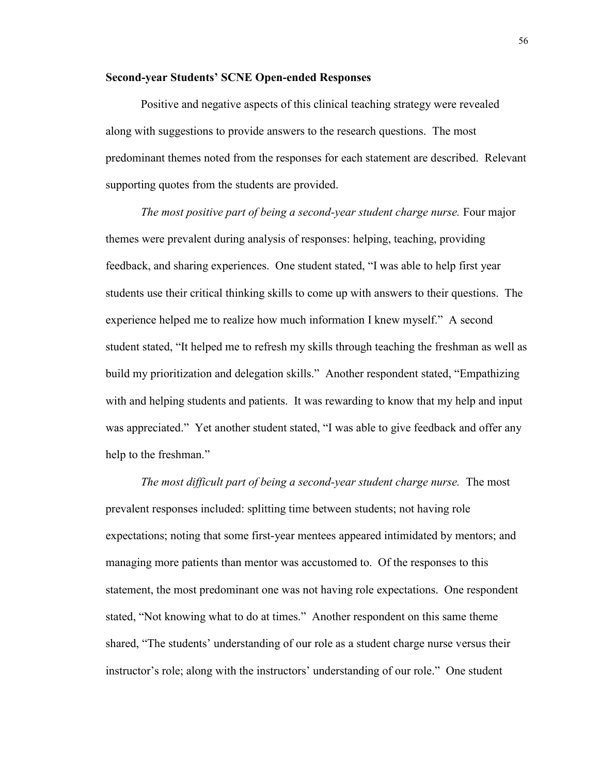## **Second-year Students' SCNE Open-ended Responses**

Positive and negative aspects of this clinical teaching strategy were revealed along with suggestions to provide answers to the research questions. The most predominant themes noted from the responses for each statement are described. Relevant supporting quotes from the students are provided.

*The most positive part of being a second-year student charge nurse.* Four major themes were prevalent during analysis of responses: helping, teaching, providing feedback, and sharing experiences. One student stated, "I was able to help first year students use their critical thinking skills to come up with answers to their questions. The experience helped me to realize how much information I knew myself." A second student stated, "It helped me to refresh my skills through teaching the freshman as well as build my prioritization and delegation skills." Another respondent stated, "Empathizing with and helping students and patients. It was rewarding to know that my help and input was appreciated." Yet another student stated, "I was able to give feedback and offer any help to the freshman."

*The most difficult part of being a second-year student charge nurse.* The most prevalent responses included: splitting time between students; not having role expectations; noting that some first-year mentees appeared intimidated by mentors; and managing more patients than mentor was accustomed to. Of the responses to this statement, the most predominant one was not having role expectations. One respondent stated, "Not knowing what to do at times." Another respondent on this same theme shared, "The students' understanding of our role as a student charge nurse versus their instructor's role; along with the instructors' understanding of our role." One student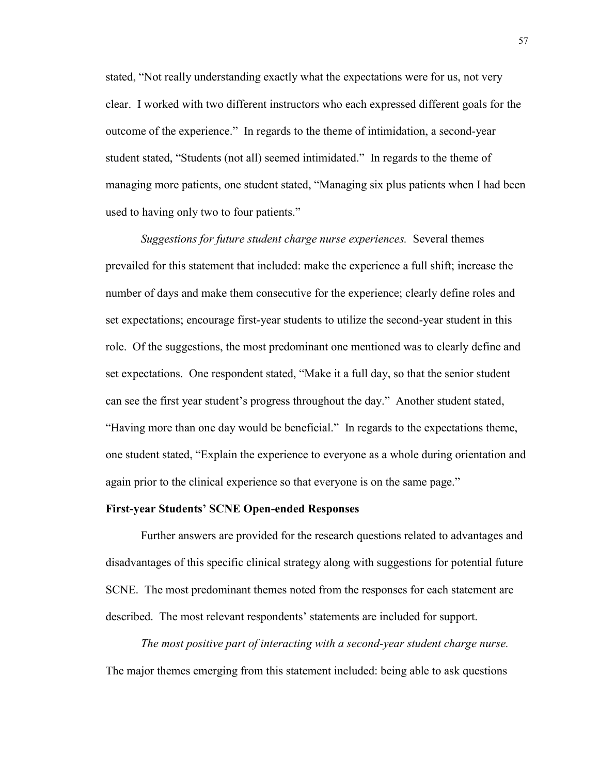stated, "Not really understanding exactly what the expectations were for us, not very clear. I worked with two different instructors who each expressed different goals for the outcome of the experience." In regards to the theme of intimidation, a second-year student stated, "Students (not all) seemed intimidated." In regards to the theme of managing more patients, one student stated, "Managing six plus patients when I had been used to having only two to four patients."

*Suggestions for future student charge nurse experiences.* Several themes prevailed for this statement that included: make the experience a full shift; increase the number of days and make them consecutive for the experience; clearly define roles and set expectations; encourage first-year students to utilize the second-year student in this role. Of the suggestions, the most predominant one mentioned was to clearly define and set expectations. One respondent stated, "Make it a full day, so that the senior student can see the first year student's progress throughout the day." Another student stated, "Having more than one day would be beneficial." In regards to the expectations theme, one student stated, "Explain the experience to everyone as a whole during orientation and again prior to the clinical experience so that everyone is on the same page."

## **First-year Students' SCNE Open-ended Responses**

Further answers are provided for the research questions related to advantages and disadvantages of this specific clinical strategy along with suggestions for potential future SCNE. The most predominant themes noted from the responses for each statement are described. The most relevant respondents' statements are included for support.

*The most positive part of interacting with a second-year student charge nurse.* The major themes emerging from this statement included: being able to ask questions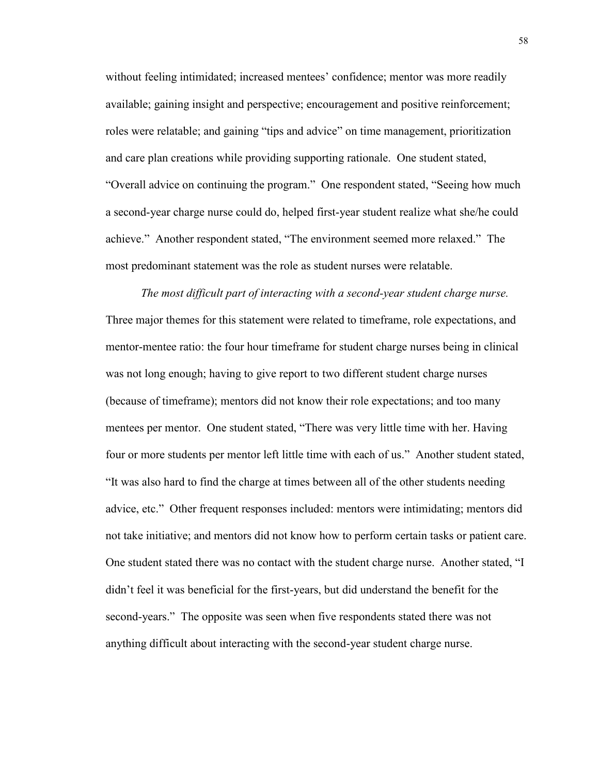without feeling intimidated; increased mentees' confidence; mentor was more readily available; gaining insight and perspective; encouragement and positive reinforcement; roles were relatable; and gaining "tips and advice" on time management, prioritization and care plan creations while providing supporting rationale. One student stated, "Overall advice on continuing the program." One respondent stated, "Seeing how much a second-year charge nurse could do, helped first-year student realize what she/he could achieve." Another respondent stated, "The environment seemed more relaxed." The most predominant statement was the role as student nurses were relatable.

*The most difficult part of interacting with a second-year student charge nurse.*  Three major themes for this statement were related to timeframe, role expectations, and mentor-mentee ratio: the four hour timeframe for student charge nurses being in clinical was not long enough; having to give report to two different student charge nurses (because of timeframe); mentors did not know their role expectations; and too many mentees per mentor. One student stated, "There was very little time with her. Having four or more students per mentor left little time with each of us." Another student stated, "It was also hard to find the charge at times between all of the other students needing advice, etc." Other frequent responses included: mentors were intimidating; mentors did not take initiative; and mentors did not know how to perform certain tasks or patient care. One student stated there was no contact with the student charge nurse. Another stated, "I didn't feel it was beneficial for the first-years, but did understand the benefit for the second-years." The opposite was seen when five respondents stated there was not anything difficult about interacting with the second-year student charge nurse.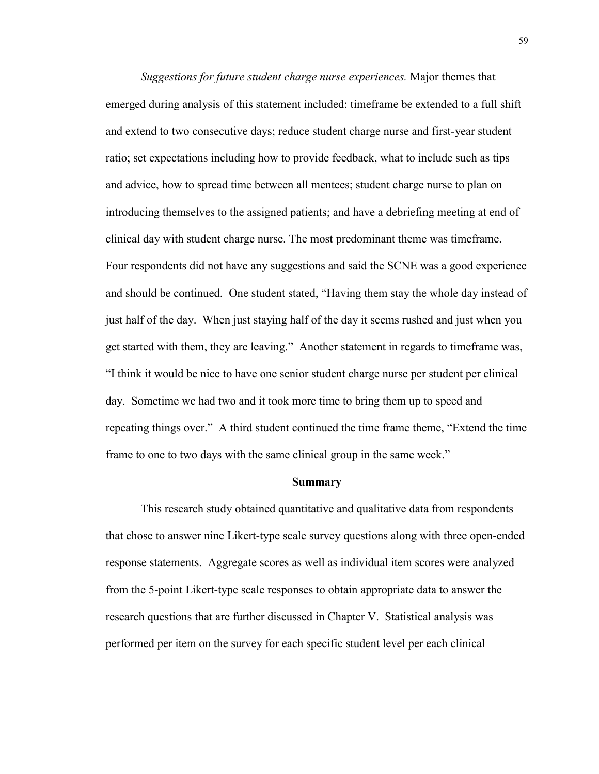*Suggestions for future student charge nurse experiences.* Major themes that emerged during analysis of this statement included: timeframe be extended to a full shift and extend to two consecutive days; reduce student charge nurse and first-year student ratio; set expectations including how to provide feedback, what to include such as tips and advice, how to spread time between all mentees; student charge nurse to plan on introducing themselves to the assigned patients; and have a debriefing meeting at end of clinical day with student charge nurse. The most predominant theme was timeframe. Four respondents did not have any suggestions and said the SCNE was a good experience and should be continued. One student stated, "Having them stay the whole day instead of just half of the day. When just staying half of the day it seems rushed and just when you get started with them, they are leaving." Another statement in regards to timeframe was, "I think it would be nice to have one senior student charge nurse per student per clinical day. Sometime we had two and it took more time to bring them up to speed and repeating things over." A third student continued the time frame theme, "Extend the time frame to one to two days with the same clinical group in the same week."

#### **Summary**

This research study obtained quantitative and qualitative data from respondents that chose to answer nine Likert-type scale survey questions along with three open-ended response statements. Aggregate scores as well as individual item scores were analyzed from the 5-point Likert-type scale responses to obtain appropriate data to answer the research questions that are further discussed in Chapter V. Statistical analysis was performed per item on the survey for each specific student level per each clinical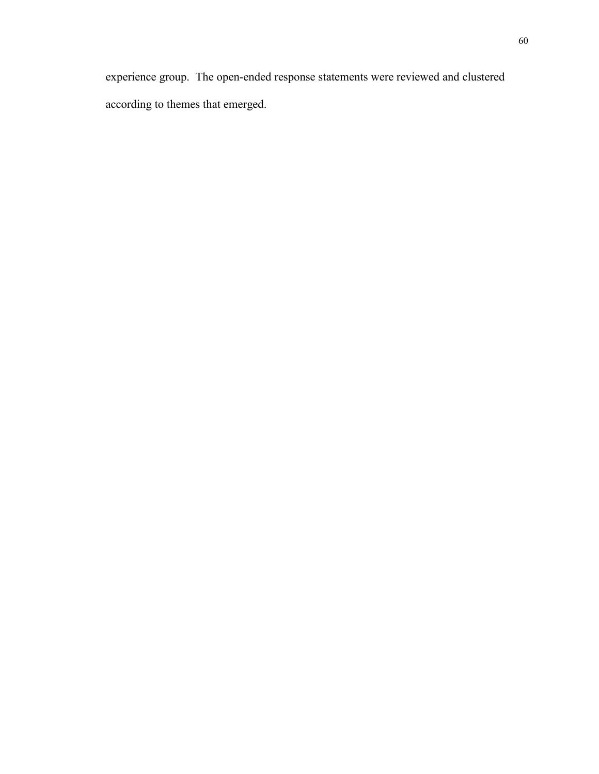experience group. The open-ended response statements were reviewed and clustered according to themes that emerged.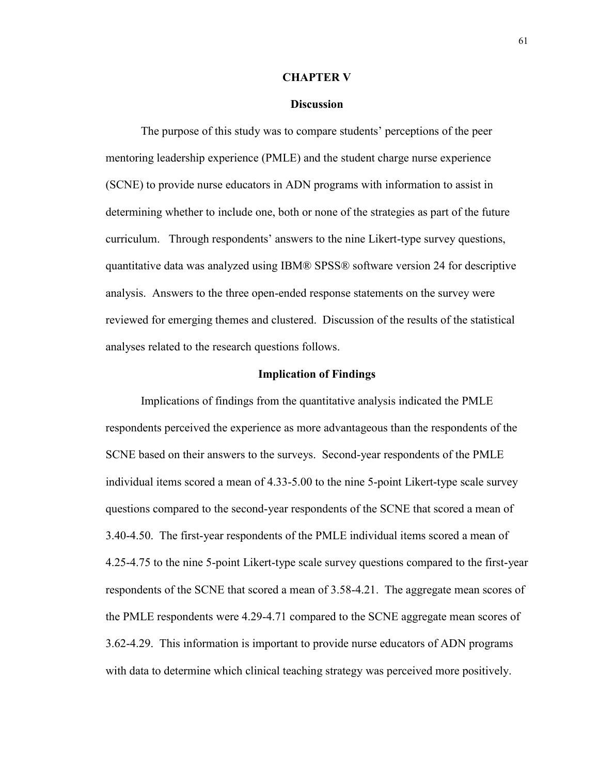#### **CHAPTER V**

## **Discussion**

The purpose of this study was to compare students' perceptions of the peer mentoring leadership experience (PMLE) and the student charge nurse experience (SCNE) to provide nurse educators in ADN programs with information to assist in determining whether to include one, both or none of the strategies as part of the future curriculum. Through respondents' answers to the nine Likert-type survey questions, quantitative data was analyzed using IBM® SPSS® software version 24 for descriptive analysis. Answers to the three open-ended response statements on the survey were reviewed for emerging themes and clustered. Discussion of the results of the statistical analyses related to the research questions follows.

#### **Implication of Findings**

Implications of findings from the quantitative analysis indicated the PMLE respondents perceived the experience as more advantageous than the respondents of the SCNE based on their answers to the surveys. Second-year respondents of the PMLE individual items scored a mean of 4.33-5.00 to the nine 5-point Likert-type scale survey questions compared to the second-year respondents of the SCNE that scored a mean of 3.40-4.50. The first-year respondents of the PMLE individual items scored a mean of 4.25-4.75 to the nine 5-point Likert-type scale survey questions compared to the first-year respondents of the SCNE that scored a mean of 3.58-4.21. The aggregate mean scores of the PMLE respondents were 4.29-4.71 compared to the SCNE aggregate mean scores of 3.62-4.29. This information is important to provide nurse educators of ADN programs with data to determine which clinical teaching strategy was perceived more positively.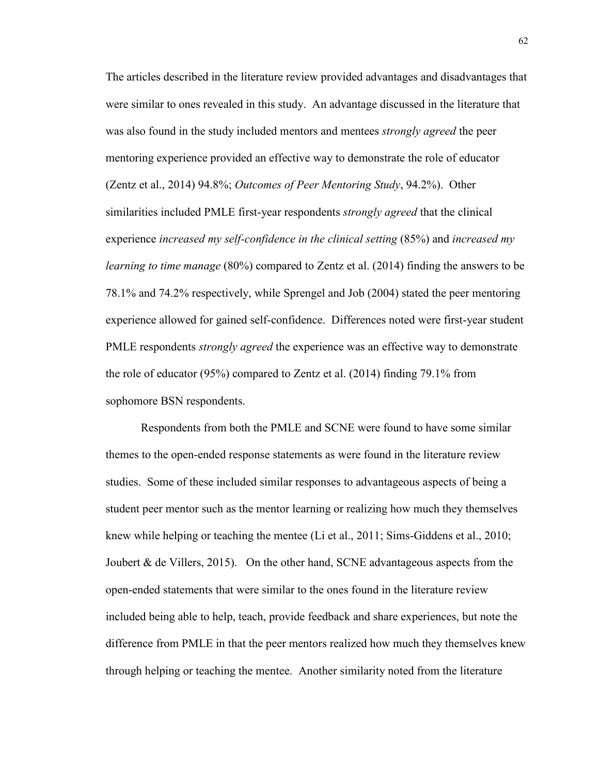The articles described in the literature review provided advantages and disadvantages that were similar to ones revealed in this study. An advantage discussed in the literature that was also found in the study included mentors and mentees *strongly agreed* the peer mentoring experience provided an effective way to demonstrate the role of educator (Zentz et al., 2014) 94.8%; *Outcomes of Peer Mentoring Study*, 94.2%). Other similarities included PMLE first-year respondents *strongly agreed* that the clinical experience *increased my self-confidence in the clinical setting* (85%) and *increased my learning to time manage* (80%) compared to Zentz et al. (2014) finding the answers to be 78.1% and 74.2% respectively, while Sprengel and Job (2004) stated the peer mentoring experience allowed for gained self-confidence. Differences noted were first-year student PMLE respondents *strongly agreed* the experience was an effective way to demonstrate the role of educator (95%) compared to Zentz et al. (2014) finding 79.1% from sophomore BSN respondents.

Respondents from both the PMLE and SCNE were found to have some similar themes to the open-ended response statements as were found in the literature review studies. Some of these included similar responses to advantageous aspects of being a student peer mentor such as the mentor learning or realizing how much they themselves knew while helping or teaching the mentee (Li et al., 2011; Sims-Giddens et al., 2010; Joubert  $\&$  de Villers, 2015). On the other hand, SCNE advantageous aspects from the open-ended statements that were similar to the ones found in the literature review included being able to help, teach, provide feedback and share experiences, but note the difference from PMLE in that the peer mentors realized how much they themselves knew through helping or teaching the mentee. Another similarity noted from the literature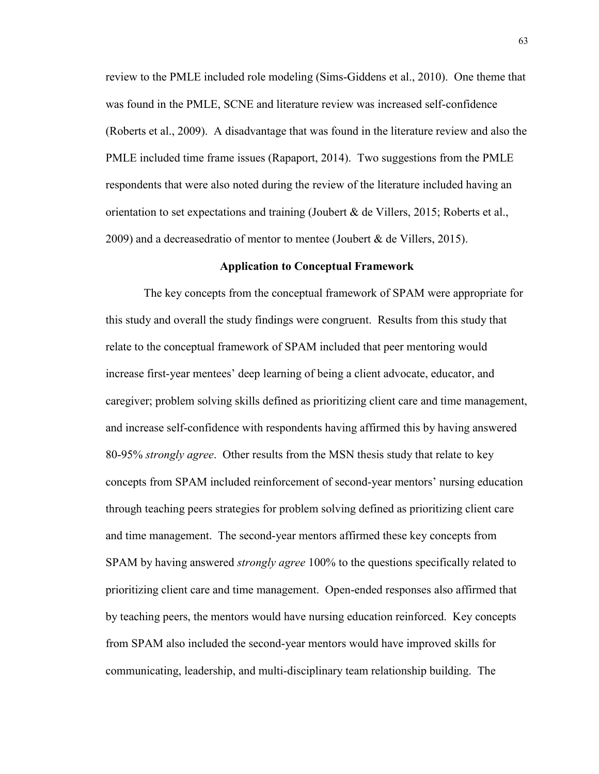review to the PMLE included role modeling (Sims-Giddens et al., 2010). One theme that was found in the PMLE, SCNE and literature review was increased self-confidence (Roberts et al., 2009). A disadvantage that was found in the literature review and also the PMLE included time frame issues (Rapaport, 2014). Two suggestions from the PMLE respondents that were also noted during the review of the literature included having an orientation to set expectations and training (Joubert  $\&$  de Villers, 2015; Roberts et al., 2009) and a decreasedratio of mentor to mentee (Joubert  $&$  de Villers, 2015).

#### **Application to Conceptual Framework**

The key concepts from the conceptual framework of SPAM were appropriate for this study and overall the study findings were congruent. Results from this study that relate to the conceptual framework of SPAM included that peer mentoring would increase first-year mentees' deep learning of being a client advocate, educator, and caregiver; problem solving skills defined as prioritizing client care and time management, and increase self-confidence with respondents having affirmed this by having answered 80-95% *strongly agree*. Other results from the MSN thesis study that relate to key concepts from SPAM included reinforcement of second-year mentors' nursing education through teaching peers strategies for problem solving defined as prioritizing client care and time management. The second-year mentors affirmed these key concepts from SPAM by having answered *strongly agree* 100% to the questions specifically related to prioritizing client care and time management. Open-ended responses also affirmed that by teaching peers, the mentors would have nursing education reinforced. Key concepts from SPAM also included the second-year mentors would have improved skills for communicating, leadership, and multi-disciplinary team relationship building. The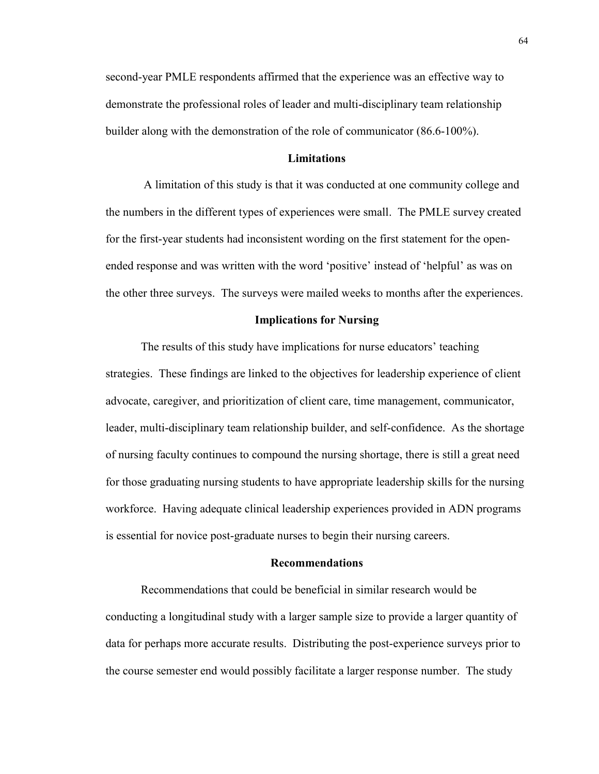second-year PMLE respondents affirmed that the experience was an effective way to demonstrate the professional roles of leader and multi-disciplinary team relationship builder along with the demonstration of the role of communicator (86.6-100%).

### **Limitations**

A limitation of this study is that it was conducted at one community college and the numbers in the different types of experiences were small. The PMLE survey created for the first-year students had inconsistent wording on the first statement for the openended response and was written with the word 'positive' instead of 'helpful' as was on the other three surveys. The surveys were mailed weeks to months after the experiences.

## **Implications for Nursing**

The results of this study have implications for nurse educators' teaching strategies. These findings are linked to the objectives for leadership experience of client advocate, caregiver, and prioritization of client care, time management, communicator, leader, multi-disciplinary team relationship builder, and self-confidence. As the shortage of nursing faculty continues to compound the nursing shortage, there is still a great need for those graduating nursing students to have appropriate leadership skills for the nursing workforce. Having adequate clinical leadership experiences provided in ADN programs is essential for novice post-graduate nurses to begin their nursing careers.

#### **Recommendations**

Recommendations that could be beneficial in similar research would be conducting a longitudinal study with a larger sample size to provide a larger quantity of data for perhaps more accurate results. Distributing the post-experience surveys prior to the course semester end would possibly facilitate a larger response number. The study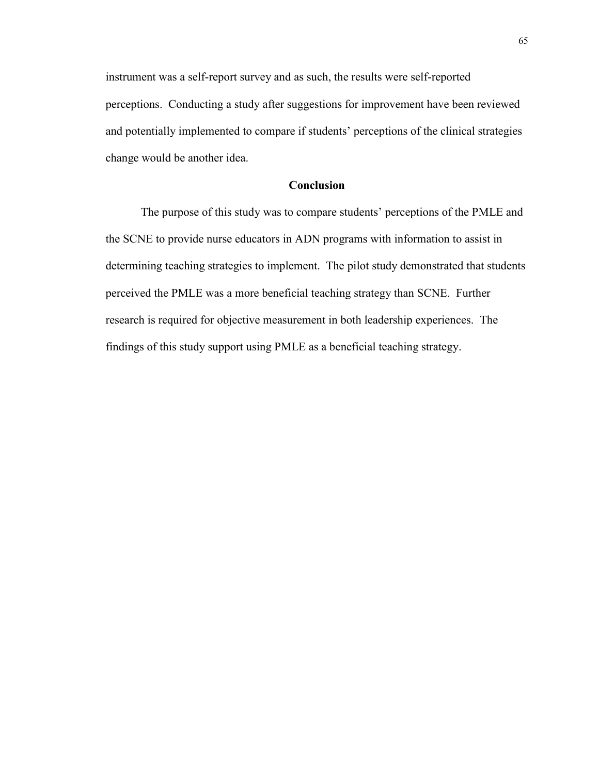instrument was a self-report survey and as such, the results were self-reported perceptions. Conducting a study after suggestions for improvement have been reviewed and potentially implemented to compare if students' perceptions of the clinical strategies change would be another idea.

# **Conclusion**

The purpose of this study was to compare students' perceptions of the PMLE and the SCNE to provide nurse educators in ADN programs with information to assist in determining teaching strategies to implement. The pilot study demonstrated that students perceived the PMLE was a more beneficial teaching strategy than SCNE. Further research is required for objective measurement in both leadership experiences. The findings of this study support using PMLE as a beneficial teaching strategy.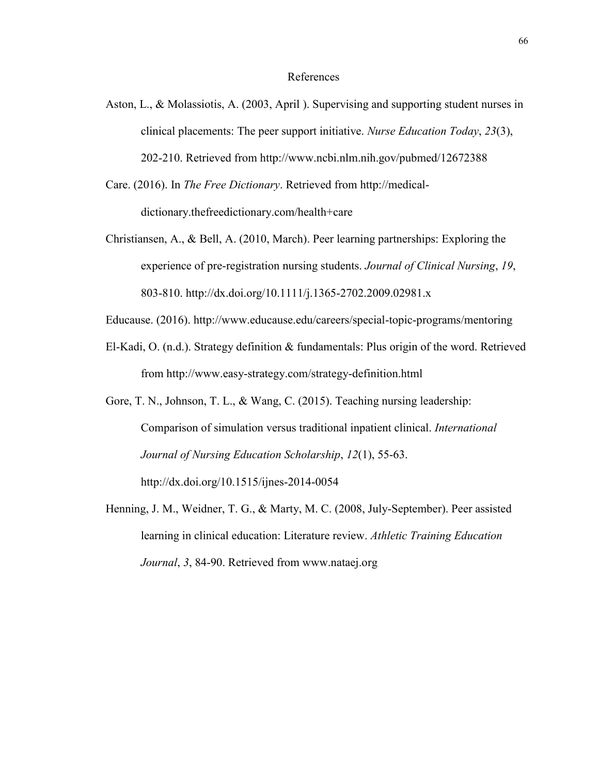#### References

- Aston, L., & Molassiotis, A. (2003, April ). Supervising and supporting student nurses in clinical placements: The peer support initiative. *Nurse Education Today*, *23*(3), 202-210. Retrieved from http://www.ncbi.nlm.nih.gov/pubmed/12672388
- Care. (2016). In *The Free Dictionary*. Retrieved from http://medicaldictionary.thefreedictionary.com/health+care
- Christiansen, A., & Bell, A. (2010, March). Peer learning partnerships: Exploring the experience of pre-registration nursing students. *Journal of Clinical Nursing*, *19*, 803-810. http://dx.doi.org/10.1111/j.1365-2702.2009.02981.x
- Educause. (2016). http://www.educause.edu/careers/special-topic-programs/mentoring
- El-Kadi, O. (n.d.). Strategy definition & fundamentals: Plus origin of the word. Retrieved from http://www.easy-strategy.com/strategy-definition.html

Gore, T. N., Johnson, T. L., & Wang, C. (2015). Teaching nursing leadership: Comparison of simulation versus traditional inpatient clinical. *International Journal of Nursing Education Scholarship*, *12*(1), 55-63. http://dx.doi.org/10.1515/ijnes-2014-0054

Henning, J. M., Weidner, T. G., & Marty, M. C. (2008, July-September). Peer assisted learning in clinical education: Literature review. *Athletic Training Education Journal*, *3*, 84-90. Retrieved from www.nataej.org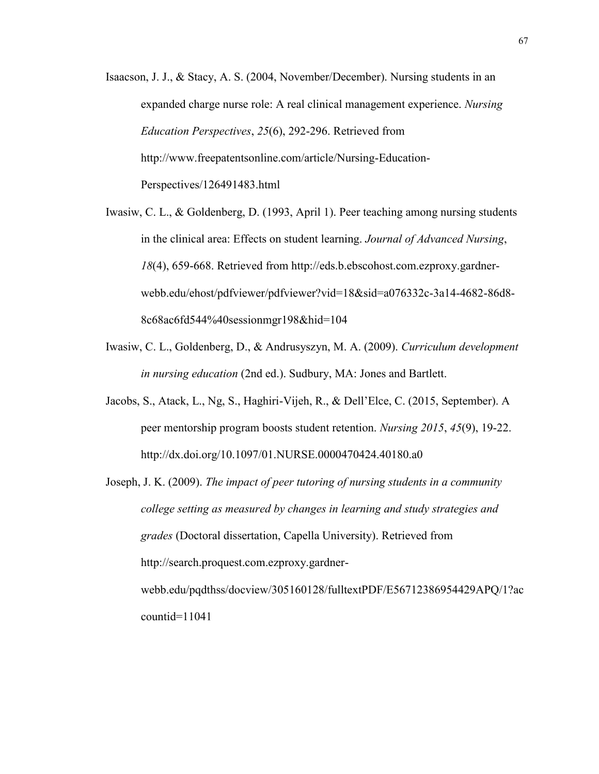- Isaacson, J. J., & Stacy, A. S. (2004, November/December). Nursing students in an expanded charge nurse role: A real clinical management experience. *Nursing Education Perspectives*, *25*(6), 292-296. Retrieved from http://www.freepatentsonline.com/article/Nursing-Education-Perspectives/126491483.html
- Iwasiw, C. L., & Goldenberg, D. (1993, April 1). Peer teaching among nursing students in the clinical area: Effects on student learning. *Journal of Advanced Nursing*, *18*(4), 659-668. Retrieved from http://eds.b.ebscohost.com.ezproxy.gardnerwebb.edu/ehost/pdfviewer/pdfviewer?vid=18&sid=a076332c-3a14-4682-86d8- 8c68ac6fd544%40sessionmgr198&hid=104
- Iwasiw, C. L., Goldenberg, D., & Andrusyszyn, M. A. (2009). *Curriculum development in nursing education* (2nd ed.). Sudbury, MA: Jones and Bartlett.
- Jacobs, S., Atack, L., Ng, S., Haghiri-Vijeh, R., & Dell'Elce, C. (2015, September). A peer mentorship program boosts student retention. *Nursing 2015*, *45*(9), 19-22. http://dx.doi.org/10.1097/01.NURSE.0000470424.40180.a0

Joseph, J. K. (2009). *The impact of peer tutoring of nursing students in a community college setting as measured by changes in learning and study strategies and grades* (Doctoral dissertation, Capella University). Retrieved from http://search.proquest.com.ezproxy.gardnerwebb.edu/pqdthss/docview/305160128/fulltextPDF/E56712386954429APQ/1?ac countid=11041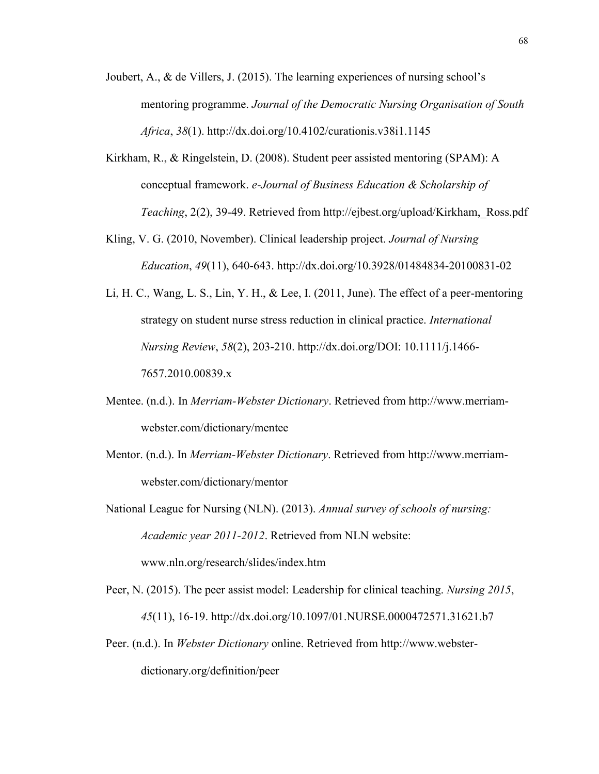- Joubert, A.,  $\&$  de Villers, J. (2015). The learning experiences of nursing school's mentoring programme. *Journal of the Democratic Nursing Organisation of South Africa*, *38*(1). http://dx.doi.org/10.4102/curationis.v38i1.1145
- Kirkham, R., & Ringelstein, D. (2008). Student peer assisted mentoring (SPAM): A conceptual framework. *e-Journal of Business Education & Scholarship of Teaching*, 2(2), 39-49. Retrieved from http://ejbest.org/upload/Kirkham,\_Ross.pdf
- Kling, V. G. (2010, November). Clinical leadership project. *Journal of Nursing Education*, *49*(11), 640-643. http://dx.doi.org/10.3928/01484834-20100831-02
- Li, H. C., Wang, L. S., Lin, Y. H., & Lee, I. (2011, June). The effect of a peer-mentoring strategy on student nurse stress reduction in clinical practice. *International Nursing Review*, *58*(2), 203-210. http://dx.doi.org/DOI: 10.1111/j.1466- 7657.2010.00839.x
- Mentee. (n.d.). In *Merriam-Webster Dictionary*. Retrieved from http://www.merriamwebster.com/dictionary/mentee
- Mentor. (n.d.). In *Merriam-Webster Dictionary*. Retrieved from http://www.merriamwebster.com/dictionary/mentor

National League for Nursing (NLN). (2013). *Annual survey of schools of nursing: Academic year 2011-2012*. Retrieved from NLN website: www.nln.org/research/slides/index.htm

- Peer, N. (2015). The peer assist model: Leadership for clinical teaching. *Nursing 2015*, *45*(11), 16-19. http://dx.doi.org/10.1097/01.NURSE.0000472571.31621.b7
- Peer. (n.d.). In *Webster Dictionary* online. Retrieved from http://www.websterdictionary.org/definition/peer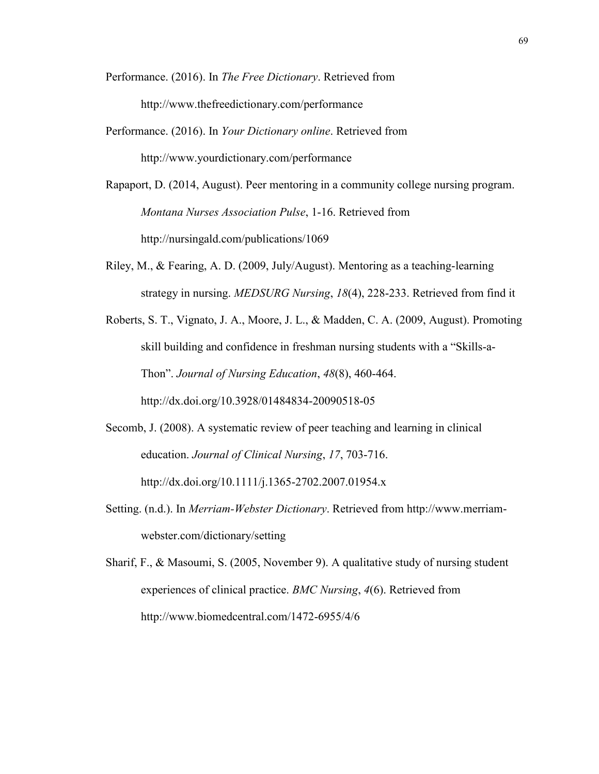Performance. (2016). In *The Free Dictionary*. Retrieved from http://www.thefreedictionary.com/performance

- Performance. (2016). In *Your Dictionary online*. Retrieved from http://www.yourdictionary.com/performance
- Rapaport, D. (2014, August). Peer mentoring in a community college nursing program. *Montana Nurses Association Pulse*, 1-16. Retrieved from http://nursingald.com/publications/1069
- Riley, M., & Fearing, A. D. (2009, July/August). Mentoring as a teaching-learning strategy in nursing. *MEDSURG Nursing*, *18*(4), 228-233. Retrieved from find it
- Roberts, S. T., Vignato, J. A., Moore, J. L., & Madden, C. A. (2009, August). Promoting skill building and confidence in freshman nursing students with a "Skills-a-Thon". *Journal of Nursing Education*, *48*(8), 460-464. http://dx.doi.org/10.3928/01484834-20090518-05
- Secomb, J. (2008). A systematic review of peer teaching and learning in clinical education. *Journal of Clinical Nursing*, *17*, 703-716. http://dx.doi.org/10.1111/j.1365-2702.2007.01954.x
- Setting. (n.d.). In *Merriam-Webster Dictionary*. Retrieved from http://www.merriamwebster.com/dictionary/setting

Sharif, F., & Masoumi, S. (2005, November 9). A qualitative study of nursing student experiences of clinical practice. *BMC Nursing*, *4*(6). Retrieved from http://www.biomedcentral.com/1472-6955/4/6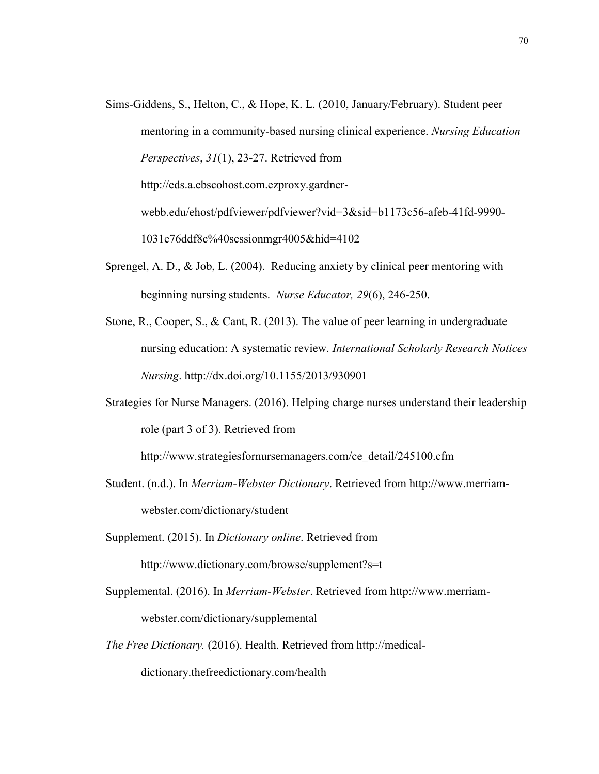- Sims-Giddens, S., Helton, C., & Hope, K. L. (2010, January/February). Student peer mentoring in a community-based nursing clinical experience. *Nursing Education Perspectives*, *31*(1), 23-27. Retrieved from [http://eds.a.ebscohost.com.ezproxy.gardner](http://eds.a.ebscohost.com.ezproxy.gardner-webb.edu/ehost/pdfviewer/pdfviewer?vid=3&sid=b1173c56-afeb-41fd-9990-1031e76ddf8c%40sessionmgr4005&hid=4102)[webb.edu/ehost/pdfviewer/pdfviewer?vid=3&sid=b1173c56-afeb-41fd-9990-](http://eds.a.ebscohost.com.ezproxy.gardner-webb.edu/ehost/pdfviewer/pdfviewer?vid=3&sid=b1173c56-afeb-41fd-9990-1031e76ddf8c%40sessionmgr4005&hid=4102) [1031e76ddf8c%40sessionmgr4005&hid=4102](http://eds.a.ebscohost.com.ezproxy.gardner-webb.edu/ehost/pdfviewer/pdfviewer?vid=3&sid=b1173c56-afeb-41fd-9990-1031e76ddf8c%40sessionmgr4005&hid=4102)
- Sprengel, A. D., & Job, L. (2004). Reducing anxiety by clinical peer mentoring with beginning nursing students. *Nurse Educator, 29*(6), 246-250.
- Stone, R., Cooper, S., & Cant, R. (2013). The value of peer learning in undergraduate nursing education: A systematic review. *International Scholarly Research Notices Nursing*. http://dx.doi.org/10.1155/2013/930901
- Strategies for Nurse Managers. (2016). Helping charge nurses understand their leadership role (part 3 of 3). Retrieved from

http://www.strategiesfornursemanagers.com/ce\_detail/245100.cfm

- Student. (n.d.). In *Merriam-Webster Dictionary*. Retrieved from http://www.merriamwebster.com/dictionary/student
- Supplement. (2015). In *Dictionary online*. Retrieved from http://www.dictionary.com/browse/supplement?s=t
- Supplemental. (2016). In *Merriam-Webster*. Retrieved from http://www.merriamwebster.com/dictionary/supplemental
- *The Free Dictionary.* (2016). Health. Retrieved from http://medicaldictionary.thefreedictionary.com/health